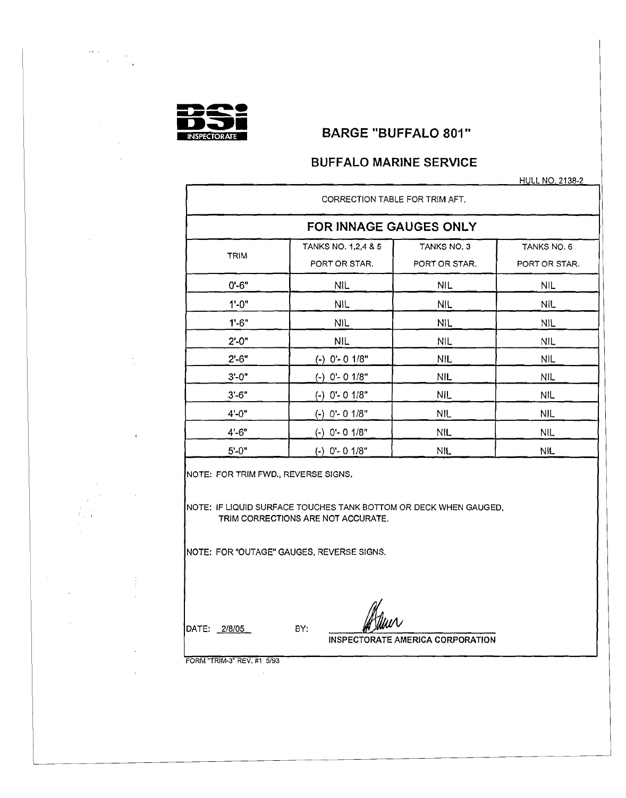

.~, ,

 $\sim$ 

# **BARGE "BUFFALO 801"**

# **BUFFALO MARINE SERVICE**

HULL NO. 2138-2

|             | CORRECTION TABLE FOR TRIM AFT. |               |               |
|-------------|--------------------------------|---------------|---------------|
|             | FOR INNAGE GAUGES ONLY         |               |               |
| <b>TRIM</b> | TANKS NO. 1,2,4 & 5            | TANKS NO. 3   | TANKS NO. 6   |
|             | PORT OR STAR.                  | PORT OR STAR. | PORT OR STAR. |
| $0' - 6"$   | <b>NIL</b>                     | <b>NIL</b>    | NIL.          |
| $1 - 0$ "   | NIL.                           | <b>NIL</b>    | <b>NIL</b>    |
| $1 - 6"$    | NIL.                           | <b>NIL</b>    | <b>NIL</b>    |
| $2' - 0''$  | NIL.                           | <b>NIL</b>    | <b>NIL</b>    |
| $2' - 6"$   | (-) 0'-0 1/8"                  | <b>NIL</b>    | <b>NIL</b>    |
| $3' - 0''$  | (-) 0'- 0 1/8"                 | <b>NIL</b>    | <b>NIL</b>    |
| $3' - 6"$   | (-) 0'- 0 1/8"                 | <b>NIL</b>    | <b>NIL</b>    |
| $4' - 0''$  | $(-)$ 0'- 0 1/8"               | <b>NIL</b>    | <b>NIL</b>    |
| $4' - 6"$   | $(-)$ 0'- 0 1/8"               | <b>NIL</b>    | NIL.          |
| $5' - 0''$  | $(-)$ O'- 0 1/8"               | NIL.          | <b>NIL</b>    |

NOTE: FOR TRIM FWD., REVERSE SIGNS.

NOTE: IF LIQUID SURFACE TOUCHES TANK BOTTOM OR DECK WHEN GAUGED, TRIM CORRECTIONS ARE NOT ACCURATE.

NOTE: FOR "OUTAGE" GAUGES, REVERSE SIGNS.

DATE: *2/8/05* BY:

i

INSPECTORATE AMERICA CORPORATION

FORM "TRIM-3" REV. #1 5/93

n.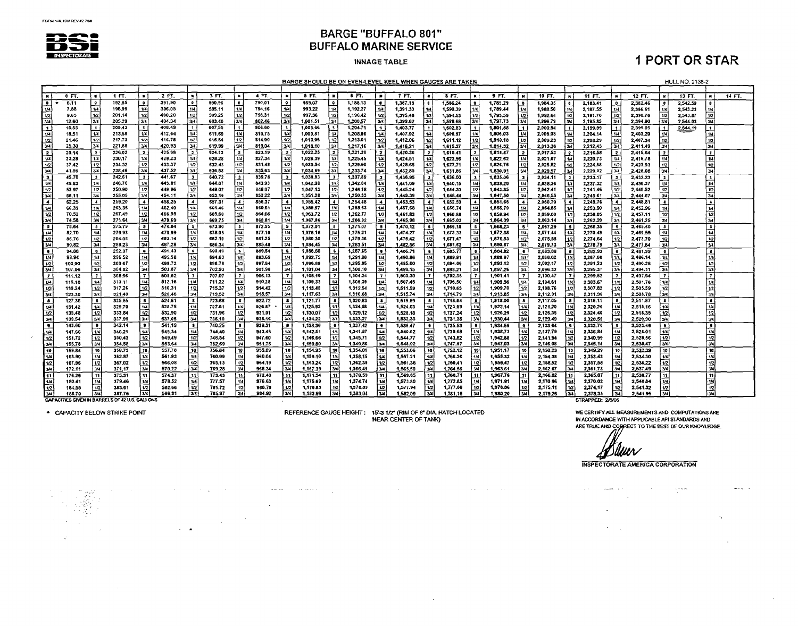

#### **INNAGE TABLE**

# **1 PORT OR STAR**

BARGE SHOULD BE ON EVEN-LEVEL KEEL WHEN GAUGES ARE TAKEN

**HULL NO. 2138-2** 

|                 | 0 FT.          |                          | 1 FT.                                                 |                        | 2 FT.            | $\bullet$                | 3 FT.            |                  | 4 FT.            |                 | 5 FT.                |                 | 6 FT.                | п.             | 7 FT.                |              | 8 FT.                |                | 9 FT.                | $\overline{\phantom{a}}$ | 10 FT.               |                           | 11 FT.               | $\blacksquare$   | 12 FT.               |                         | 13 FT.   |                         | 14 FT. |
|-----------------|----------------|--------------------------|-------------------------------------------------------|------------------------|------------------|--------------------------|------------------|------------------|------------------|-----------------|----------------------|-----------------|----------------------|----------------|----------------------|--------------|----------------------|----------------|----------------------|--------------------------|----------------------|---------------------------|----------------------|------------------|----------------------|-------------------------|----------|-------------------------|--------|
| ۱o              | 6.11           | $^{\circ}$               | 192.85                                                |                        | 391.90           | $\bullet$                | 590.96           | $^{\circ}$       | 790.01           | $\bullet$       | 989.07               |                 | 1,188.13             |                | 1,387.18             |              | 1.586.24             |                | 1,785.29             |                          | 1.984.35             |                           | 2.183.41             | $\bullet$        | 2.382.46             |                         | 2.542.59 |                         |        |
|                 | 7.88           | 1/4                      | 196.99                                                | 1/4                    | 396.05           | $\overline{1}$           | 595.11           | 1/4              | 794.16           | 14              | 993.22               |                 | 1,192.27             | $1\mu$         | 1,391.33             |              | 1,590.39             |                | 1,789.44             | 1/4                      | 1,988.50             | 114                       | 2,187.55             | 1/4              | 2.386.61             | 1/4                     | 2,543.23 |                         |        |
| 12              | 9.65           | 1/2                      | 201.14                                                | 1/2                    | 400.20           | 1/2                      | 599.25           | 1/2              | 798.31           | 12              | 997.36               |                 | 1,196.42             | n              | 1,395.48             |              | 1,594.53             | ۲ın            | 1,793.59             | 1/2                      | 1,992.64             | 1/2                       | 2.191.70             | 1/2              | 2,390.76             | 1/2                     | 2,543.87 |                         |        |
| 34              | 12.60          | 3/4                      | 205.29                                                | 34                     | 404.34           | اءدآ                     | 603.40           | 13/4             | 802.46           | l azul          | 1,001.51             |                 | 1,200.57             | 34             | 1,399.62             | Гзи          | 1,598.68             | 3/4            | 1,797,73             | 3/4                      | 1,996.79             | 3/4                       | 2.195.85             | $\overline{3/4}$ | 2,394.90             | 3/4                     | 2.544.03 | 34                      |        |
| l 1             | 15.55          | i 1                      | 209.43                                                | 1 <sup>1</sup>         | 408.49           | $\mathbf{1}$             | 607.55           |                  | 806.60           | $\mathbf{1}$    | 1.005.66             |                 | 1,204.71             | $\blacksquare$ | 1,403.77             |              | 1,602.83             |                | 1,801.88             |                          | 2,000.94             |                           | 2,199.99             |                  | 2,399.05             |                         | 2,544.19 |                         |        |
| tи              | 18.51          | 1/4                      | 213.58                                                | 1/4                    | 412.64           | 7/4                      | 611.69           | 1/4              | 810.75           | 14              | 1,009.81             |                 | 1,208.86             | $\mathbf{u}$   | 1,407.92             |              | 1,606.97             | 1/4            | 1,806.03             | 1/4                      | 2,005.08             | l su                      | 2.204.14             | 1/4              | 2,403.20             | 1/4                     |          |                         |        |
| 1/2             | 21.46          | 17                       | 217.73                                                | 1/2                    | 416.78           | n2                       | 615.84           | 12               | 814.90           | 1/2             | 1.013.95             |                 | 1,213.01             | 1/2            | 1,412.06             |              | 1.611.12             | 112            | 1,810.18             | 1/2                      | 2.009.23             | 1/2                       | 2,208.29             | 1/2              | 2.407.34             |                         |          | 17                      |        |
| 34              | 25.30          | 3/4                      | 221.88                                                | 3/4                    | 420.93           | 34                       | 619.99           | 34               | 819.04           | اعتدا           | 1,018,10             |                 | 1,217.16             | 344            | 1.416.21             |              | 1.615.27             | 3/4            | 1.814.32             | 3/4                      | 2,013,38             | 74                        | 2,212.43             | তির              | 2.411.49             | Гзч!                    |          | l vs                    |        |
| I 2             | 29.14          | $\overline{\mathbf{r}}$  | 226.02                                                |                        | 425.08           | $\overline{2}$           | 624.13           |                  | 823.19           | $\overline{z}$  | 1,022.25             |                 | 1,221,30             |                | 1,420.36             |              | 1.619.41             |                | 1,318,47             |                          | 2,017.53             | $\overline{\phantom{a}}$  | 2.216.58             | l 2              | 2,415.64             | 12                      |          | $\mathbf{z}$            |        |
| É               | 33.28          | 1/4                      | 230.17                                                | 1/4                    | 429.23           | 1/4                      | 628.28           | 1/4              | 827.34           | 1/4             | 1,026.39             | 114             | 1.225.45             |                | 1,424.51             |              | 1,623.56             |                | 1.822.62             | 1/4                      | 2.021.67             |                           | 2,220.73             | 1/4              | 2.419.78             | 1/4                     |          | 1/4                     |        |
| 1/2             | 37.42          | 1/2                      | 234.32                                                | 1/2                    | 433.37           | 1/2                      | 632.43           | 112              | 831.48           | 1/2             | 1,030.54             | 1/2             | 1,229.60             | 1/2            | 1,428.65             |              | 1.627.71             | 1/2            | 1,826,76             | 1/2                      | 2,025.82             | i 1/2                     | 2.224,88             | 1/2              | 2,423.93             | 1/2                     |          | 1/2                     |        |
| ĪЖ              | 41.56          | 34                       | 238.46                                                | 3/4                    | 437.52           | 3/4                      | 636.58           | 3/4              | 835.63           | 34              | 1.034.69             |                 | 1,233.74             |                | 1,432.80             |              | 1,631.86             | $\mathbf{u}$   | 1,830.91             | 34                       | 2,029.97             | l 34                      | 2,229.02             | 3/4              | 2.428.06             | -34                     |          | 34                      |        |
| lэ              | 45.70          | $\cdot$                  | 242.61                                                |                        | 441.67           | $\mathbf{3}$             | 640.72           |                  | 839.78           | -3              | 1,038.83             |                 | 1,237.89             |                | 1.436.95             |              | 1.636.00             |                | 1.835.06             |                          | 2.034.11             | l 3                       | 2,233.17             | <b>3</b>         | 2.432.23             | ïз.                     |          | ъ.                      |        |
| ு               | 49.83          | 1/4                      | 246.76                                                | 1/4                    | 445.81           | 1/4                      | 644.87           |                  | 843.93           | 14              | 1,042.98             |                 | 1,242.04             | -14            | 1441.09              |              | 1.640.15             |                | 1.839.20             | 1/4                      | 2.038.26             |                           | 2,237.32             | 1/4              | 2.436.37             | 1/4                     |          | 1/4                     |        |
|                 | 53.97          | 1/2                      | 250.90                                                | 1/2                    | 449.96           | 1/2                      | 649.02           |                  | 848.07           | $ w_2 $         | 1,047.13             | 1/2             | 1,246.18             | 17             | 1445.24              |              | 1,644.30             | 1/2            | 1.843.35             | 1/2                      | 2.042.41             | 1/2                       | 2,241.46             | 1/2              | 2,440.52             | 1/2                     |          | 12                      |        |
| 34              | 58.11          | 34                       | 255.05                                                | 3/4                    | 454.11           | 3/4                      | 653.16           |                  | 852.22           | اعتدا           | 1,051.28             |                 | 1,250.33             | 34             | 1,449.39             | l sve        | 1.648.44             | 3/4            | 1,847,50             | 3/4                      | 2,046.55             | 34                        | 2.245.61             | 3/4              | 2.444.67             | اءدا                    |          | 34                      |        |
| ™               | 62.25          | $\overline{\phantom{a}}$ | 259.20                                                |                        | 458.25           | $\overline{\phantom{a}}$ | 657.31           |                  | 856.37           |                 | 1,055.42             |                 | 1,254.48             |                | 1.453.53             |              | 1.652.59             |                | 1,851.65             |                          | 2,050.70             |                           | 2.249.76             | $\blacksquare$   | 2,448.81             | $\overline{\bullet}$    |          | $\overline{\cdot}$      |        |
| $\overline{1}$  | 66.39          | 114                      | 263.35                                                | $\mathbf{u}$           | 462.40           | 7/4                      | 561.46           | 1/4              | 860.51           | 144             | 1,059,57             |                 | 1,258.63             | <b>u</b>       | 1.457.68             |              | 1,656.74             | 1/4            | 1,855.79             | 1/4                      | 2,054.85             |                           | 2,253.90             | 1/4              | 2,452.96             | 1/4                     |          | 14                      |        |
| 1/2             | 70.52          | 1/2                      | 267.49                                                | 1/2                    | 466.55           | 1/2                      | 665.60           | 1/2              | 864.66           | 1/2             | 1,063,72             |                 | 1,262.77             | 1/2            | 1,461.83             |              | 1,660.88             |                | 1,859.94             | 1/2                      | 2,059.00             | 1/2                       | 2,258.05             | 1/2              | 2,457.11             | 1/2                     |          | 12                      |        |
| 34              | 74.58          | l 3/4                    | 271.64                                                | 24                     | 470.69           | $\overline{\mathbf{u}}$  | 669.75           | $\overline{w}$   | 868.81           | أمردا           | 1.067.86             | 34.             | 1.266.92             | lзи            | 1,465.98             |              | 1.665.03             | 3/4            | 1,864.09             | 3/4                      | 2,063,14             | 34                        | 2,262.20             | 3/4              | 2.461.25             | िल                      |          | 34                      |        |
| <b>S</b>        | 78.64          | $\sim$                   | 275.79                                                | 5 <sup>1</sup>         | 474.84           | - 51                     | 673.90           | i 5.             | 872.95           | - 51            | 1,072.01             |                 | 1,271.07             | 5              | 1,470.12             |              | 1.669.18             |                | 1.868.23             |                          | 2.067.29             | -5                        | 2.266.35             | <b>5</b>         | 2,465.40             | ு                       |          | $\overline{\mathbf{S}}$ |        |
| i 1/4           | 82.70          |                          | 279,93                                                | 1/4                    | 478.99           | 1/4                      | 678.05           | 1/4              | 877.10           | 1/4             | 1,076,16             |                 | 1,275.21             | اعتدا          | 1,474.27             | 1/4          | 1,673.33             | 1/4            | 1,872.38             | 1/4                      | 2.071.44             | 1/4                       | 2,270.49             | 1/4              | 2,469.55             | 1/4                     |          | 14                      |        |
| 1/2             | 86.76          | 1/2.                     | 284.08                                                | 1/2<br>$\overline{34}$ | 483.14<br>487.28 | 1/2<br>34                | 682.19           | 1/2<br>3/4       | 881.25<br>885.40 | 1/2<br>l 3/4    | 1.080.30             |                 | 1,279.36             | 12 <br>يروا    | 1,478.42             | . 1/2<br>3/4 | 1,677.47<br>1.681.62 | 1/2<br>ভিদ     | 1,876.53             |                          | 2.075.58             | 1/2                       | 2,274.64             | 1/2              | 2.473.70             | 1/2                     |          | 12                      |        |
| 34              | 90.82          | 3/4                      | 288.23<br>292.37                                      |                        | 491.43           | $\ddot{\bullet}$         | 686.34<br>690.49 |                  | 869.54           | i s             | 1.084.45<br>1.088.60 |                 | 1,283.51<br>1.287.65 |                | 1,482.56             |              |                      |                | 1,880.67             |                          | 2.079.73             | 3/4<br>$\overline{\cdot}$ | 2,278.79             | 3/4              | 2,477.84             | 34                      |          | 34<br>7                 |        |
| 1/4             | 94.88<br>98.94 | 1/4                      | 296.52                                                | 1/4                    | 495.58           | 1/4                      | 694.63           | 1/4              | 893.69           | 144             | 1.092.75             |                 | 1.291.80             |                | 1,486.71<br>1,490.86 |              | 1,685.77<br>1,689.91 | $\overline{1}$ | 1,884.82<br>1.888.97 | 1/4                      | 2,083,88<br>2,088.02 | $\mathbf{u}$              | 2,282,93<br>2,287.08 | 6                | 2,481,99<br>2.486.14 | $\epsilon$<br>14        |          | 1/4                     |        |
| 1/2             | 103,00         |                          | 300.67                                                | $\overline{u}$         | 499.72           | 1/2                      | 698.78           | 12               | 897.84           | 1/2             | 1,096.89             | 1/21            | 1,295.95             | 112            | 1.495.00             | vz           | 1.694.06             | 1/2            | 1.893.12             |                          | 2,092.17             | 1/2                       | 2.291.23             | 1/2              | 2,490.28             |                         |          | 「tol                    |        |
| 34              | 107.06         | 3/4                      | 304.82                                                | 3/4                    | 503.87           | 34                       | 702.93           | 3/4              | 901.98           | 314             | 1.101.04             |                 | 1,300.10             | 34             | 1,499.15             | -3/4         | 1.698.21             | 3/4            | 1,897.26             |                          | 2.096.32             | 34                        | 2,295.37             | 34               | 2.494.11             | Гзи                     |          | Гзи∣                    |        |
| $\mathbf{r}$    | 111.12         |                          | 308,96                                                | $\mathbf{7}$           | 508.92           | $\mathbf{z}$             | 707.07           | 17               | 906.13           |                 | 1,105.19             |                 | 1,304.24             |                | 1,503.30             |              | 1,702.35             | $\overline{z}$ | 1,901.41             |                          | 2,100,47             | ł7.                       | 2,299,52             | $\overline{z}$   | 2,497.94             | $\overline{\mathbf{r}}$ |          | $\overline{7}$          |        |
| I۳              | 115.18         | 1/4                      | 313.11                                                | 1/4                    | 512.16           | $\overline{14}$          | 711.22           | 1/4              | 910.28           | 1/4             | 1.109.33             |                 | 1,308.39             | i 134 i        | 1,507.45             | i 14 l       | 1,706.50             | 114            | 1,905.56             |                          | 2,104.61             | 1/4                       | 2,303.67             | 114              | 2.501.76             |                         |          | 18                      |        |
| I v2            | 119.24         | 1/2                      | 317.26                                                | 1/2                    | 516.31           | 1/2                      | 715.37           | 1/2              | 914.42           | l 12            | 1,113,48             |                 | 1,312,54             | i 1/2          | 1,511.59             | 1/2          | 1,710,65             | 1/2            | 1,909.70             |                          | 2,108.76             | 1/2                       | 2.307.82             | 1/2              | 2,505.59             | 1/2                     |          | i 1/2 i                 |        |
| 1344            | 123.30         | 3/4                      | 321,40                                                | 3/4                    | 520.46           | 3/4                      | 719.52           | 34               | 918.57           | 134             | 1,117.63             |                 | 1,316.68             | انحدا          | 1,515.74             | 34           | 1.714.79             | 3/4            | 1,913.85             | 3/4                      | 2,112.91             | 3/4                       | 2,311.96             | 3/4              | 2,508.78             | برد ا                   |          | 3/4                     |        |
| l s             | 127.36         | $\bullet$                | 325.55                                                | $\bullet$              | 524.51           | $\bullet$                | 723.66           | $\bullet$        | 922.72           |                 | 1,121.77             |                 | 1,320.83             | l s            | 1,519.89             | $\mathbf{g}$ | 1.718.94             | ∣s             | 1,918.00             |                          | 2.117.05             | 8                         | 2.316.11             | l s              | 2,511.97             | i∎.                     |          | $\bullet$               |        |
| ا⊯ا             | 131.42         | 1/4                      | 329.70                                                | 1/4                    | 528.75           | 1/4                      | 727.81           |                  | 926.87           | $\overline{u}$  | 1,125.92             |                 | 1,324.98             | l 1/4 l        | 1,524.03             |              | 1,723.09             |                | 1.922.14             |                          | 2.121.20             |                           | 2,320.26             | 114              | 2.515.16             | 14                      |          | 1/4                     |        |
| $\overline{v}$  | 135.48         | 1/2                      | 333.84                                                | 1/2                    | 532.90           | $\overline{12}$          | 731.96           | 1/2              | 931.01           | 1/2             | 1,130,07             |                 | 1,329.12             | l 12           | 1,528.18             | 1/2          | 1,727.24             | 1/2            | 1,926.29             |                          | 2.125.35             | 1/2                       | 2,324.40             | 1/2              | 2,518.35             | 12                      |          | 12                      |        |
| 1344            | 139.54         | 3/4                      | 337.99                                                | 34                     | 537.05           | 34                       | 736.10           | 34               | 935.16           | اعتدا           | 1,134.22             |                 | 1,333.27             | 1344           | 1.532.33             | 34           | 1,731.38             | 3⁄4            | 1.930.44             | l 3/4                    | 2,129.49             | 3 <sub>4</sub>            | 2,328,55             | TV4              | 2,520.90             | 3/4                     |          | 3/4                     |        |
| г.              | 143.60         | $\bullet$                | 342.14                                                | $\bullet$              | 541.19           | $\bullet$                | 740.25           | э.               | 939.31           | l∎.             | 1.138.36             |                 | 1,337.42             | . .            | 1,536.47             |              | 1,735.53             |                | 1,934.59             |                          | 2.133.64             | ۱s,                       | 2,332.70             | İ۶               | 2,523.46             | ⊡                       |          | Гo                      |        |
| 1/4             | 147.66         | 1/4                      | 346.29                                                | 114                    | 545.34           | 1/4                      | 744.40           | 1/4              | 943.45           | 144             | 1,142,51             |                 | 1.341.57             | 1/4            | 1.540.62             | 14           | 1.739.68             | 1/4            | 1.938.73             |                          | 2,137.79             | 1/4                       | 2.336.84             | 1/4              | 2,526.01             | 1/4                     |          | 1/4                     |        |
| $\overline{u}$  | 151.72         | 1/2                      | 350.43                                                | $\overline{12}$        | 549.49           | $\overline{1/2}$         | 748.54           | 1/2              | 947.60           | $\overline{17}$ | 1.146.66             | 1/2             | 1.345.71             | n2             | 1,544.77             | 1/2          | 1.743.82             | 1/2            | 1.942.68             |                          | 2.141.94             | $\overline{112}$          | 2.340.99             | $\overline{12}$  | 2.528.56             | 12                      |          | $\overline{12}$         |        |
| 134             | 155.78         | $\overline{34}$          | 354.58                                                | 3/4                    | 553.64           | 34                       | 752.69           | $\overline{3/4}$ | 951.75           | 34              | 1,150.80             |                 | 1,349.86             | 34             | 1,548.92             | 34           | 1,747.97             | 34             | 1.947.03             |                          | 2.146.08             | 3/4                       | 2.345.14             | T34              | 2.530.47             | 34                      |          | 3/4                     |        |
| $\overline{10}$ | 159.84         | 10                       | 358.73                                                | 10                     | 557,78           | 10 <sup>1</sup>          | 756.84           | 10               | 955.89           | 10              | 1.154.95             | 10 <sup>1</sup> | 1,354.01             | i se l         | 1,553.06             | 10           | 1,752.12             | 10             | 1.951.17             |                          | 2,150,23             | 10                        | 2,349,29             | 10               | 2,532.39             | 10                      |          | 10                      |        |
| ŀш              | 163.90         | 1/4                      | 362.87                                                | $\boldsymbol{u}$       | 561.93           | $ \psi $                 | 760.99           | 114              | 960.04           | 1/4             | 1.159.10             |                 | 1,358,15             | 1/4            | 1,557.21             | 1.41         | 1,756.26             | $-11$          | 1.955.32             |                          | 2,154.38             | 1/4                       | 2,353.43             | 114              | 2.534.30             | 1/4                     |          | 1/4                     |        |
| l v2            | 167.96         | 1/2                      | 367.02                                                | 1/2                    | 566.08           | $\overline{12}$          | 765.13           | 1/2              | 964.19           | 1/2             | 1.163.24             | 1/2             | 1,362.30             | 1/2            | 1.561.36             | 1/2          | 1,760.41             | ا در ا         | 1,959.47             |                          | 2.158.52             | 1/2                       | 2.357.58             | w <sub>2</sub>   | 2.536.22             | 1/2                     |          | 1/2                     |        |
| Гзи             | 172.11         | 3/4                      | 371.17                                                | 3/4                    | 570.22           | 341                      | 769.28           | 3/4              | 968.34           | 3/4             | 1.167.39             | 3/4             | 1.366.45             | 34             | 1,565.50             | 34           | 1.764.56             | 13/41          | 1,963.61             | l 3/4                    | 2.162.67             | 3/4                       | 2,361.73             | 134              | 2,537,49             | ₹зи                     |          | ابروا                   |        |
| I 11            | 176.26         | 11                       | 375.31                                                | 11                     | 574.37           | l 11 I                   | 773.43           | 11               | 972.48           | i 11 I          | 1.171.54             | 11              | 1,370.59             | ោ              | 1,569,65             | -11          | 1.768.71             | l 11 İ         | 1.967.76             |                          | 2,166.82             | 11                        | 2.365.87             | 11               | 2.538.77             | l 11                    |          | 11                      |        |
| 1/4             | 180.41         | 1/4                      | 379.46                                                |                        | 578.52           | 1/4                      | TTI 57           | 1/4              | 976.63           | 1/4             | 1,175.69             | 1/4.            | 1,374,74             | 144            | 1,573.80             |              | 1,772.85             |                | 1.971.91             |                          | 2,170.96             |                           | 2,370.02             | 114              | 2,540.04             | 1/4                     |          |                         |        |
| 12              | 184.55         | 1/2                      | 383.61                                                | 1/2                    | 582.66           | $\overline{1/2}$         | 781.72           | 1/2              | 980.78           | 1/2             | 1,179.83             | 1/2             | 1,378.89             | 12             | 1,577.94             | 1/2          | 1,777.90             |                | 1,976.06             |                          | 2,175.11             | 1/2                       | 2,374,17             | 1/2              | 2,541.32             | 1/2                     |          | $\frac{4}{2}$           |        |
| 34              | 188.70         | 3/4                      | 387.76                                                | 3/4                    | 586,81           | $\overline{\mathbf{u}}$  | 785.87           |                  | 984.97           |                 | 1,183.98             | اءنه            | 1,383.04             | 34             | 1,582.09             |              | 1,781.15             |                | 1,980.20             |                          | 2,179.26             | 344                       | 2,378.31             | l 34             | 2,541.95             | $\overline{\mathbf{u}}$ |          |                         |        |
|                 |                |                          | <b>CAPACITIES GIVEN IN BARRELS OF 42 U.S. GALLONS</b> |                        |                  |                          |                  |                  |                  |                 |                      |                 |                      |                |                      |              |                      |                |                      |                          |                      |                           | STRAPPED: 2/6/05     |                  |                      |                         |          |                         |        |

 $\sim 10$ 

• CAPACITY BELOW STRIKE POINT

REFERENCE GAUGE HEIGHT: 15-3 1/2" (RIM OF 8" DIA HATCH LOCATED NEAR CENTER OF TANK)

 $\mathcal{L}^{\mathcal{L}}$  . The contract of the contract of the  $\mathcal{L}^{\mathcal{L}}$ 

where  $\mathbf{w}_i$  is a subsequence of the properties of the contract  $\mathbf{w}_i$  , where  $\mathbf{w}_i$ 

 $\Delta \phi = 0.01$  and  $\Delta \phi = 0.01$ 

State Contractor

STRAPPED: 2/8/05

WE CERTIFY ALL MEASUREMENTS AND COMPUTATIONS ARE<br>IN ACCORDANCE WITH APPLICABLE API STANDARDS AND ARE TRUE AND CORRECT TO THE BEST OF OUR KNOWLEDGE.

Willer

 $\mathcal{A}=\mathcal{A}$  .

**INSPECTORATE AMERICA CORPORATION** 

 $\hat{f}$  is the component of the contract of the contract of the contract of  $\hat{f}$ 

 $\mathcal{L}^{\text{max}}_{\text{max}}$  , where  $\mathcal{L}^{\text{max}}_{\text{max}}$ 

 $\mathcal{F}(\mathcal{F})$  and  $\mathcal{F}(\mathcal{F})$  .

 $\Delta\omega_{\rm{max}}$ 

 $\mathcal{L}$ 

 $\sim$ 

 $\sim$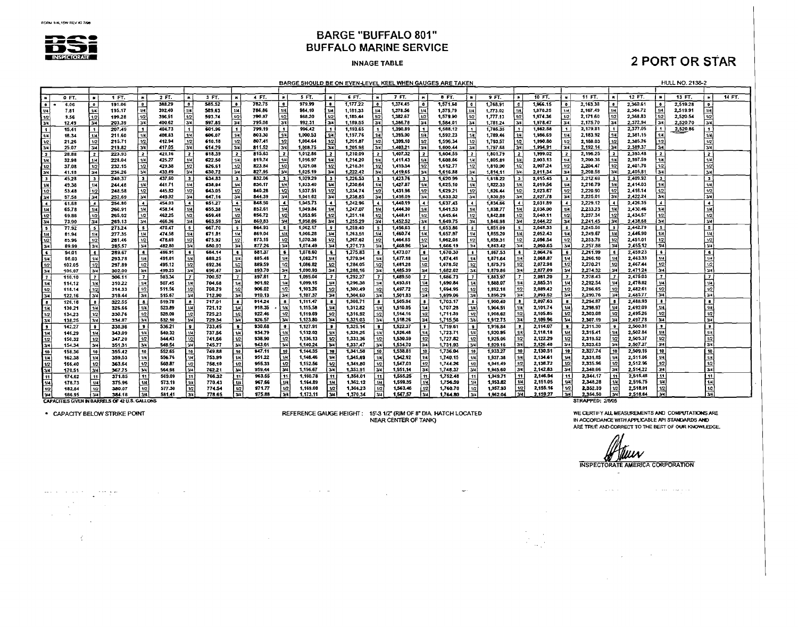

#### **INNAGE TABLE**

# **2 PORT OR STAR**

BARGE SHOULD BE ON EVEN-LEVEL KEEL WHEN GAUGES ARE TAKEN

**HULL NO. 2138-2** 

|                              | 0.5T           | $\bullet$        | 1 FT.                                         | <b>IN</b>               | 2 FT.  |                      | 3 FT.   |                         | 4 FT.   | °.                    | 5 FT.    | ×              | 6 FT.    |                         | 7 FT.    | - 24             | 8 FT.    | $\blacksquare$          | 9 FT.    | - 89                     | $10 FT$ . | $\blacksquare$           | 11 FT.                  | ١ĸ                       | 12 FT.   | İм                      | 13 FT.   | - 68                    | 14 FT. |
|------------------------------|----------------|------------------|-----------------------------------------------|-------------------------|--------|----------------------|---------|-------------------------|---------|-----------------------|----------|----------------|----------|-------------------------|----------|------------------|----------|-------------------------|----------|--------------------------|-----------|--------------------------|-------------------------|--------------------------|----------|-------------------------|----------|-------------------------|--------|
| . .                          | 6.06           | $^{\circ}$       | 191.06                                        | $\blacksquare$          | 388,29 | $\overline{\bullet}$ | 585.52  | ۰.                      | 782.75  |                       | 979,99   |                | 1.177.22 |                         | 1,374.45 | ۰.               | 1,571.68 |                         | 1,768.91 |                          | 1.966.15  | $\bullet$                | 2,163,38                | ۱e                       | 2,360.61 | $\bullet$               | 2.519.28 | $\bullet$               |        |
|                              | 7.81           | l w              | 195.17                                        | امتعا                   | 392.40 | 1/4                  | 589.63  | 1/4                     | 786.86  | l 1/4                 | 984.10   | 1/4            | 1.181.33 | 1/4                     | 1,378.56 | 1/4              | 1,575,79 | 1/4                     | 1.773.02 | 1/4                      | 1,970.25  | 174                      | 2.167.49                | 1/4                      | 2.364.72 |                         | 2,519.91 |                         |        |
| 1/2                          | 9.56           | 1/2              | 199.28                                        |                         | 396,51 | 1/2                  | 593.74  | 1/2                     | 790.97  | 11⁄2                  | \$88.20  | 12             | 1,185,44 | 1/2                     | 1,382.67 | 1/2              | 1,579.90 | 1/2                     | 1,777.13 | 1/2                      | 1,974.36  | 1/2                      | 2,171.60                | 1/2                      | 2,368.83 | 1/2                     | 2,520.54 |                         |        |
|                              | 12.49          | 3/4              | 203.39                                        | $\overline{y}$          | 400.62 | 3/4                  | 597.85  | 34                      | 795.08  | 34                    | 992.31   | 34             | 1,189.55 | 3/4                     | 1,386.78 | $\overline{3/4}$ | 1.584.01 | $\overline{3/4}$        | 1,781.24 | 3/4                      | 1.978.47  | 34                       | 2,175.70                | 3/4                      | 2,372.94 | 3/4                     | 2,520.70 | 3/4                     |        |
| l 1.                         | 15.41          |                  | 207.49                                        | $\mathbf{1}$            | 404.73 | $\mathbf{1}$         | 601.96  | $\mathbf{f}$            | 799.19  |                       | 996,42   | Ι.             | 1,193.65 | $\mathbf{I}$            | 1,390.89 | $\mathbf{r}$     | 1,588.12 | $\mathbf{I}$            | 1,785.35 | $\blacksquare$           | 1,982.58  | $\mathbf{1}$             | 2,179.81                | l 1                      | 2,377.05 | i 11                    | 2,520.86 |                         |        |
| w                            | 18.34          | 1/4              | 211.60                                        | $\overline{1/4}$        | 408.83 | 1/4                  | 606.07  | 1/4                     | 803.30  | اسدا                  | 1.000.53 | 144            | 1,197.76 | 1/4                     | 1,395.00 | 1/4              | 1,592.23 | 1/4                     | 1,789.46 | 1/4                      | 1,986.69  | U <sub>4</sub>           | 2,183.92                |                          | 2.381.15 | 1/4                     |          | 1/4                     |        |
| l 1/2 i                      | 21.26          | 1/2              | 215.71                                        | 1/2                     | 412.94 | 1/2                  | 610.18  | 1/2                     | 807.41  | l 1/2                 | 1,004.64 | 1/2            | 1,201,87 | 1/2                     | 1,399.10 | 112              | 1,596.34 | 1/2                     | 1,793.57 | 1/2                      | 1,990.80  | 1/2                      | 2.188.03                | 112                      | 2.385.26 |                         |          | 1/2                     |        |
| 134                          | 25.07          | 34               | 219.82                                        | 3/4                     | 417.05 | lwl                  | 614.29  | 34                      | 811.52  | اسدا                  | 1.008.75 | 3/4            | 1,205.98 | 3/4                     | 1,403.21 | l v4             | 1.600.44 | 3/4                     | 1.797.68 | $\overline{\mathcal{H}}$ | 1,994.91  | ىد ا                     | 2.192.14                | 3/4                      | 2.389.37 | 3/4                     |          | $\overline{374}$        |        |
| 17                           | 28.88          |                  | 223.93                                        |                         | 421.16 | $\overline{z}$       | 618.39  | $\mathbf{z}$            | 815.63  | ìz.                   | 1,012.86 |                | 1,210.09 | $\overline{\mathbf{z}}$ | 1,407.32 | 2                | 1,604.55 | $\overline{\mathbf{2}}$ | 1,801.79 | $\overline{2}$           | 1,999.02  | $\overline{z}$           | 2,196.25                | $\overline{\mathbf{z}}$  | 2.393.48 | $\mathbf{2}^+$          |          | $\overline{z}$          |        |
| $\mathbf{u}$                 | 32.98          | 1/4              | 228.04                                        | 1/4                     | 425.27 | 1/4                  | 622.50  | 1/4                     | 819.74  | 1141                  | 1.016.97 |                | 1,214.20 | 1/4                     | 1.411.43 |                  | 1,608.66 | 18                      | 1,805.89 | 1/4                      | 2.003.13  | 1/4                      | 2,200.36                | 1/4                      | 2.397.59 | 1/4                     |          | 1/4                     |        |
| 1/2                          | 37.08          | 1/2              | 232.15                                        | 1/2                     | 429,38 | 1/2                  | 626.61  | 1/2                     | 823.84  | 112                   | 1,021.08 |                | 1.218.31 | 1/2                     | 1.415.54 | 1/2              | 1,612.77 | 1/2                     | 1,810,00 | 1/2                      | 2,007.24  | 1/2                      | 2,204.47                | 1/2                      | 2,401.70 | 1/2                     |          | 1/2                     |        |
| 3/4                          | 41.18          | 3/4              | 236.26                                        | 3/4                     | 433.49 | 3/4                  | 630.72  | ا 3⁄4                   | 827.95  | 13/4                  | 1,025.19 | 34             | 1,222.42 | 34                      | 1,419.65 | 3/4              | 1.616.88 | 34                      | 1,814.11 | 3/4                      | 2.011.34  | 34                       | 2.208.58                | l 3/4                    | 2.405.81 | <b>Тзи</b>              |          | 34                      |        |
| Iз                           | 45.28          | $\mathbf{a}$     | 240.37                                        | $\bullet$               | 437,50 |                      | 634.83  | ∣3⊧                     | 832.06  | ١з                    | 1,029.29 | د ا            | 1,226.53 | 3                       | 1,423.76 | ١з               | 1.620.99 | $\overline{\mathbf{3}}$ | 1.818.22 | $\overline{\phantom{a}}$ | 2,015.45  | i s                      | 2.212.69                | $\overline{\mathbf{3}}$  | 2,409.92 | Γз⊹                     |          | 7                       |        |
| l w                          |                |                  |                                               |                         | 441.71 |                      | 638.94  | 1/4                     | 836.17  | 11/4                  | 1,033.40 | i 1/4          | 1,230.64 | 1/4                     | 1,427.87 | 1/4              | 1.625.10 | 1/4                     | 1,822.33 |                          | 2.019.56  | 1/4                      | 2,216.79                | 1/4                      | 2.414.03 | 1/4                     |          | 1/4                     |        |
|                              | 49.38          | 1/4<br>1/2       | 244.48<br>248.58                              | 1/2                     | 445.82 | 1/4<br>1/2           | 643.05  | 1/2                     | 840.28  | i 12                  | 1,037.51 |                | 1,234.74 | 12                      | 1.431.98 | 112              | 1,629.21 |                         | 1.826.44 | 12                       | 2,023.67  | 1/2                      | 2,220.90                | 1/2                      | 2,418.14 | 1/2                     |          | $\overline{12}$         |        |
| 112<br>łзи                   | 53.48<br>57.58 | 3/4              | 252.69                                        | 3/4                     | 449.92 | 34                   | 647.16  | 3/4                     | 844.39  | 34                    | 1,041.62 | 30             | 1,238.85 | 34                      | 1,436.09 | 3/4              | 1,633.32 | 1/2<br>3/4              | 1,830.55 | T3/4                     | 2,027.78  | $\overline{34}$          | 2,225.01                | 3/4                      | 2.422.24 | 3/4                     |          | 34                      |        |
| l 4.                         | 61.58          | $\blacktriangle$ | 256.80                                        | $\ddot{\bullet}$        | 454.03 | $\left  \right $     | \$51.27 | $\blacktriangle$        | 848.50  | $\blacktriangleleft$  | 1,045.73 |                | 1,242.96 |                         | 1,440.19 | 4 ا              | 1,637.43 | $\cdot$                 | 1.834.66 |                          | 2.031.89  | $\overline{\phantom{a}}$ | 2,229.12                | $\blacktriangleleft$     | 2.426.35 | $\overline{4}$          |          | ⊺∡                      |        |
| 1/4                          | 65,78          | 1/4              | 260.91                                        | 1/4                     | 458.14 | 1/4                  | 455.38  |                         | 852.61  | 1/4                   | 1.049.84 |                | 1,247.07 | 1/4                     | 1,444.30 |                  | 1,641.53 | 1/4                     | 1,838.77 |                          | 2,036.00  | $\overline{u}$           | 2.233.23                | 1/4                      | 2,430.46 | 1/4                     |          | 1/4                     |        |
| $\left  \frac{1}{2} \right $ | 69.88          | 1/2              | 265.02                                        | 1/2                     | 462.25 | 1/2                  | 659.48  | 1/2                     | 856.72  | 1/2                   | 1.053.95 |                | 1,251.18 | 1/2                     | 1.448.41 | 1/2              | 1.645.64 | 1/2                     | 1.842.88 | 1/2                      | 2,040.11  | $\overline{12}$          | 2.237.34                | 1/2                      | 2.434.57 | $1/2$                   |          | $\overline{12}$         |        |
| 3/4                          | 73,90          | 34               | 269.13                                        | 34                      | 466.36 | 3/4                  | 663.59  | 341                     | 860.83  | 3/4                   | 1.058.06 | 34             | 1.255.29 | $\overline{u}$          | 1,452.52 | 3/4              | 1.649.75 | 34                      | 1.846.98 | 3/4                      | 2.044.22  | 34                       | 2.241.45                | 3/4                      | 2.438.68 | 34.                     |          | 3/4                     |        |
| $\overline{\bullet}$         | <b>77.S2</b>   | 5                | 273.24                                        | $\sim$                  | 470.47 |                      | 667.70  |                         | 864.93  | - 5                   | 1.062.17 |                | 1.259.40 | -5                      | 1,456.63 | Ιī               | 1,653.86 | -5                      | 1,851.09 | -5                       | 2.048.33  | i s                      | 2.245.56                | <b>S</b>                 | 2.442.79 | Γs                      |          | $\overline{\mathbf{s}}$ |        |
| $1/4$                        | 81.94          | 1/4              | 277.35                                        | 1/4                     | 474.58 | 1/4.                 | \$71.81 | 1/4                     | 869.04  | ا 1/4                 | 1.066.28 |                | 1.263.51 | $1/\epsilon$            | 1,460.74 | i 1/4            | 1.657.97 | 1/4                     | 1,855.20 |                          | 2.052.43  | lш                       | 2,249.67                | 1/4                      | 2.446.90 | 1/4                     |          | 1/4                     |        |
| v2                           | 85.96          | 1/2              | 261.46                                        | 1/2                     | 478.69 | 1/2                  | 675.92  | 1/2                     | 873.15  | $\lceil \cdot \rceil$ | 1,070.38 | 1/2            | 1,267.62 | i 10 I                  | 1,464.85 | $\overline{u}$   | 1,662.08 | 1/2                     | 1,859.31 | 1/2                      | 2.056.54  | 1/2                      | 2,253.78                | 1/2                      | 2,451.01 | 1/2                     |          | $\overline{1/2}$        |        |
| 34                           | 89.99          | 3/4              | 285.57                                        | 34                      | 482.80 | w                    | 680.03  | 34'                     | 877.26  | 7/4                   | 1,074.49 | lзи            | 1,271.73 | 3/4                     | 1,468.96 | $\overline{3/4}$ | 1,666.19 | $\overline{3}$          | 1,863.42 | 3/4                      | 2,060.65  | $\overline{34}$          | 2,257.88                | 3/4                      | 2.455.12 | 34                      |          | l 3⁄4                   |        |
|                              | 94.01          |                  | 289.67                                        | $\bullet$               | 486.91 | i s                  | 684.14  |                         | 881.37  | $\epsilon$            | 1,078.60 |                | 1,275.83 |                         | 1,473.07 | i s              | 1,670.30 |                         | 1.867.53 | l S                      | 2,064.76  | $\epsilon$               | 2,261.99                | 6                        | 2,459.23 | l 6                     |          | Γε                      |        |
| 144                          | 98.03          | 1/4              | 293.78                                        | 1/4                     | 491.01 | 1/4                  | 688.25  | 1/4                     | 885.48  | 114                   | 1,082.71 | 144            | 1,279.94 |                         | 1,477.18 | H                | 1.674.41 |                         | 1.871.54 | 114                      | 2.068.87  | 1/4                      | 2.266.10                |                          | 2,463.33 | 1/4                     |          | <b>M</b>                |        |
| 1/2                          | 102.05         | 1/2              | 297.89                                        | 1/2                     | 495.12 | 1/2                  | 692.36  | 1/2                     | 889.59  | 1/2                   | 1,086.82 | $\overline{v}$ | 1,284.05 |                         | 1,481.28 | 1/2              | 1,678.52 | 1/2                     | 1,875,75 | 1/2                      | 2.072.98  | 1/2                      | 2,270.21                | 1/2                      | 2.467.44 | 1/2                     |          | $\overline{1/2}$        |        |
| l 3/4                        | 106.07         | 3/4              | 302.00                                        | 34                      | 499.23 | 3/4                  | 696,47  | 34                      | 893.70  |                       | 1,090.93 | مىد ا          | 1,288,16 |                         | 1,485.39 | 34               | 1,682.62 | 34                      | 1,879.86 | 34                       | 2.077.09  | $\overline{34}$          | 2.274.32                | 34                       | 2.471.24 | 3/4                     |          | 134                     |        |
| l 7                          | 110.10         | $\overline{7}$   | 306.11                                        | $\mathbf{z}$            | 503.34 | $\mathbf{7}$         | 700.57  |                         | 897.81  |                       | 1,095.04 | 17             | 1,292.27 |                         | 1,489.50 | $\mathbf{r}$     | 1.686.73 | - 7                     | 1.883.97 | $\overline{7}$           | 2.081.20  | $\overline{z}$           | 2,278.43                | ΙT                       | 2,475.03 | $\lceil 7 \rceil$       |          | ΓZ                      |        |
| 114                          | 114.12         | 1/4              | 310.22                                        | 1/4                     | 507.45 | 1/4                  | 704.68  | 1/4                     | 901.92  | 414                   | 1.099.15 | 114            | 1,296.38 |                         | 1,493.61 | 1/4              | 1,690.84 |                         | 1,888.07 |                          | 2,085.31  | $\boldsymbol{u}$         | 2.282.54                | м                        | 2.478.82 | 1/4                     |          | 1JA                     |        |
| $\frac{1}{2}$                | 118.14         | 1/2              | 314.33                                        | 1/2                     | 511.56 | 1/2                  | 708.79  | U2                      | 906.02  | 1/2                   | 1,103.26 | 1/2            | 1.300.49 |                         | 1,497.72 | $\overline{u}$   | 1,694.95 | 1/2                     | 1,892.16 | 1/2                      | 2.089.42  | 1/2                      | 2,286.65                | 1/2                      | 2.482.61 | $\overline{12}$         |          | $\overline{1/2}$        |        |
|                              | 122.16         | 3/4              | 318.44                                        | 34                      | 515.67 | 34                   | 712.90  | 34                      | 910.13  | ا»ھآ                  | 1.107.37 | أعدا           | 1,304.60 | 3/4                     | 1.501.83 | l v4             | 1,699.06 | 3/4                     | 1,896.29 | -3/4                     | 2,093.52  | تتجا                     | 2.290.76                | 36                       | 2,485.77 | 34                      |          | l 34                    |        |
| l s                          | 126.18         | 8                | 322.55                                        | 8                       | 519.78 | i s                  | 717.01  | $\bullet$               | 914.24  | $\bullet$             | 1.111.47 | l s            | 1,308.71 |                         | 1,505.94 | ь.               | 1,703.17 |                         | 1,900,40 | $\bullet$                | 2.097.63  | l s                      | 2,294.87                | $\mathbf{a}$             | 2,488.93 | l'al                    |          | Γs                      |        |
| 1/4                          | 130.21         | 1/4              | 326.66                                        | 1/4                     | 523.89 | 1/4                  | 721.12  | 1/4                     | 918.35  | 1/4                   | 1,115.58 | i un'          | 1,312.82 |                         | 1,510.05 | 1/4              | 1,707.28 | 1/4                     | 1,964.51 | 1/4                      | 2,101.74  | $\overline{\mathbf{u}}$  | 2,298.97                | l us                     | 2,492.09 | 1/4                     |          | Гŵ                      |        |
| 1/2                          | 134.23         | 1/2              | 330.76                                        | 1/2                     | 528.00 | 1/2                  | 725.23  |                         | 922.46  | $+2$                  | 1,119.59 | 1/2            | 1,316.92 | 1/2                     | 1,514.16 | $\overline{17}$  | 1,711.39 | 1/2                     | 1,908.62 | 1/2                      | 2,105.85  | $\overline{12}$          | 2,303.08                | 1/2                      | 2.495.26 | 1/2                     |          | 1/2                     |        |
| 3/4                          | 138.25         | 3/4              | 334.87                                        | 3/4                     | 532.10 | 34                   | 729.34  | $\frac{1/2}{3/4}$       | \$26.57 | 74                    | 1,123.80 | اعتدا          | 1,321.03 | اعتدا                   | 1518.26  | 34               | 1,715.50 | 3/4                     | 1.912.73 | 3/4                      | 2,109.96  | J۷4                      | 2,307.19                | 3/4                      | 2.497.78 | Гзи                     |          | l 34                    |        |
| Гs                           | 142.27         | ۰.               | 338.98                                        | -9.1                    | 536.21 | $^{\circ}$           | 733.45  | $\bullet$               | 930.68  |                       | 1,127.91 | . .            | 1,325.14 |                         | 1,522.37 | $\bullet$        | 1.719.61 | - 9                     | 1,916.84 | $\bullet$                | 2.114.07  | i s                      | 2.311.30                | $\bullet$                | 2,500.31 | ۱.,                     |          | İĩ                      |        |
| 114                          | 146.29         | 1/4              | 343.09                                        | 1/4                     | 540.32 | i sra i              | 737.56  | 1/4                     | 934.79  | 1/4                   | 1,132.02 | l sus l        | 1 329 25 | 1/4                     | 1,526.48 | 174              | 1,723.71 | l 1/4 l                 | 1.920.95 | 1/4                      | 2.118.18  | lш                       | 2.315.41                | 1/4                      | 2.502.84 | 1/4                     |          | 1/4                     |        |
| 1/2                          | 150.32         | 1/2              | 347.20                                        | 1/2                     | 544.43 | $\overline{1/2}$     | 741.66  | u2                      | 938.90  | 1/2                   | 1,136.13 | 1/2            | 1.333.36 | 1/2                     | 1,530,59 | 1/2              | 1,727.82 | 1/2                     | 1.925.06 | 1/2                      | 2.122.29  | 1/2                      | 2.319.52                | $\overline{12}$          | 2.505.37 | 12                      |          | $\overline{12}$         |        |
| 3/4                          | 154.34         | 3/4              | 351.31                                        | 3/4                     | 548.54 | 34                   | 745.77  | 3/4                     | 943.01  | ایردا                 | 1.140.24 | 34             | 1.337.47 | $\overline{34}$         | 1,534.70 | 34               | 1,731.93 | 3/4                     | 1,929.16 | 3/4                      | 2,126.40  | 34                       | 2,323.63                | $\overline{34}$          | 2,507.27 | 3/4                     |          | 34                      |        |
| 10                           | 158.36         | 10               | 355.42                                        | 10                      | 552.65 | 10 <sub>1</sub>      | 749.88  | -10                     | 947.11  | 10                    | 1,144.35 | 10             | 1,341.58 | 10 <sup>1</sup>         | 1,538.81 | 10               | 1,736.04 | 10                      | 1.933.27 | 10                       | 2,130.51  | 10                       | 2,327.74                | 10                       | 2.509.16 | 10                      |          | $\overline{10}$         |        |
| 1/4                          | 162.38         | 1/4              | 359.53                                        | 1/4                     | 556.76 | 1/4                  | 753.99  | 14                      | 951.22  | 14                    | 1,148.46 | 144            | 1,345,69 | انعتا                   | 1.542.92 | $+14$            | 1,740.15 | 1/4                     | 1,937.38 | 1/4                      | 2,134.61  | 1/4                      | 2,331.85                | 1/4                      | 2,511.06 | 1/4                     |          | l tu                    |        |
| 1/2                          | 166,40         | 1/2              | 363.64                                        | 1/2                     | 560.87 | 1/2                  | 758,10  | 1/2                     | 955.33  | 1/2                   | 1.152.56 | 12             | 1.349.80 | 1/2                     | 1,547.03 | 1/2              | 1,744.26 | 112                     | 1,941.49 | 1/2                      | 2,138.72  | 1/2                      | 2,335.96                | 1/2                      | 2.512.96 | 1/2                     |          | $\overline{12}$         |        |
|                              | 170.51         | 34               | 367.75                                        | $\overline{\mathbf{y}}$ | 564.98 | 34                   | 762.21  | 34                      | 359.44  | 344                   | 1.156.67 | 34             | 1,353.91 | 3/4                     | 1,551.14 | l 34             | 1,748.37 | 3/4                     | 1,945.60 | 3/4                      | 2.142.83  | ख                        | 2.340.06                | $\overline{\mathbf{34}}$ | 2.514.22 | 34                      |          | 34                      |        |
| i 11                         | 174.62         | 11               | 371.85                                        | 11                      | 569.09 | 11                   | 766.32  | 11                      | 963.55  | 11                    | 1,160.78 | 11             | 1,358.01 | 11                      | 1.555.25 | 11               | 1,752.48 | İ 11                    | 1.949.71 | 11                       | 2,146.94  | 11                       | 2,344.17                | l 11                     | 2.515.48 | $\overline{\mathbf{1}}$ |          | $\overline{11}$         |        |
| 1/4                          | 178.73         | 1/4              | 375.96                                        | 144                     | 573.19 | 1/4                  | 770.43  | l tri                   | 967.66  | 1/4                   | 1,164.89 |                | 1,362.12 | 14                      | 1,559.35 | 1/4              | 1,756.59 | 1/4                     | 1.953.02 | 114                      | 2.151.05  | $\mathbf{u}$             | 2.348.28                | 1/4                      | 2,516.75 |                         |          |                         |        |
| 1/2                          | 182.84         | $\overline{1/2}$ | 380.07                                        | $\overline{12}$         | 577.30 | 1/2                  | 774.54  | $\overline{u}$          | 971.77  | $\overline{1/2}$      | 1,169.00 | 1/2            | 1,366.23 | 1/2                     | 1,563.46 | 1/2              | 1,760.70 | 12                      | 1,957.93 | 1/2                      | 2.155.16  | $ {\bf u}$               | 2.352.39                | $^{\mathrm{1/2}}$        | 2,518.01 | 12                      |          |                         |        |
| $\overline{\mathbf{y}}$      | 186.95         | 34               | 384.18                                        | 344                     | 581.41 | $\overline{34}$      | 778.65  | $\overline{\mathbf{u}}$ | 975.88  | $\overline{3}$ /4     | 1,173.11 | 34             | 1,370.34 | 34                      | 1,567,57 | انتدا            | 1,764.80 |                         | 1.962.04 |                          | 2.159.27  | $\overline{\mathbf{u}}$  | 2.356.50                | $\overline{34}$          | 2.518.64 | 34                      |          | 실험품                     |        |
|                              |                |                  | <b>CAPACITIES GIVEN IN BARRELS OF 42 U.S.</b> | <b>GALLONS</b>          |        |                      |         |                         |         |                       |          |                |          |                         |          |                  |          |                         |          |                          |           |                          | <b>STRAPPED: 2/8/05</b> |                          |          |                         |          |                         |        |

where the state  $\mathcal{O}(\mathcal{O}(n^2))$  and  $\mathcal{O}(\mathcal{O}(n^2))$  . The state  $\mathcal{O}(\mathcal{O}(n^2))$ 

\* CAPACITY BELOW STRIKE POINT

 $\mathcal{L}$ 

REFERENCE GAUGE HEIGHT: 15-3 1/2" (RIM OF 8" DIA. HATCH LOCATED NEAR CENTER OF TANK)

 $\mathcal{A}^{\mathcal{A}}$  , where  $\mathcal{A}^{\mathcal{A}}$  are  $\mathcal{A}^{\mathcal{A}}$  , and  $\mathcal{A}^{\mathcal{A}}$  are  $\mathcal{A}^{\mathcal{A}}$  , and

 $\sim$ 

 $\sim$ 

STRAPPED: 2/8/05

 $\mathcal{L}_{\mathcal{A}}$ 

WE CERTIFY ALL MEASUREMENTS AND COMPUTATIONS ARE<br>IN ACCORDANCE WITH APPLICABLE API STANDARDS AND ARE TRUE AND CORRECT TO THE BEST OF OUR KNOWLEDGE.

INSPECTORATE AMERICA CORPORATION

 $\mathcal{L}_{\mathcal{A}}$  and  $\mathcal{L}_{\mathcal{A}}$  are the set of the set of the set of the set of  $\mathcal{A}$ 

 $\sim 100$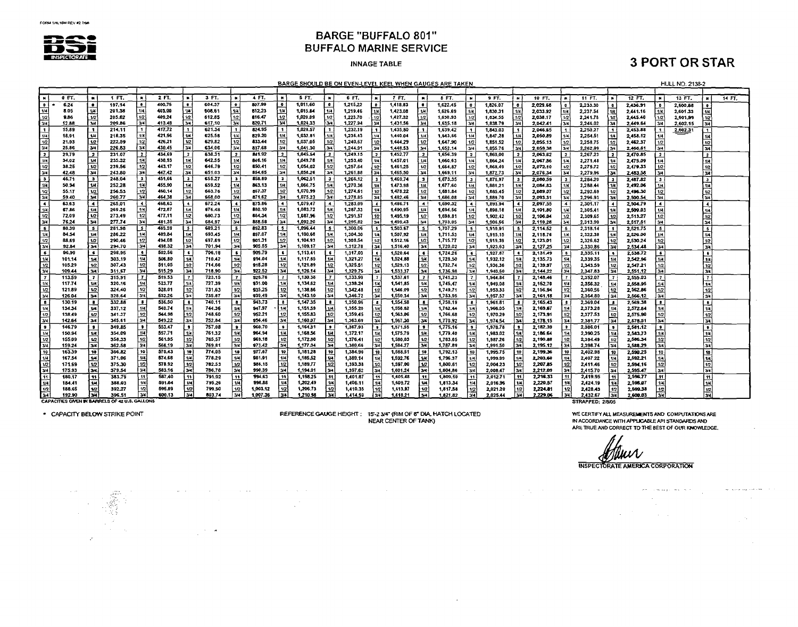

#### **INNAGE TABLE**

# **3 PORT OR STAR**

BARGE SHOULD BE ON EVEN-LEVEL KEEL WHEN GAUGES ARE TAKEN

**HULL NO. 2138-2** 

|                             | 0 FT.                                                    |                          | 1 FT.            |                      | 2 FT.            |                         | 3 FT.            |                         | 4 FT.            |                          | 5 FT.                |                                             | 6 FT.                |                         | 7 FT.                | $\blacksquare$             | 8 FT.                |                                 | 9 FT.                | $\blacksquare$          | 10 FT.               | $\blacksquare$                  | 11 FT.               |                          | 12 FT.               |                         | 13 FT.   | M                       | 14 FT. |
|-----------------------------|----------------------------------------------------------|--------------------------|------------------|----------------------|------------------|-------------------------|------------------|-------------------------|------------------|--------------------------|----------------------|---------------------------------------------|----------------------|-------------------------|----------------------|----------------------------|----------------------|---------------------------------|----------------------|-------------------------|----------------------|---------------------------------|----------------------|--------------------------|----------------------|-------------------------|----------|-------------------------|--------|
| $\bullet$                   | 6.24                                                     | $\bullet$                | 197.14           |                      | 400.75           |                         | 604.37           | ۱o                      | 807.99           | ۰                        | 1,011.60             |                                             | 1,215.22             | i o                     | 1,418.83             | $\bullet$                  | 1.622.45             | $\bullet$                       | 1.826.07             | ۰.                      | 2 029.68             | ۱ø.                             | 2.233.30             | $\bullet$                | 2.436.91             | $\bullet$               | 2,600.68 |                         |        |
| m                           | 8.05                                                     | -144                     | 201.38           | 1/4                  | 405.00           |                         | 608.61           | 14                      | 812.23           | 1/4                      | 1,015.84             | 1/4                                         | 1,219.46             | 1/4                     | 1,423.08             | $^{\prime\prime}$          | 1.626.69             | 1/4                             | 1,830.31             | 1/4                     | 2,033.92             | 1/4                             | 2,237.54             | 1/4                      | 2.441.16             | 1/4                     | 2.601.33 |                         |        |
|                             | 9.86                                                     | 1/2                      | 205.62           | 1/2                  | 409.24           |                         | 612.85           | 1/2                     | 816.47           | $\overline{u}$           | 1,020.09             | 1/2                                         | 1.223.70             | 1/2                     | 1,427.32             | 1/2                        | 1,630.93             | 1/2                             | 1,834.55             | 1/2                     | 2,038.17             | 11/2                            | 2,241.78             | 1/2                      | 2,445.40             | ימו!                    | 2,601.99 |                         |        |
| 3/4                         | 12.88                                                    | $\overline{\mathbf{z}}$  | 209.86           | ايردا                | 413.48           | l 34                    | 617.10           | Γзи                     | 820.71           | 34                       | 1,024.33             | -34                                         | 1,227.94             | 3/4                     | 1,431.56             | 34                         | 1.635.18             | 34                              | 1.838.79             | 3/4                     | 2.042.41             | 3/4                             | 2,246.02             | 34                       | 2.449.64             | 3/4                     | 2,602.15 | 3/4                     |        |
| ا •                         | 15.89                                                    | $\mathbf{1}$             | 214.11           |                      | 417.72           | lı.                     | 621.34           |                         | 824.95           |                          | 1,028.57             | $\mathbf{I}$                                | 1,232.19             | $\overline{\mathbf{1}}$ | 1,435.80             | l 1                        | 1,639.42             | $\mathbf{I}$                    | 1,843.03             |                         | 2.046.65             | l 1.                            | 2,250.27             | $\mathbf{1}$             | 2,453.88             | $\overline{\mathbf{1}}$ | 2,602.31 | $\ddot{\phantom{1}}$    |        |
| 1/4                         | 18.91                                                    | İм                       | 218.35           | 1/4                  | 421.96           | l 144 °                 | 625.58           | 14                      | 829.20           | 1/4                      | 1.032.81             | 1/4                                         | 1,236.43             |                         | 1,440.04             | i 124                      | 1.643.66             | 114                             | 1,847.28             |                         | 2,050.89             | 1/4                             | 2,254.51             | 1/4                      | 2.458.12             | 1/4                     |          | 1/4                     |        |
| $\overline{12}$             | 21.93                                                    | 1/2                      | 222.59           | 1/2                  | 426.21           | 1 12                    | 629.82           | 1/2                     | 833.44           | 1/2                      | 1,037.05             | 1/2                                         | 1.240.67             | 1/2                     | 1.444.29             | 12                         | 1,647.90             | 1/2                             | 1,851.52             | $\overline{u}$          | 2,055.13             | 1/2                             | 2,258.75             | 1/2                      | 246237               | 1/2                     |          | 1/2                     |        |
| 3/4                         | 25.86                                                    | 34                       | 226.83           | 3/4                  | 430.45           | 134                     | 634.06           | 2/4                     | 837.68           | 3/4                      | 1,041.30             | 34                                          | 1,244.91             | $34$                    | 1,448.53             | 34                         | 1.652.14             | 3/4                             | 1.855.76             | 3/4                     | 2.059.38             | 34                              | 2,262.99             | 34                       | 2,466.61             | 3/4                     |          | 34                      |        |
| 2                           | 29.79                                                    | $\overline{z}$           | 231.07           |                      | 434.69           | 2                       | 638.31           | $\overline{z}$          | 841.92           | 12                       | 1,045,54             | - 2                                         | 1,249.15             |                         | 1.452.77             | $\overline{\mathbf{z}}$    | 1,656,39             | l 2                             | 1,860.00             | $\overline{\mathbf{z}}$ | 2.063.52             | Γ2.                             | 2.267.23             | 12                       | 2.470.85             | Γ2.                     |          | $\overline{\mathbf{z}}$ |        |
| 1/4                         | 34,02                                                    | l 114                    | 235.32           | 1/4                  | 438.93           | l w                     | 642.55           | 1/4                     | 846.16           | 1/4                      | 1,049.78             | 1/4                                         | 1,253.40             | 1/4                     | 1,457.01             | 114                        | 1,660.63             | 1/4                             | 1,864.24             |                         | 2.067.86             | 1/4                             | 2,271.48             | 1/4                      | 2475.09              | 1/4                     |          | 114                     |        |
| 1/2                         | 38.25                                                    | 12                       | 239.56           | 1/2                  | 443.17           | i 1/2 l                 | 646.79           | 1/2                     | 850.41           | 1/2                      | 1,054,02             | 1/2                                         | 1,257.64             | 1/2                     | 1,461.25             | 1/2                        | 1,664.87             | 1/2                             | 1,868.49             | 1/2                     | 2,072.10             | $\overline{12}$                 | 2,275.72             | 1/2                      | 2479.33              | 1/2                     |          | $\overline{12}$         |        |
| 34                          | 42.48                                                    | 134                      | 243.80           | 3/4                  | 447.42           | 34                      | 651.03           | 3/4                     | 854.65           | 3/4                      | 1,058.26             | 34                                          | 1,261.88             | 34                      | 1,465,50             | 34                         | 1.669.11             | 3/4                             | 1,872.73             | 3/4                     | 2.076.34             | 3/4                             | 2,279.96             | 34                       | 2,483.56             | 3/4                     |          | 1344                    |        |
| ∣з                          | 46.71                                                    | $\overline{\phantom{a}}$ | 248.04           | $\mathbf{3}$         | 451.66           | -31                     | 655.27           | -31                     | 858.89           | $\mathbf{r}$             | 1.062.51             | 3                                           | 1,266.12             |                         | 1.469.74             | ∣ з                        | 1.673.35             | $\mathbf{z}$                    | 1,876.97             | $\mathbf{a}$            | 2,080.59             | $\mathbf{3}$                    | 2,284.20             | <b>3</b>                 | 2.487.82             | Γз                      |          | ज                       |        |
| 1/4                         | 50.94                                                    | lual                     | 252.28           | 1/4                  | 455.90           | 114 I                   | 659.52           | 1/4                     | 863.13           | 1/4                      | 1,066,75             | l 1/4                                       | 1,270.36             | 1/4                     | 1.473.98             | $\overline{14}$            | 1.677.60             | 1/4                             | 1,881,21             |                         | 2.084.83             | 114                             | 2,288.44             | 11/4                     | 2,492.06             | 1/4                     |          | 14                      |        |
| 1/2                         | 55.17                                                    | 12 <br>3/4               | 256.53           | n<br>34              | 450.14           | 1/2<br>اعدا             | 66376            | 1/2<br>3/4              | 867.37<br>871.62 | 1/2<br>3/4               | 1,070.99             | 1/2  <br>Гзи                                | 1.274.61             | 1/2                     | 1,478.22             | 1/2                        | 1.681.84             | 1/2                             | 1,885.45             |                         | 2,089.07             | 1/2                             | 2.292.69             | 1/2                      | 2,496.30             | 1/2                     |          | 1/2                     |        |
| 3/4                         | 59.40<br>63.63                                           | $\blacktriangleleft$     | 260,77<br>265.01 | $\blacktriangleleft$ | 464,38<br>468,63 |                         | 668.00<br>672.24 |                         | 875.86           | $\overline{\phantom{a}}$ | 1,075.23<br>1,079.47 |                                             | 1,278.85<br>1,283.09 | 34                      | 1,482.46             | 34<br>$\blacktriangleleft$ | 1,686.08<br>1,690.32 | $\overline{3/4}$                | 1.889.70             | 3/4                     | 2.093.31             | 3/4<br>$\overline{\phantom{a}}$ | 2,296.93             | 3/4                      | 2.500.54             | 3/4                     |          | 3/4                     |        |
| i 4<br>1/4                  | 67.86                                                    | $\overline{u}$           | 269.25           | 1/4                  | 472.67           | i tre i                 | 676.48           | $\ddot{\bullet}$<br>1/4 | 880.10           | 1/4                      | 1.083.72             | $\overline{\mathbf{A}}$<br>$\boldsymbol{u}$ | 1,287.33             | 1/4                     | 1,486.71<br>1,490.95 | 1/4                        | 1,694.56             | $\overline{\phantom{a}}$<br>1/4 | 1.893.94             | $\blacktriangleleft$    | 2.097.55             | $\overline{1/4}$                | 2,301.17             | $\overline{\phantom{a}}$ | 2.504.79             | $\blacktriangleleft$    |          | $\overline{\bullet}$    |        |
| 1/2                         | 72.09                                                    | $\mathbf{u}$             | 273.49           | 1/2                  | 477.11           | 12                      | 680.73           | 1/2                     | 884.34           | l 112                    | 1,087.96             | 12                                          | 1.291.57             |                         |                      | 1/2                        |                      | 1/2                             | 1,898.18             | 1/4                     | 2,101.80             |                                 | 2,305.41             | 1/4                      | 2,509.03             | (14)                    |          | 1/4                     |        |
| 3/4                         | 76.24                                                    | 34                       | 277.74           | 34                   | 481.35           | l su l                  | 684.97           | 3/4                     | 888.58           | 13/4                     | 1,092.20             | 34                                          | 1,295.82             | 1/2<br>34               | 1,495,19<br>1,499,43 | 34                         | 1,698.81<br>1.793.05 | 3/4                             | 1,902.42<br>1,906.66 | 12<br>3/4               | 2,106.04<br>2.110.28 | $^{1/2}$<br>3/4                 | 2.309.65<br>2,313.90 | 1/2<br>3/4               | 2,513.27<br>2.517.51 | 1/2<br>34               |          | 1/2<br>34               |        |
| i s                         | 80.39                                                    | $\sim$                   | 281.98           | $\sim$               | 485.59           | $\overline{\mathbf{s}}$ | 689.21           | $\overline{\mathbf{5}}$ | 892.83           |                          | 1,096.44             |                                             | 1.300.06             | $\sim$                  | 1.503.67             | ∣ s                        | 1,707.29             | - 5                             | 1.910.91             | <b>5</b>                | 2.114.52             | -5                              | 2,318.14             | i s                      | 2.521.75             | - 5                     |          | ाऽ                      |        |
| 114                         | 84.54                                                    | 1/4                      | 286.22           | 1/4                  | 489.84           | 114                     | 693,45           | 1/4                     | 897.07           | l 1/4                    | 1,100.68             | 1/4                                         | 1.304.30             | 1/4                     | 1,507.92             | $\mathbf{u}$               | 1.711.53             | 1/4                             | 1.915.15             |                         | 2.118.76             | -14                             | 2,322.38             | 1/4                      | 2,526.00             | 1/4                     |          | $\overline{1/4}$        |        |
| 1/2                         | 88.69                                                    | 12                       | 290,46           | 1/2                  | 494.08           | i vzi                   | 697.69           | 1/2                     | 901.31           | 1/2                      | 1,104.93             | 12                                          | 1 308.54             | 112                     | 1,512.16             | 1/2                        | 1,715.77             | 1/2                             | 1,919.39             | 1/2                     | 2,123.01             | 1/2                             | 2,326.62             | 1/2                      | 2,530.24             | 1/2                     |          | 1/2                     |        |
| 3/4                         | 92.84                                                    | 34                       | 294.70           | 3/4                  | 498.32           | 3/4                     | 701.94           | 34                      | 905.55           | ورد ا                    | 1.109.17             | 34                                          | 1.312.78             | 34                      | 1,516.40             | 134                        | 1,720.02             | 3/4                             | 1.923.63             | 3/4                     | 2.127.25             | $\overline{34}$                 | 2,330.86             | 3/4                      | 2.534.48             | $\sqrt{34}$             |          | 3/4                     |        |
| 6                           | 96.99                                                    | ۰.                       | 298.95           | $\sim$               | 502.56           | -61                     | 706,18           | -6                      | 909.79           |                          | 1.113.41             |                                             | 1,317.03             | 6                       | 1,520.64             | i s                        | 1,724.26             |                                 | 1,927.87             | $\epsilon$              | 2,131.49             | 6                               | 2,335.11             | $\bullet$                | 2,538.72             | 6                       |          | $\overline{\bullet}$    |        |
|                             | 101.14                                                   | 14                       | 303.19           | 1/4                  | 506.80           | 14                      | 710.42           | 14                      | 914.04           | 1/4                      | 1,117.65             |                                             | 1,321.27             | 1/4                     | 1,524,88             | 1/4                        | 1.728.50             |                                 | 1,932.12             | 10                      | 2.135.73             | 1/4                             | 2.339.35             |                          | 2,542.96             | 1/4                     |          | 1/4                     |        |
|                             | 105.29                                                   | 1/2                      | 307.43           | 1/2                  | 511.05           | 1/2                     | 714.56           | 1/2                     | 915.28           |                          | 1.121.89             |                                             | 1,325.51             | 11/2                    | 1,529.13             | 1/2                        | 1.732.74             | 1/2                             | 1,936.36             | 1/2                     | 2,139.97             | n                               | 2,343.59             | 112                      | 2,547.21             | 1/2                     |          | 1/2                     |        |
| $\frac{1}{4}$ $\frac{1}{3}$ | 109.44                                                   | i zver                   | 311.57           | 3/4                  | 515.29           | 34                      | 718.90           | 3/4                     | 922.52           | i 3/4'                   | 1.126.14             |                                             | 1,329.75             | 30                      | 1,533.37             | دد ا                       | 1,736.98             | $\overline{34}$                 | 1,940.60             | 3/4                     | 2144.22              | 3/4                             | 2.347.83             | l va                     | 2,551.12             | 3/4                     |          | 3/4                     |        |
| l 7                         | 113.59                                                   |                          | 315.91           | $\mathbf{r}$         | 519.53           | $\overline{\mathbf{z}}$ | 723.15           | $\mathbf{7}$            | 926.76           |                          | 1,130.38             |                                             | 1,333.99             | l 7                     | 1,537.61             | l 7                        | 1,741.23             | $\overline{\mathbf{z}}$         | 1,944.84             | $\overline{7}$          | 2.148.46             | $\overline{r}$                  | 2.352.07             | I 7                      | 2,555.03             | $\mathbf{7}$            |          | $\overline{7}$          |        |
| $\frac{1}{4}$               | 117.74                                                   | l tur                    | 320.16           | 1/4                  | 523.77           | 14                      | 727.39           | 1/4                     | 931.00           | 1/4                      | 1,134.62             |                                             | 1,338.24             | 1/4                     | 1.541.85             | 1/4                        | 1.745,47             | 1/4                             | 1,949.08             |                         | 2.152.70             | 1/4                             | 2.356.32             | 1/4                      | 2,558.95             |                         |          | 1/4                     |        |
|                             | 121.89                                                   | 1/2                      | 324.40           | $\overline{1/2}$     | 528.01           | 1/2                     | 731.63           | 1/2                     | 935.25           | i 1/2                    | 1.138.86             |                                             | 1,342.48             | 1/2                     | 1,546.09             | $\overline{12}$            | 1.749.71             | 1/2                             | 1,953.33             | 1/2                     | 2,156.94             | $1/2$                           | 2,360.56             | 1/2                      | 2,562.86             | 1/2                     |          | 1/2                     |        |
| 3/4                         | 126.04                                                   | 34                       | 328.64           | $\overline{3/4}$     | 532.26           | 34                      | 735.87           | 34                      | 939.49           | اءلا                     | 1,143.10             |                                             | 1.346.72             | 34                      | 1,550.34             | 3/4                        | 1.753.95             | 3/4                             | 1,957.57             | $\overline{34}$         | 2.161.18             | 3/4                             | 2.364.80             | 3/4                      | 2,566.12             | 3/4                     |          | 3/4                     |        |
| İδ                          | 130.19                                                   | $\bullet$                | 332.88           | $\overline{\bullet}$ | 536,50           | $\bullet$               | 740.11           |                         | 943.73           | $\bullet$                | 1,147.35             |                                             | 1,350.96             | ∣s.                     | 1,554,58             | $\cdot$                    | 1,758.19             |                                 | 1.961.81             | $\bullet$               | 2.165.43             |                                 | 2.369.04             | l s                      | 2,569.38             | Γ∎                      |          | $\bullet$               |        |
| 1/4                         | 134.34                                                   | uч.                      | 337.12           | 1/4                  | 540.74           | 1/4                     | 744.36           | 14 <sup>°</sup>         | 947.97           | l sar                    | 1,151,59             |                                             | 1,355.20             | 184                     | 1,556.82             | $1\mu$                     | 1.762.44             | 1/4                             | 1,966.05             | 1/4                     | 2,169.67             | 1/4                             | 2.373.28             | l 1/4                    | 2,572.64             | 1/4                     |          | 1/4                     |        |
| 1/2                         | 138.49                                                   | U <sub>2</sub>           | 341.37           | 1/2                  | 544,98           | 1/2                     | 748.60           | 1/2                     | 952.21           | l 1/2                    | 1,155.83             |                                             | 1,359,45             | 12                      | 1,563,06             | 1/2                        | 1,766.68             | 1/2                             | 1,970.29             | 1/2                     | 2.173.91             | 1/2                             | 2.377.53             | $\overline{12}$          | 2,575.90             | 12                      |          | 12                      |        |
| 3/4                         | 142.64                                                   | i sa                     | 345.61           | 34                   | 549.22           | 34                      | 752.84           | 34                      | 956.46           | 3/4                      | 1.160.07             |                                             | 1,363.69             | $\overline{\mathbf{y}}$ | 1,567.30             | 34                         | 1,770.92             | 3/4                             | 1,974.54             | 3/4                     | 2,178.15             | 34                              | 2,381.77             | 3/4                      | 2,578.51             | ا 4لا                   |          | 134                     |        |
| l s                         | 146.79                                                   | $\bullet$                | 349.85           | $\bullet$            | 553.47           | $\bullet$               | 757.08           | $\bullet$               | 960.70           | ۰.                       | 1,164.31             |                                             | 1,367.93             |                         | 1,571.55             | i 9                        | 1.775.16             |                                 | 1.978.78             |                         | 2,182.39             | $\bullet$                       | 2.386.01             | i s                      | 2.581.12             | $\bullet$               |          | $\overline{\bullet}$    |        |
| 1/4                         | 150.94                                                   | 14                       | 354.09           | 1/4                  | 557.71           | 1/4                     | 761.32           | 114                     | 964.94           | 174                      | 1,168.56             |                                             | 1,372.17             | 14                      | 1,575.79             | 1/4                        | 1,779.40             | 1/4                             | 1,983.02             | 1/4                     | 2,186.64             | 1/4                             | 2,390.25             | 1/4                      | 2,583,73             | 1/4                     |          | 1/4                     |        |
| 1/2                         | 155.09                                                   | 12                       | 358.33           | 1/2                  | 561.95           | 1/2                     | 765.57           | 1/2                     | 969.18           | l 1/2 l                  | 1,172,80             |                                             | 1.376.41             | 1/2                     | 1,530,03             | 1/2                        | 1,783.65             | 1/2                             | 1,987.26             | 1/2                     | 2.190.88             | 1/2                             | 2.394.49             | 1/2                      | 2.586.34             | 1/2                     |          | 1/2                     |        |
| 3/4                         | 159.24                                                   | 34                       | 362.58           | 34                   | 566.19           | 341                     | 769.81           | 34                      | 973.42           | ভিদ                      | 1,177.04             |                                             | 1,380.66             | 3/4                     | 1,584.27             | 34                         | 1,787.89             | <b>34</b>                       | 1,991.50             | $\overline{34}$         | 2,195.12             | 34                              | 2.398.74             | l 3/4                    | 2.588.29             | 3/4                     |          | 34                      |        |
| i 10                        | 163.39                                                   | -10                      | 366.82           | 10                   | 570.43           | 19 <sup>1</sup>         | 774.05           | 10                      | 977.67           | 10                       | 1.181.28             | 10                                          | 1.384.90             | 10                      | 1,588.51             | 10                         | 1.792.13             | 10                              | 1,995.75             | 10                      | 2,199.36             | 10                              | 2,402.98             | l 10                     | 2,590.25             | 10                      |          | $\overline{10}$         |        |
| 1/4                         | 167.54                                                   | 14                       | 371.06           |                      | 574.68           | 1/4                     | 778.29           | 1/4                     | 981.91           | 144                      | 1,185,52             |                                             | 1.389.14             | 1/4                     | 1,592.76             | 1/4                        | 1,796.37             | 1/4                             | 1,999.99             | 1/4                     | 2,203.60             | $\overline{\mathbf{u}}$         | 2,407.22             | l 114                    | 2,592.21             | 114                     |          | 114                     |        |
|                             | 171.69                                                   | 12                       | 375.30           | 1/2                  | 578.92           | 1/2                     | 782.53           | 1/2                     | \$66.15          | 1 1/2 I                  | 1,189.77             | 1/2                                         | 1.393.38             | 1/2                     | 1,597.00             | 1/2                        | 1,800.61             | 1/2                             | 2,004.23             | 1/2                     | 2.207.85             | 1/2                             | 2,411.46             | 1/2                      | 2,594.16             | 1/2                     |          | 1/2                     |        |
|                             | 175.93                                                   | لعندا                    | 379.54           | 3/4                  | 583.16           | 34                      | 786,78           | 3/4                     | 990.39           | 13/41                    | 1,194.01             | س: ا                                        | 1.397.62             | 34                      | 1,601.24             | 3 <sup>2</sup>             | 1,804.86             | 3/4                             | 2,008.47             | 3/4                     | 2.212.09             | 3/4                             | 2.415.70             | 34                       | 2.595.47             | w                       |          | l 374                   |        |
| 11                          | 180.17                                                   | <b>11</b>                | 383.79           | 11                   | 587,40           | 11                      | 791.02           | 11                      | 994.63           | i 11 I                   | 1,198.25             | l 11                                        | 1,401.87             | i 11 i                  | 1,605,48             | 11                         | 1,809.10             |                                 | 2,012.71             | 11                      | 2,216.33             | 11                              | 2,419.95             | 11                       | 2,596.77             | 11                      |          | $\overline{11}$         |        |
|                             | 184.41                                                   | 14                       | 388.03           | 1/4                  | 591.64           | 1/4                     | 795.26           | 1/4                     | 998.88           | 1441                     | 1,202.49             | 144                                         | 1,406.11             |                         | 1,609.72             | l w                        | 1,813.34             | 114                             | 2,016.96             | 1/4                     | 2,220.57             |                                 | 2,424.19             | 1/4                      | 2.596.07             | $4\mu$                  |          |                         |        |
| l 1/2                       | 188.65                                                   | 12                       | 392.27           | 1/2<br>34            | 595.89           | 1/2<br>3/4              | 799.50           | $\overline{12}$<br>34   | 1,003.12         | 12                       | 1,206.73             | 1/2<br>344                                  | 1,410.35             | امتدا                   | 1,613.97             | 1/2<br>l sul               | 1.817.58             | 1/2                             | 2.021.20             | 1/2                     | 2.224.81             | 1/2                             | 2,428.43             | 1/2                      | 2.599.38             | 1/2<br>জি               |          | $\frac{1}{34}$          |        |
| امردا                       | 192,90<br>CAPACITIES GIVEN IN BARRELS OF 42 U.S. GALLONS | 3/4                      | 396,51           |                      | 600.13           |                         | 803,74           |                         | 1.007.36         | 3/4                      | 1,210.98             |                                             | 1,414.59             |                         | 1,618.21             |                            | 1.821.82             | 3/4                             | 2.025.44             | 3/4                     | 2,229.06             | 341                             | 2,432.67             | 3/4                      | 2.600.03             |                         |          |                         |        |
|                             |                                                          |                          |                  |                      |                  |                         |                  |                         |                  |                          |                      |                                             |                      |                         |                      |                            |                      |                                 |                      |                         |                      |                                 | STRAPPED: 2/8/05     |                          |                      |                         |          |                         |        |

• CAPACITY BELOW STRIKE POINT

REFERENCE GAUGE HEIGHT: 15-2 3/4" (RIM OF 8" DIA, HATCH LOCATED NEAR CENTER OF TANK)

 $\mathcal{A}$  is a set of the set of the set of the set of the set of the set of the  $\mathcal{A}$ 

 $\alpha$  ,  $\alpha$  ,  $\alpha$  ,  $\alpha$  ,  $\alpha$ 

 $\mathcal{L}^{\text{max}}_{\text{max}}$ 

WE CERTIFY ALL MEASUREMENTS AND COMPUTATIONS ARE IN ACCORDANCE WITH APPLICABLE API STANDAREDS AND ARE TRUE AND CORRECT TO THE BEST OF OUR KNOWLEDGE.

 $\label{eq:2.1} \mathcal{L}_{\mathcal{A}}(x) = \mathcal{L}_{\mathcal{A}}(x) + \mathcal{L}_{\mathcal{A}}(x) + \mathcal{L}_{\mathcal{A}}(x)$ 

 $\mathcal{A}^{\mathcal{A}}$  and  $\mathcal{A}^{\mathcal{A}}$  and  $\mathcal{A}^{\mathcal{A}}$ 

 $\mathcal{L}^{\mathcal{L}}$  is the contract of the contract of  $\mathcal{L}^{\mathcal{L}}$ 

 $\sim$ 

**INSPECTORATE AMERICA CORPORATION** 

 $\sim 10^{-11}$ 

 $\label{eq:2} \frac{1}{\sqrt{2}}\left( \left\{ \left( \frac{1}{\sqrt{2}}\right) \left( \frac{1}{\sqrt{2}}\right) \left( \frac{1}{\sqrt{2}}\right) \left( \frac{1}{\sqrt{2}}\right) \left( \frac{1}{\sqrt{2}}\right) \left( \frac{1}{\sqrt{2}}\right) \left( \frac{1}{\sqrt{2}}\right) \left( \frac{1}{\sqrt{2}}\right) \left( \frac{1}{\sqrt{2}}\right) \left( \frac{1}{\sqrt{2}}\right) \left( \frac{1}{\sqrt{2}}\right) \left( \frac{1}{\sqrt{2}}\right) \left( \$ 

 $\omega_{\rm{max}}$  , and a single section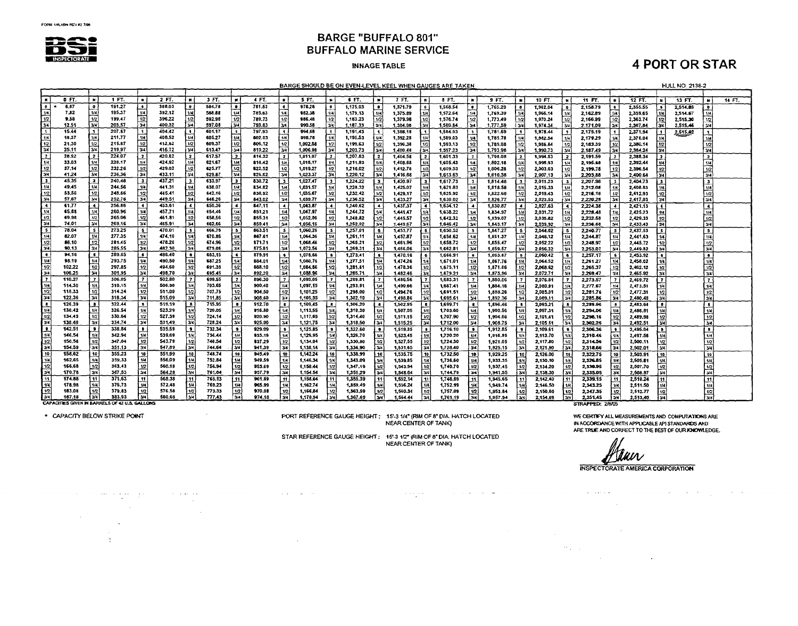

#### **INNAGE TABLE**

### **4 PORT OR STAR**

BARGE SHOULD BE ON EVEN-LEVEL KEEL WHEN GAUGES ARE TAKEN

HULL NO. 2138-2

|                                                 |         |                     |                                                       |                         |        |                   |        |                         |         |                  |          |                         | BARGE SHOULD BE ON EVEN-LEVEL KEEL WHEN GAUGES ARE TAKEN |                          |          |                          |          |                         |          |                          |          |                          |                  |                          |           |                          | HULL NO. 2138-2 |                                |        |
|-------------------------------------------------|---------|---------------------|-------------------------------------------------------|-------------------------|--------|-------------------|--------|-------------------------|---------|------------------|----------|-------------------------|----------------------------------------------------------|--------------------------|----------|--------------------------|----------|-------------------------|----------|--------------------------|----------|--------------------------|------------------|--------------------------|-----------|--------------------------|-----------------|--------------------------------|--------|
|                                                 |         |                     |                                                       |                         |        |                   |        |                         |         |                  |          |                         |                                                          |                          |          |                          |          |                         |          |                          |          |                          |                  |                          |           |                          |                 |                                |        |
| İκ                                              | $0$ FT. |                     | 1 F.                                                  | $\blacksquare$          | 2F.    | $\blacksquare$    | 5F.    | $\mathbf{r}$            | 4 FT.   | $\blacksquare$   | 5 FT.    |                         | 6 FT.                                                    |                          | 7 FT.    | $\mathbf{R}$             | $8F$ .   | $\blacksquare$          | 9T.      | $\blacksquare$           | 10 FT.   | - 24                     | 11 FT.           | lκ                       | $12 FT$ . | . .                      | 13 FT.          | $\blacksquare$                 | 14 FT. |
| i o                                             | 6.07    |                     | 191.27                                                | $\bullet$               | 388.03 |                   | 584.78 | ه ا                     | 781.53  | ∣∙               | 978.26   |                         | 1,175.03                                                 | ം                        | 1,371.79 | ∣o.                      | 1,568.54 | $\bullet$               | 1,765.29 | ۱۰                       | 1,962.04 | $\bullet$                | 2,158.79         | $\bullet$                | 2,355.55  |                          | 2,514.03        |                                |        |
|                                                 | 7,82    | 1/4                 | 195.37                                                | -1/4                    | 392.12 | 1/4               | 588.88 | 144                     | 745.63  | 1/4              | 982.38   | 1/4                     | 1.179.13                                                 | u                        | 1,375.89 | 1/4                      | 1,572.54 | 7/4                     | 1.769.39 | 1/4                      | 1.966.14 | 1/4                      | 2.162.89         | 14                       | 2,359.65  | 1/4                      | 2.514.57        |                                |        |
|                                                 | 9.58    |                     | 199.47                                                | $\overline{12}$         | 396.22 | 1/2               | 592.98 | 1/2                     | 789.73  | 1/2              | 986.48   | 1/2                     | 1,183.23                                                 | 1/2                      | 1.379.98 | 12                       | 1,576.74 | 1/2                     | 1,773.49 | 1/2                      | 1.970.24 | 1/2                      | 2.166.39         | 1/2                      | 2,363.74  | i trzl                   | 2,515.30        |                                |        |
| $\frac{1}{3}$<br>$\frac{1}{3}$<br>$\frac{1}{4}$ | 12.51   | $\frac{1}{2}$       | 203.57                                                | izval                   | 400.32 |                   | 597.08 | اتت                     | 793.83  | 34.              | 990.58   | ەندا                    | 1,187.33                                                 | بردا                     | 1.384.08 | 3/4                      | 1,580.84 | Гэч                     | 1.777.59 | 24                       | 1.974.34 | 3/4                      | 2,171.09         | 3/4                      | 2,367.84  | 134                      | 2,515.46        |                                |        |
| π                                               | 15.44   | ١ï                  | 207.67                                                | $\blacksquare$          | 404.42 |                   | 601.17 | l 1.                    | 797.93  | li.              | 994.68   | $\blacksquare$          | 1,191.43                                                 | $\mathbf{1}$             | 1.388.18 | ۱۱.                      | 1,584.93 | $\blacksquare$          | 1,781.69 | $\mathbf{I}$             | 1,978.44 | $\overline{\mathbf{1}}$  | 2.175.19         | $\mathbf{1}$             | 2,371.94  | i 1 I                    | 2,515.62        |                                |        |
| $\overline{114}$                                | 18,37   | 1/4                 | 211.77                                                | 1/4                     | 408,52 | 1/4               | 605.27 | $1/\sqrt{2}$            | 802.03  | $\overline{1/4}$ | 998.78   | 1/4                     | 1.195.53                                                 | 1/4                      | 1.392.28 | 114                      | 1.589.03 | 1/4                     | 1,785.78 | $^{\prime}$              | 1,982.54 | 1/4                      | 2,179.29         | 1/4                      | 2,376.04  |                          |                 |                                |        |
| 112                                             | 21.30   | 1/2                 | 215.87                                                | 1/2                     | 412,62 | $\bar{1}$         | 609.37 | 1/2                     | 806.12  | $ \bar{12} $     | 1.002,88 | $\overline{12}$         | 1,199.63                                                 | 1/2                      | 1,396.38 | $\overline{1/2}$         | 1,593.13 | 1/2                     | 1,789.88 | 1/2                      | 1,986.54 | 1/2                      | 2,183.39         | 1/2                      | 2,380.14  | 1/2                      |                 | 1/2                            |        |
| 34                                              | 25.11   | 34                  | 219.97                                                | 341                     | 416.72 | 34                | 613.47 | 34                      | 810.22  | 34               | 1,006.98 | 34                      | 1,203.73                                                 | зи                       | 1,400.48 | $\overline{34}$          | 1,597.23 | $\overline{34}$         | 1,793.98 | $\overline{3/4}$         | 1.990.73 | 3/4                      | 2.187.49         | Īзи                      | 2.384.24  | 3/4                      |                 | Гзи                            |        |
| $\overline{z}$                                  | 28.92   | l 2                 | 224.07                                                |                         | 420.82 |                   | 617.57 | <u>  2</u>              | 814.32  | $\mathbf{z}$     | 1,011,07 | $\overline{\mathbf{z}}$ | 1 207.83                                                 | <b>2</b>                 | 1,404.58 | I 2                      | 1.601.33 | $\overline{z}$          | 1,798.08 | $\overline{2}$           | 1,994.83 | $\overline{\mathbf{z}}$  | 2,191.59         | $\overline{\mathbf{z}}$  | 2,388.34  | $\overline{\mathbf{z}}$  |                 | <u>2</u>                       |        |
| 1/4                                             | 33.03   | $\overline{1}$      | 228.17                                                | 1/4                     | 424.92 | 114               | 621.67 | 194                     | 818.42  | 1/4              | 1,015.17 | 1/4                     | 1,211.93                                                 | 1/4                      | 1,408.68 | 1/4                      | 1,605.43 | 14                      | 1,802.18 | $\overline{u}$           | 1,998.93 | 1/4                      | 2,195.68         | 1/4                      | 2,392.44  |                          |                 | $\sqrt{1/4}$                   |        |
| 1/2                                             | 37,14   | 1/2                 | 232.26                                                |                         | 429.02 | 1/2               | 625.77 | 1/2                     | 822.52  | 12               | 1,019.27 | 12                      | 1,216.02                                                 | $\vert n \vert$          | 1,412.78 | 1/2                      | 1,609.53 | 1/2                     | 1,806.28 | 1/2                      | 2,003.03 | 1/2                      | 2,199.78         | 1/2                      | 2.396.54  | 1/2                      |                 | 1/2                            |        |
| ķ                                               | 41.24   | 34                  | 236.36                                                | $\frac{12}{34}$         | 433.11 |                   | 629.87 | 3/4                     | 826.62  | उप               | 1.023.37 | ज्य ।                   | 1,220.12                                                 | 3/4                      | 1,416.88 | $\overline{3/4}$         | 1,613.63 | 34                      | 1,810.38 | 34                       | 2.007.13 | 3/4                      | 2.203.88         | 3/4                      | 2,400.64  | $\overline{u}$           |                 | T3/4 I                         |        |
|                                                 | 45.35   | ີສ                  | 240.46                                                | $\overline{\mathbf{3}}$ | 437.21 |                   | 633.97 | l 3                     | 830.72  | 13.              | 1,027,47 | - 3                     | 1,224.22                                                 | $\overline{\phantom{a}}$ | 1,420.97 | $\overline{\phantom{a}}$ | 1,617.73 | $\mathbf{3}$            | 1.814.48 | $\overline{\mathbf{3}}$  | 2,011.23 | $\overline{\phantom{a}}$ | 2,207.98         | 3                        | 2,404.73  | i3 1                     |                 | ີ3                             |        |
| $\frac{3}{1/4}$                                 | 49,45   | 174                 | 244.56                                                | 1/4                     | 441.31 |                   | 638.07 | 1/4                     | 834.82  | 114              | 1,031.57 | 144                     | 1,228.32                                                 | $\overline{1/4}$         | 1,425.07 | 7/4                      | 1,621.83 | l 14                    | 1,818.58 | 1/4                      | 2.015.33 | 1/4                      | 2,212.08         | 1H                       | 2,408.83  |                          |                 | 1/4                            |        |
| $\overline{12}$                                 | 53.56   | 1/2                 | 248.66                                                | 1/2                     | 445.41 | 1/2               | 642.16 |                         | 830.92  | $ \bar{12} $     | 1,035.67 | 1/2                     | 1,232.42                                                 | 12                       | 1,429.17 | 1/2                      | 1,625.92 | 1/2                     | 1,822.65 | 1/2                      | 2,019.43 | 1/2                      | 2,216.18         | 10                       | 2,412.93  | 1/2                      |                 | 1/2                            |        |
| 3/4                                             | 57,67   | ya                  | 252.76                                                | ख्यि                    | 449.51 | 3/4               | 646.26 | $\frac{1/2}{3/4}$       | 843.02  | 314              | 1.039.77 | 34.                     | 1,236.52                                                 | 34                       | 1.433.27 | $\overline{3}$           | 1,630.02 | 34                      | 1,826.77 | 3/4                      | 2,023.53 | 3/4                      | 2,220.28         | 54                       | 2,417,03  | 34                       |                 | 3/4                            |        |
| l∡.                                             | 61,77   | $\blacktriangle$    | 256.86                                                | $\bullet$               | 453.61 |                   | 650.36 | - 4                     | 847.11  | $\overline{4}$   | 1.043.87 |                         | 1,240.62                                                 |                          | 1,437.37 | $\overline{\phantom{a}}$ | 1.634.12 | $\clubsuit$             | 1.830.87 | $\overline{\phantom{a}}$ | 2,027.63 | L.                       | 2,224.38         | $\overline{\phantom{a}}$ | 2.421.13  |                          |                 | $\overline{\bullet}$           |        |
| $\overline{1/4}$                                | 65.88   | 1/4                 | 260.96                                                | 1/4                     | 457.71 | 1/4               | 654.46 |                         | 851.21  | 14               | 1,047.97 | $\frac{1}{10}$          | 1,244.72                                                 | $\overline{\mathbf{u}}$  | 1,441.47 | $\overline{1/4}$         | 1.638.22 | $\overline{\mathbf{u}}$ | 1.834.97 | $\overline{M}$           | 2.031.72 | 1/4                      | 2.228.48         | -14                      | 2,425.23  |                          |                 | 1/4                            |        |
| 1/2                                             | 49,98   | 12                  | 265.06                                                | $\overline{12}$         | 461.81 | 1/2               | 658,56 | 1/2                     | 855.31  | 1/2              | 1,052.06 | 1/2                     | 1,248.82                                                 | 1/2                      | 1.445.57 | $\overline{12}$          | 1.642.32 |                         | 1,839.07 | $\overline{12}$          | 2.035.82 | 1/2                      | 2,232.58         |                          | 2.429.33  |                          |                 | $\sqrt{1/2}$                   |        |
| 34                                              | 74.01   | اءلا                | 269.16                                                | 3/4                     | 465.91 | 34                | 662.66 | ه د ا                   | 859.41  | 124              | 1,056.16 | 34                      | 1,252.92                                                 | $\overline{34}$          | 1.449.67 | $\overline{3/4}$         | 1,646.42 | $\frac{1}{2}$           | 1,343.17 | 34                       | 2,039.92 | $\overline{3}$           | 2.236.68         | $\frac{1}{2}$            | 2.433.43  | $\overline{\mathcal{H}}$ |                 | 34                             |        |
| IS.                                             | 78.04   | - 5                 | 273.25                                                | 5                       | 470.01 |                   | 666,76 |                         | 863.51  | $\mathbf{s}$     | 1,060.26 |                         | 1,257.01                                                 | ۰,                       | 1,453.77 | ∣ s                      | 1,650,52 | l s                     | 1,847.27 | 5                        | 2,044.02 | -5                       | 2,240.77         | 5                        | 2,437.53  | is i                     |                 | $\overline{\mathbf{5}}$        |        |
|                                                 | 82,07   | 1/4                 | 277.35                                                | 1/4                     | 474.10 | 1/4               | 670.86 |                         | 867.61  |                  | 1,064.36 | 1/4                     | 1,261.11                                                 | <sub>14</sub>            | 1.457.87 |                          | 1.654.62 | 1/4                     | 1.851.37 |                          | 2.048.12 | 1/4                      | 2.244.87         | 1/4                      | 2.441.63  |                          |                 | 1/4                            |        |
| 1/2                                             | 86.10   | 1/2                 | 281.45                                                | 1/2                     | 478.20 | 1/2               | 674.96 |                         | 371.71  | 112              | 1,068.46 | 1/2                     | 1,265.21                                                 |                          | 1,461.96 | 1/2                      | 1,658.72 | 1/2                     | 1,855.47 | 1/2                      | 2052.22  | 1/2                      | 2,248.97         | 1/2                      | 2,445.72  | 1/2                      |                 |                                |        |
| 3/4                                             | 90.13   | डि4                 | 285.55                                                | 3/4                     | 482.30 | 3/4               | 679.06 | $\frac{17}{3}$          | 375.81  | 34               | 1,072.56 | 3/4                     | 1,269.31                                                 | $\frac{1}{34}$           | 1,466.06 | 3/4                      | 1,662.81 | ভিদ                     | 1,859.57 | 34                       | 2.056.32 | 34                       | 2.253.07         | 3/4                      | 2.449.82  | 34                       |                 | $\frac{1}{2}$<br>$\frac{1}{2}$ |        |
| i ≰                                             | 94,16   | $\bullet$           | 289.65                                                | -61                     | 486.40 |                   | 683.15 |                         | 879.91  |                  | 1,076,66 |                         | 1,273.41                                                 |                          | 1.470.16 |                          | 1,666.91 | ∣∔                      | 1,863.67 |                          | 2.060.42 | $\epsilon$               | 2,257.17         | $\bullet$                | 2.453.92  | -61                      |                 | $\bullet$                      |        |
| 1 1/4                                           | \$8.19  | i sa l              | 293.75                                                | 1/4                     | 490.50 | 1/4               | 687.25 | 1/4                     | 384.01  | أعنها            | 1,080.76 | 1/4                     | 1,777,51                                                 | 114                      | 1,474.26 |                          | 1,671.01 | 1/4                     | 1,867.76 | 1/4                      | 2,064.52 | 1/4                      | 2,261.27         | 1/4                      | 2,458.02  |                          |                 | 1/4                            |        |
| 1 1 / 2 1                                       | 102.22  | 112                 | 297.85                                                | 1/2                     | 494.60 |                   | 691.35 | 1/2                     | \$88.10 | 1/21             | 1,084.86 | $\left  \cdot \right $  | 1,281.61                                                 | 1/2                      | 1.478.36 | 1/2                      | 1,675,11 | 12                      | 1,871.86 | 1/2                      | 2,068.62 | 1/2                      | 2,265.37         | 1/2                      | 2,462.12  | 1/2                      |                 | $\overline{12}$                |        |
| 3/4                                             | 106.25  | 34                  | 301.95                                                | 34                      | 498.70 | $\frac{1}{2}$     | 695.45 | تعتا                    | 892.20  | 34               | 1.088.96 | 3/4                     | 1,285.71                                                 | 34                       | 1.482.46 | 3/4                      | 1.679.21 | $\overline{34}$         | 1,875.96 | ، قا                     | 2,072.71 | 3/4                      | 2,269.47         | 3/4                      | 2.455.92  | 3/4                      |                 | 34                             |        |
| $\overline{z}$                                  | 110,27  | -7                  | 306.05                                                | 7                       | 502.80 |                   | 699.55 | 17                      | 896.30  | ΙŦ               | 1,093.05 | l 7                     | 1,289.81                                                 | - 7                      | 1,486.56 |                          | 1.683.31 | $\overline{7}$          | 1.880.06 |                          | 2.076.81 | 7                        | 2.273.57         | $\overline{7}$           | 2,469.72  |                          |                 | $\mathbf{7}$                   |        |
| 1/4                                             | 114.30  |                     | 310.15                                                | 1/4                     | 506.90 | 1/4               | 703.65 | 1/4                     | 900.40  | Iи               | 1,097.15 | 114                     | 1.293.91                                                 | tИ                       | 1.490.66 | 1/4                      | 1,687.41 | 1/4                     | 1,884.16 |                          | 2,080.91 | 1/4                      | 2,277.67         | 1/4                      | 2.473.51  |                          |                 | $-1/4$                         |        |
| $\overline{112}$                                | 118.33  | 11/2                | 314.24                                                | 1/2                     | 511.00 | 1/2               | 707.75 | 1/2                     | 904.50  | 1/2              | 1,101.25 | 11/2                    | 1,298.00                                                 |                          | 1,494.76 | 1/2                      | 1,691,51 | 1/2                     | 1,888.26 | 1/2                      | 2,085.01 | 1/2                      | 2.281.76         | 1/2                      | 2,477.31  |                          |                 | 1/2                            |        |
| 134                                             | 122.36  | ا پر آ              | 318.34                                                | اءلا                    | 515.09 | $\overline{34}$   | 711.85 | खि                      | 908.60  | l 3/4 i          | 1,105,35 | ும்                     | 1,302.10                                                 | 3/4                      | 1,498.86 | 13/4                     | 1,695.61 | 3/4                     | 1,892.36 | 34                       | 2,089.11 | 34                       | 2.285.86         | $\overline{3/4}$         | 2,480.48  | 3/4                      |                 | $\overline{34}$                |        |
| <b>8</b>                                        | 126.39  | $\ddot{\mathbf{x}}$ | 322.44                                                | $\bullet$               | 519.19 | $\mathbf{B}$      | 715.95 | ı.                      | 912.70  | <b>*</b>         | 1,109,45 |                         | 1,306.20                                                 |                          | 1,502.95 |                          | 1,699.71 | $\,$ s                  | 1,896.46 |                          | 2,093.21 | -8                       | 2,289.96         | $\bullet$                | 2,483.64  |                          |                 | 7                              |        |
| 114                                             | 130.42  | 1/4                 | 326.54                                                | 1/4                     | 523.29 | w                 | 720.05 | ا ۱۰۰                   | 916.80  | 114              | 1,113,55 | 1/3                     | 1,310,30                                                 |                          | 1,507.05 | 1/4                      | 1,703.80 | $\overline{\mathbf{u}}$ | 1,900.56 | 1/4                      | 2,097.31 | 1/4                      | 2.294.06         | 1/4                      | 2,486.81  |                          |                 | 14                             |        |
| 11/2                                            | 134.45  | 11/2                | 330.64                                                | 1/2                     | 527.39 | $\overline{12}$   | 724.14 | i 1/21                  | 920.90  | 1/2              | 1.117.65 | l 1/2                   | 1.314.40                                                 | 1/2                      | 1.511.15 | 1/2                      | 1,707.90 | 1/2                     | 1,904.66 | 1/2                      | 2.101.41 | 1/2                      | 2,298.16         |                          | 2,489.98  |                          |                 | 1/2                            |        |
|                                                 | 138.48  | 3/4                 | 334.74                                                | 34                      | 531,49 | 3/4               | 728.24 | ایندا                   | 925.00  | ক্রি             | 1,121.75 | l 3/4                   | 1,318.50                                                 | يتدا                     | 1.515.25 | l 3/4                    | 1.712.00 | $\overline{3/4}$        | 1.908.75 | 3/4                      | 2.105.51 | 3/4                      | 2.302.26         | $\frac{1}{2}$            | 2.492.51  | i vel                    |                 | 34                             |        |
| ٠                                               | 142.51  | $\bullet$           | 338.84                                                | ۰                       | 535.59 | $\bullet$         | 732.34 | i s                     | 929.09  | i s              | 1,125.85 |                         | 1,322.60                                                 | ٠.                       | 1,519.35 | . .                      | 1,716.10 | $\overline{\bullet}$    | 1,912.85 | وا                       | 2,109.61 | ١s                       | 2.306.36         | i s                      | 2,495.04  | ∍.                       |                 | ٦ø.                            |        |
| 114                                             | 146,54  | 1/4                 | 342.94                                                | 1/4                     | 539.69 |                   | 736.44 | امتا                    | 933.19  | 114              | 1,129,95 |                         | 1,326,70                                                 | $\overline{u}$           | 1.523.45 |                          | 1,720.20 | $\overline{u}$          | 1,916.95 | 1/4                      | 2.113.70 | $\overline{14}$          | 2.310.46         | 1/4                      | 2.497.58  |                          |                 |                                |        |
| 1/2                                             | 150.56  | 1/2                 | 347.04                                                | $\overline{1/2}$        | 543.79 | $\frac{1/4}{1/2}$ | 740.54 | lທ                      | 937.29  | 1/2              | 1,134.04 |                         | 1,330,80                                                 | 1/2                      | 1.527.55 | 12                       | 1.724.30 | 1/2                     | 1,921.05 | 1/2                      | 2,117.00 | 1/2                      | 2.314.56         | $\overline{u}$           | 2.500.11  | 112                      |                 | 1/2                            |        |
| l 3/4 l                                         | 154.59  | ا 3⁄4               | 351.13                                                | 34                      | 547.89 | 34                | 744.64 | i 3/4                   | 941,39  | l 3/4 l          | 1,138.14 |                         | 1.334.90                                                 | موا                      | 1,531,65 | 3/4                      | 1,728.40 | 374                     | 1,925.15 | 34                       | 2,121.90 | $\overline{34}$          | 2,318.66         | 3/4                      | 2,502.01  | اءدآ                     |                 | 34                             |        |
| i to i                                          | 158.62  | 10 <sup>1</sup>     | 355.23                                                | 10                      | 551.99 | 10                | 748.74 | i 10 i                  | 945,49  | 10 <sup>1</sup>  | 1,142.24 |                         | 1,338.99                                                 | 1 10                     | 1.535.75 | 10                       | 1.732.50 | 18                      | 1,929.25 | 10                       | 2,126.00 | l Te                     | 2,322.75         | 10                       | 2,503.91  | i Ta                     |                 | 10                             |        |
| l 1/4 i                                         | 162.65  | 1/4                 | 359.33                                                | 114                     | 556,09 | 1/4               | 752.84 | i wi                    | 949.59  | 1/4              | 1,146.34 |                         | 1,343.09                                                 | 144                      | 1,539.85 | 1/4                      | 1,736.60 | 1/4                     | 1,933.35 | w                        | 2,130.10 | 1/4                      | 2,326.85         | 1.4                      | 2,505.81  | 174                      |                 | 1/4                            |        |
| 1/2                                             | 166.68  | 1/2                 | 363,43                                                | 1/2                     | 560.18 |                   | 756.94 | 1/2                     | 953.69  | 1/2              | 1,150.44 |                         | 1.347.19                                                 | 12                       | 1,543.94 | 1/2                      | 1,740.70 | 1/2                     | 1.937.45 | 1/2                      | 2,134.20 | $\overline{12}$          | 2,330.95         |                          | 2,507.70  | 112                      |                 | 1/2                            |        |
| -34                                             | 170.78  | 34                  | 367.53                                                | 3/4                     | 564.28 | $\frac{1}{34}$    | 761.04 | 34                      | 957.79  | $\overline{34}$  | 1,154.54 |                         | 1,351.29                                                 | $\overline{\mathbf{u}}$  | 1,548.04 | l 3/4                    | 1,744.79 | $\overline{\mathbf{w}}$ | 1941.55  | $\overline{34}$          | 2,138.30 | 3/4                      | 2,335.05         | $\frac{1}{2}$            | 2.508.97  | 3/4                      |                 | 3/4                            |        |
| l 11.                                           | 174.88  | -11                 | 371.63                                                | 11                      | 563.38 | 11                | 765.13 | i 11 l                  | 961.89  | -11 I            | 1,158.64 |                         | 1,355.39                                                 | 11 I                     | 1,552.14 | ۱۱ ا                     | 1,748.89 | 11                      | 1,945.65 | 11                       | 2,142.40 | l 11                     | 2,339.15         | 11                       | 2,510.24  | 11                       |                 | 11                             |        |
| 1/4                                             | 178.96  | 14                  | 375.73                                                | 14                      | 572.48 | 1/4               | 769.23 | ا عدا                   | 965.99  | $\overline{u}$   | 1.162.74 |                         | 1,359.49                                                 | - 144                    | 1,556.24 |                          | 1,752.99 | $\boldsymbol{u}$        | 1,949.74 | 1/4                      | 2,146.50 | 114                      | 2,343.25         | $\mathbf{u}$             | 2,511.50  | ۱14                      |                 | 1/4                            |        |
| 1/2                                             | 183.08  | $\overline{1}$      | 379.83                                                | 1/2                     | 576.58 |                   | 773.33 | 1/2                     | 970.08  | $\mathfrak{u}_2$ | 1,166,84 |                         | 1.363.59                                                 | 1/2                      | 1,560.34 | 1/2                      | 1,757.09 | $\overline{12}$         | 1,953.84 |                          | 2,150.60 | 1/2                      | 2.347.35         |                          | 2,512.77  | 112                      |                 | $\overline{1/2}$               |        |
| i 3/4 l                                         | 157.18  | 3/4                 | 383.93                                                | 34                      | 580.68 | $\frac{1}{24}$    | 777.43 | $\overline{\mathbf{u}}$ | 974.18  | 3/4              | 1,170.94 |                         | 1,367.69                                                 | ும்                      | 1,564.44 |                          | 1,761.19 | $\overline{u}$          | 1,957.94 | $\frac{1/2}{3/4}$        | 2.154.69 | 3/4                      | 2.351.45         | $\frac{1/2}{3/4}$        | 2.513.40  | $-34$                    |                 | $\overline{34}$                |        |
|                                                 |         |                     | <b>CAPACITIES GIVEN IN BARRELS OF 42 U.S. GALLONS</b> |                         |        |                   |        |                         |         |                  |          |                         |                                                          |                          |          |                          |          |                         |          |                          |          |                          | STRAPPED: 2/8/05 |                          |           |                          |                 |                                |        |

\* CAPACITY BELOW STRIKE POINT

 $\mathcal{X}$ 

PORT REFERENCE GAUGE HEIGHT: 15-31/4" (RIM OF 8" DIA. HATCH LOCATED NEAR CENTER OF TANK)

 $\mathcal{L}^{\mathcal{L}}$  , where  $\mathcal{L}^{\mathcal{L}}$  and  $\mathcal{L}^{\mathcal{L}}$  are  $\mathcal{L}^{\mathcal{L}}$  . The contribution of  $\mathcal{L}^{\mathcal{L}}$ 

 $\sim 100$ 

STAR REFERENCE GAUGE HEIGHT: 15'-3 1/2" (RIM OF 8" DIA, HATCH LOCATED

NEAR CENTER OF TANK)

المجادة الجابات النابعة وبتوارث

WE CERTIFY ALL MEASUREMENTS AND COMPUTATIONS ARE IN ACCORDANCE WITH APPLICABLE API STANDARDS AND ARE TRUE AND CORRECT TO THE BEST OF OUR KNOWLEDGE.

Mur

 $\mathcal{L}^{\text{max}}_{\text{max}}$  .

 $\mathcal{L}^{\mathcal{L}}$  and  $\mathcal{L}^{\mathcal{L}}$  are  $\mathcal{L}^{\mathcal{L}}$  . The set of  $\mathcal{L}^{\mathcal{L}}$ 

 $\mathcal{L}(\mathcal{A})$  and  $\mathcal{L}(\mathcal{A})$  are the subset of the subset of the subset of  $\mathcal{A}$  and  $\mathcal{A}$ 

 $\sim 20\, \mu$  m  $^{-1}$ 

STRAPPED: 2/8/05

INSPECTORATE AMERICA CORPORATION

 $\mathcal{A}$  and  $\mathcal{A}$  is a subset of the set of the set of  $\mathcal{A}$  ,  $\mathcal{A}$  ,  $\mathcal{A}$ 

 $\sim 10^{11}$  km  $^{-1}$ 

 $\sim 10^{11}$  km s  $^{-1}$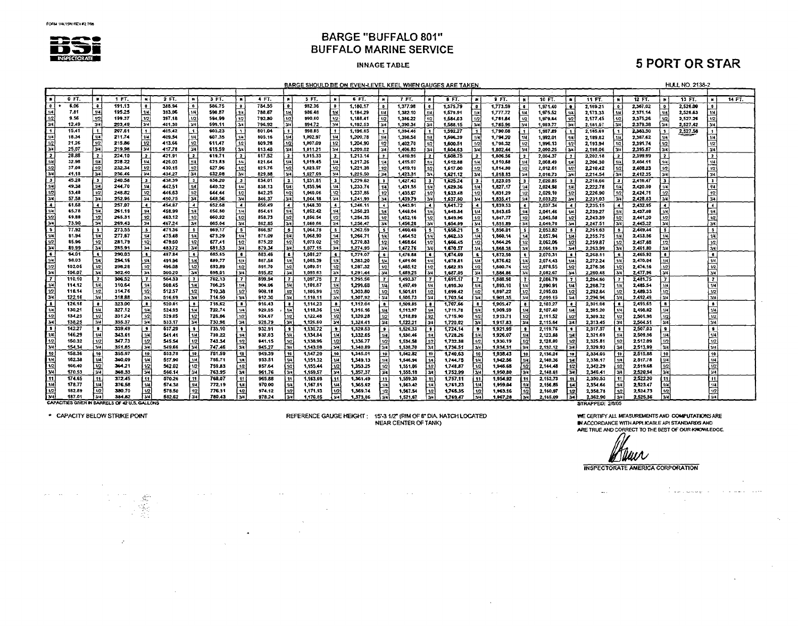

#### **INNAGE TABLE**

# **5 PORT OR STAR**

| 1 FT.<br>$\bullet$<br>0 FT.<br>2 FT.<br>3 FT.<br>9 FT.<br>$\ddot{\phantom{1}}$<br>- 11<br>4 FT.<br>! # !<br>5 FT.<br>6 FT.<br>$\blacksquare$<br>7 FT.<br>5F<br>$\bullet$<br>10 FT.<br>11 FT.<br>$\boldsymbol{\mu}$<br>12 FT.<br>13 FT.<br>14 FT.<br>$\bullet$<br>$\mathbf{N}$<br>$\blacksquare$<br>$\mathbf{B}$<br>$\blacksquare$<br>$\bullet$<br><b>N</b><br>ு<br>784.55<br>6.06<br>$\bullet$<br>191.13<br>388.94<br>586.75<br>$\bullet$<br>982.36<br>1,773.59<br>$\bullet$<br>1.180.17<br>$\bullet$<br>1,377.98<br>1,575.79<br>$\bullet$<br>1.971.40<br>2.367.02<br>2,526.00<br>$\bullet$<br>٠.<br>2,159.21<br>$\overline{0}$<br>$\bullet$<br>$\bullet$<br>Ð<br>1/4<br>114<br>135.25<br>1/4<br>1/4<br>l trai<br>393.06<br>ا ۱٬۱<br>l 1/4<br>1/4<br>14<br>$\overline{14}$<br>1/4<br>1/4<br>7.81<br>590.87<br>788.67<br>986,48<br>1,184.29<br>1,382.10<br>1,579.91<br>1,777,72<br>1,975.52<br>2,173.33<br>2,371.14<br>2,526.63<br>1/4<br>14<br>1/4<br>1/2<br>1/2<br>$\overline{2}$<br>1/2<br>  1/2  <br>397.18<br>  1/2  <br>1/2<br>1/2<br>1/2<br>1/2<br>$\overline{12}$<br>1/2<br>1/2<br>9.56<br>199.37<br>594.99<br>792.80<br>990,60<br>1/2<br>2,375.26<br>2,527.26<br>1/2<br>1,188.41<br>1,386.22<br>1,584.03<br>1,781.84<br>1,979.54<br>2,177.45<br>$\overline{3/4}$<br>3/4<br>$\frac{1}{2}$<br>ज्या<br>34<br>3/4<br>3/4<br>i vel<br>3/4<br>3/4<br>3/4<br>12.49<br>203.49<br>401.30<br>3/4<br>599.11<br>796.92<br>994.72<br>1,192.53<br>1,588.15<br>3/4 l<br>3/4<br>2.379.38<br>2.527.42<br>3/4<br>1,390.34<br>1.785.96<br>1,983.77<br>2.181.51<br>⊺ร<br>□1<br>15.41<br>$\lceil$ 1<br>207.61<br>405.42<br>603.23<br>801.04<br>$\bullet$<br>998.85<br>2,383,50<br>2.527.58<br>1,196.65<br>$\blacksquare$<br>1,394.46<br>1,592.27<br>1,790.08<br>1,987.89<br>2,185.69<br>$\mathbf{f}$<br>$\mathbf{f}$<br>$\mathbf{1}$<br>- 1 I<br>-11<br>-11<br>$\mathbf{1}$<br>14<br>1/4<br>18.34<br>211.74<br>ŀш<br>409.54<br>607.35<br>805.16<br>1/4<br>1.002.97<br>1,200.78<br>1/4<br>1/4<br>1/4<br>1/4<br>1.398.58<br>1/4<br>1,596,39<br>1/4<br>шl<br>2,387.62<br>1/4<br>1/4<br>1,992.01<br>1,794.20<br>2.189.82<br>1/4<br>1/2<br>1/2<br>1/2<br>1/2<br>$\overline{12}$<br>1/2<br>f 1/2.<br>1/2<br>$\overline{u}$<br>1/2<br>21.26<br>215.86<br>413.66<br>1/2<br><b>611.47</b><br>1/2<br>809.28<br>1,007.09<br>1/2<br>1,204.90<br>1/2<br>1.402.70<br>1,600.51<br>1,798.32<br>1,996.13<br>2.391.74<br>1/2<br>2,193.94<br>344<br>3/4<br> 34 <br><b>34</b><br>34<br>স্তর<br>ख<br>$\overline{y}$<br>$\overline{34}$<br>$\overline{3/4}$<br>25.07<br>219.98<br>417.78<br>اءدا<br>615.59<br>1011.21<br>3/4<br>3/4<br>2,395.87<br>3/4<br>3/4<br>813.40<br>1.209.02<br>1,406.83<br>1,604.63<br>1,802.44<br>2.000.25<br>2,198.06<br>$\overline{2}$<br>28.88<br>$\overline{\mathbf{z}}$<br>$\overline{2}$<br>224.10<br>421.91<br>$\overline{2}$<br>817.52<br>-21<br>ا 1<br>$\bar{z}$<br>l 2<br>619.71<br>1.015.33<br>1,213.14<br>-21<br>$\overline{2}$<br>$\overline{z}$<br>2,399.99<br>$\overline{2}$<br>1,410,95<br>1,608.75<br>1,806.56<br>2.004.37<br>2 <sup>1</sup><br>$\mathbf{z}$<br>2,202.18<br>1/4<br>14<br>$\mathbf{H}$<br>11⁄4<br>1/4<br>$\frac{1}{4}$<br>است<br>32.96<br>228.22<br>426.03<br>1/4<br>623.83<br>1/4<br>821.64<br>1.019.45<br>1/4<br>1.217.26<br>1/4<br>2,404.11<br>1/4<br>1/4<br>1,415.07<br>1/4<br>1,612.88<br>1,810.68<br>1/4<br>2,008.49<br>2,206.30<br>$\overline{12}$<br>$\overline{12}$<br>1/2<br>l 1/2 l<br>627.96<br>$1/2$<br>$ u_2 $<br>37.08<br>232.34<br>430.15<br>825.76<br>1,221.38<br>1/2<br>1/2<br>1/2<br>1,023.57<br>1/2<br>1/2<br>2,408.23<br>1/2<br>1,419.19<br>1,617.00<br>1,814.80<br>2,012.61<br>2,210,42<br>1/2<br>ख<br>3/4<br><b>VA</b><br>اعتد أ<br>541<br>3/4<br>īзи.<br>34<br> 3/4 <br>$\overline{\mathbf{3}}$<br>$\overline{3/4}$<br>41.18<br>236.46<br>434.27<br>632.08<br>829, 38<br>1,027.69<br>1,225.50<br>3/4<br>3/4<br>3/4<br>34<br>1,423.31<br>1.621.12<br>1818.93<br>2.214.54<br>2.412.35<br>2.016.73<br>$\overline{\mathbf{3}}$<br>45.28<br>د ا<br>240.58<br>438.39<br>636.20<br>834.01<br>$\overline{\mathbf{3}}$<br>-31<br>l 31<br>3 <sup>1</sup><br>$\mathbf{3}$<br>1,031.81<br>$\mathbf{a}$<br>1.229.62<br>٦.<br>ੰਤੀ<br>2.416.47<br>$\mathbf{3}$<br>-31<br>1.427.43<br>1,625.24<br>1.823.05<br>$\mathbf{3}$<br>2,020.85<br>зI<br>2,218.66<br>1/4<br>1/4<br>$\overline{y}$<br>49,38<br>244.70<br>442.51<br><b>WI</b><br>$\overline{1/4}$<br>1/4<br>1/4<br>114<br>640.32<br>838.13<br>1/4<br>1,233.74<br>1/4<br>1/4<br>1/4<br>1.035.94<br>1/4<br>2,024.98<br>2,420.59<br>1/4<br>1.431.55<br>1/4<br>1,629.36<br>1.827.17<br>2.222.78<br>$\overline{1/2}$<br>$\overline{12}$<br>-12<br>1/2<br>1/2<br>1/2<br>1/2<br>1/2<br>$1/2$<br>$\overline{12}$<br>1/2<br>53.48<br>446.63<br>644.44<br>842.25<br>1,237.86<br>1/2<br>1/2<br>248.82<br>1,040.06<br>1/2<br>1,633.48<br>2,029.10<br>2,226.90<br>2,424.71<br>1/2<br>1.435.67<br>1.831.29<br>3/4<br>3/4<br>34<br>$\overline{y_4}$<br>34)<br>$\overline{\mathbf{y}}$<br>57.58<br>34<br>341<br>34<br>3/4<br>34<br>$\overline{34}$<br>3/4<br>252.95<br>450.75<br>648.56<br>846.37<br>3/4<br>2,428.83<br>1,044.18<br>1,241.99<br>1.439.79<br>3/4<br>1,637.60<br>2.033.22<br>2.231.03<br>1.835.41<br>ΙŦ<br>41<br>$\blacktriangleleft$<br>$\overline{4}$<br>7<br>61.68<br>$\cdot$<br>454.87<br>$\overline{4}$<br>652.68<br>$\left  \right $<br>850.49<br>1,246.11<br>$\overline{4}$<br>$\overline{\bullet}$<br>2,037.34<br>2.235.15<br>2,432.95<br>257.07<br>1,048.30<br>1,443,91<br>1,641.72<br>1.839.53<br>$\ddot{\phantom{1}}$<br>$\left  \right $<br>$\left  \right $<br>$\overline{u}$<br>1/4<br> u <br>5/4<br>65.78<br>458.99<br>656.80<br>854.61<br>1/4<br>261.19<br>  <sub>14</sub>  <br>1/4<br>1/4<br>1,052.42<br>1/1<br>1,250,23<br>1.448.04<br>1/4<br>1/4<br>1/4<br>1.545.34<br>1.843.65<br>2,041.46<br>2,239.27<br>1/4<br>2.437.08<br>1/2<br>$\vert n_2 \vert$<br>뙮<br>1/2<br>1/2<br>463.12<br>1/2<br>1/2<br>1/2<br>1/2<br>69.89<br>265.31<br>660.92<br>858.73<br>1/2<br>1/2<br>1/2<br>1/2<br>1/2<br>1.056.54<br>1,254.35<br>2.441.20<br>1,452.16<br>1/2<br>1,549.96<br>1,847.77<br>2,045.58<br>2,243.39<br>34<br>$\overline{34}$<br>ا »د ا<br>$\overline{34}$<br>34<br>34<br>73.90<br>269,43<br>3/4<br>34<br>3/4<br>3/4<br>467.24<br>665.04<br>862.85<br>1,060.66<br>1,258.47<br>3/4<br>2,445,32<br>3/4<br>1,456.28<br>3/4<br>1,654.09<br>1,851.89<br>2,049,70<br>2.247.51<br>77.92<br>$\overline{\mathbf{5}}$<br>$\overline{\phantom{a}}$<br>273.55<br>471.36<br>866.97<br>ا ئ<br>1,262.59<br>$5 \frac{1}{2}$<br>2.449.44<br>$\overline{\phantom{a}}$<br>5 <sup>1</sup><br>669.17<br>- 5<br>1.064.78<br>_5 _<br>5 <sup>1</sup><br>1,658.21<br>1.856.01<br>2.053.82<br>- 51<br>2,251.63<br>1.460.40<br>5.<br>114<br>1/4<br>1/4<br>$t\mu$<br>94<br>1/3<br>81.94<br>271.67<br>i 141 I<br>475.48<br>1/4<br>673.29<br>871.09<br>1,068.90<br>1/4<br>1/4<br>1/4<br>1/4<br>2.453.56<br>1/4<br>1.266.71<br>1.464.52<br>1.662.33<br>1/4<br>2,057.94<br>2.255.75<br>1/4<br>1.860.14<br>17<br>1/2<br>$\overline{1/2}$<br>1/2<br>1/2<br>$\frac{2}{5}$<br>1/2<br>[1/2]<br>1/2<br>1/2<br>85.96<br>281.79<br>12<br>479.60<br>677.41<br>875.22<br>1,073.02<br>1,270,83<br>  1/2  <br>1,666.45<br>  1/2  <br>1/2<br>1,468.64<br>1,864.26<br>12<br>2,062.06<br>2,259.87<br>2,457.68<br>34<br>341<br>3/4<br>341<br>34<br>3/4<br>3/4<br>$\overline{34}$<br>3/4<br>285.91<br>34<br>483.72<br>681.53<br>879.34<br>1.077.15<br>$\overline{3}$<br>[3/4]<br>$\overline{3}$<br>89.99<br>1,274.95<br>1,472.76<br>1,670.57<br>3/4<br>2.461.80<br>2.263.99<br>1,668.38<br>2,066,19<br>$\overline{\bullet}$<br>94.01<br>487.84<br>$\overline{\bullet}$<br>$\ddot{\bullet}$<br>290.03<br>685,65<br>883.46<br>1.081.27<br>1,279.07<br>$\bullet$<br>2,465.92<br>$\ddot{\phantom{a}}$<br>$\ddot{\phantom{a}}$<br>$\bullet$<br>$\bullet$<br>$\bullet$<br>1,476.88<br>1.674.69<br>1.872.50<br>2.070.31<br>-s i<br>2,268.11<br>່ເ1<br>-6<br>-6<br>$\frac{1/4}{1/2}$<br>l tui<br>$\overline{u}$<br>1/4<br>98.03<br>294.16<br>144<br>1/4<br>1/4<br>1/4<br>$\overline{1}/4$<br>491.96<br>689.77<br>887.58<br>1,085.39<br>1/4<br>1,283,20<br>1/4<br>1,481.00<br>1,678.21<br>1,876.62<br>2,074.43<br>2,272.24<br>2,470.04<br>1/4<br>1/4<br>1/4<br>$\overline{12}$<br>1/2<br>1/2<br>  1/21<br>$\frac{1/2}{3/4}$<br>$u$ <sub>2</sub><br>1/2<br>1/2<br>1/2<br>102.05<br>891.70<br>1,287.32<br>1/2<br>2,078.55<br>1/2<br>1/2<br>1/2<br>298.28<br>496.08<br>693.89<br>1.089.51<br>1,485.12<br>1,682.93<br>-12<br>2,276.36<br>2.474.16<br>1,880.74<br>3/4<br>$\overline{34}$<br> 34 <br>هڌ ا<br>3/4<br>3/4<br>3/4<br>34<br>3/4<br>3/4<br>$\overline{34}$<br>3/4<br>$\overline{3/4}$<br>302.40<br>3/4<br>106.07<br>500.20<br>698.01<br>895.82<br>1,093.63<br>1,291.44<br>1,489.25<br>1,687.05<br>1,884.86<br>2,082.67<br>2,260.48<br>2,477.96<br>$\frac{1}{2}$<br>$\overline{\mathbf{z}}$<br>$\mathbf{7}$<br>110.10<br>306.52<br>$\overline{ }$<br>$\mathbf{7}$<br>7.<br>$\overline{7}$<br>-71<br>504.33<br>. <b>7</b><br>899.94<br>17<br>7.<br>702.13<br>- 7 -<br>1.097.75<br><b>T</b><br>1,295.56<br>1.493.37<br>1.691.17<br>1,888.98<br>2,086.79<br>2,284.60<br>2,481.75<br>14<br>  سا<br>  tul<br>1/4<br>1/4<br>$\overline{1/4}$<br>1/4<br>114.12<br>310.64<br>508.45<br>1/4<br>706.25<br>904.06<br>1,101,87<br>1,299.68<br>1/4<br>2,485.54<br>1/4<br>1.497.49<br>2,090.91<br>1/4<br>1/4.<br>1/4<br>1,695.30<br>1,893.10<br>1/4<br>2,288.72<br>1/2<br>$\boldsymbol{u}$<br>ا عرا<br>1/2<br>1/2<br>1/2<br>1/2<br>1/2<br>  1/2<br>118.14<br>314,76<br>512.57<br>710.38<br>908.18<br>1/2<br>1,303.80<br>1/2<br>1/2<br>2,095.03<br>1/2<br>2,489.33<br>1.105,99<br>1/2<br>1,501,61<br>1,699.42<br>1,897.22<br>2,292.84<br>$\overline{34}$<br>$\overline{34}$<br>ভিৰ<br>$\overline{w}$<br>эмі<br>3/4<br>34<br>$\overline{3/4}$<br>$\overline{34}$<br>3/4<br>3/4<br>34<br>3/4<br>13/4<br>122.16<br>318,88<br>714.50<br>912.30<br>3/4<br>2,296.96<br>2,492.49<br>516.69<br>1.110.11<br>1,307.92<br>1.505.73<br>1.703.54<br>1.901.35<br>2,099.15<br>⊡<br>126,18<br>520.81<br>2,495.65<br>- 8<br>- 8<br>323.00<br>$\bullet$<br>718,62<br>$\bullet$<br>916.43<br>$\mathbf{u}$<br>1.114.23<br>1,312.04<br>1,707.66<br>$\bullet$<br>1.905.47<br>2.103.27<br>$\bullet$ {<br>2,301.08<br>$\bullet$<br>$\bullet$<br>$\bullet$<br>1.509.85<br>$\bullet$<br>$\mathbf{g}$<br>TA<br>1/4<br>14<br>1/4<br>1/4<br>1/4<br>1/4<br>1/4<br>1/4<br>1/4<br>1/4<br>1/4<br>130.21<br>327.12<br>1/4<br>524.93<br>  1/4  <br>722.74<br>920.55<br>1.118.36<br>1,316.16<br>1,513,97<br>1.711.78<br>1,909.59<br>1/4<br>2,107.40<br>2,498.82<br>2,305.20<br>12<br>$\overline{12}$<br>1/2<br>1/2<br>$\frac{1}{2}$<br>1/2<br>1/2<br>$\overline{12}$<br>$\frac{1}{2}$<br>1/2<br>134.23<br>1/2<br>1/2<br>(12)<br>$\frac{1}{2}$<br>231.24<br>529.05<br>726.66<br>924.67<br>1,122.48<br>1,320.28<br>1,715.90<br>2,501.98<br> 1/2 <br>1,518.09<br>2.111.52<br>1913.71<br>2.309.32<br>ब्बा<br>$\overline{3}$<br>$ y_4 $<br>$\overline{34}$<br>3/4<br>34<br>3/4<br>$\overline{3}$<br>3/4<br>335.37<br>34<br>34)<br>34<br>3/4<br>34<br>138.25<br>533.17<br>730.98<br>928.79<br>1.126.60<br>1,522.21<br>3/4<br>2,504.51<br>1,324.41<br>1,720.02<br>1,917.83<br>2,115.64<br>2,313.45<br>□<br>142.27<br>$\bullet$<br>- 91<br>339,49<br>l s<br>537.29<br>- 1<br>2,507.03<br>$\mathbf{S}$ .<br>ا وي<br>735.10<br>$\bullet$<br>932.91<br>1,130.72<br>1,328.53<br>1.526.33<br>1,724.14<br>1,921.95<br>2,119.76<br>2,317.57<br>.`si l<br>ا د<br>$\cdot$<br>- 1<br>۰.<br><u>n j</u><br>$\bullet$<br>$\overline{u}$<br>146.29<br>114<br>$\overline{M}$<br>1/4<br>$\frac{14}{12}$<br>343.61<br>ÌЩ<br>541.41<br>-1741<br>1/4<br>937.03<br> 14 <br>1/4<br>1/4<br>2,509.56<br>1/4.<br>1/4<br>739.22<br>1,134.84<br>1/4<br>1,332.65<br>1,723.26<br>1,926.07<br>2,123.88<br>2,321.69<br>1,530.46<br>1/4<br>1/2<br>$\overline{\mathbf{5}}$<br>1/2<br>$\overline{12}$<br>12<br>1/2<br>1/2<br>1/2<br>1/2<br>1/2<br>n <sub>2</sub><br>112<br>347.73<br>1/2<br>1/2<br>150.32<br>545.54<br>743.34<br>941.15<br>1.138.96<br>1,336.77<br>1.534.58<br>1,732.38<br>1.930.19<br>2,125,00<br>2,325.81<br>2,512.09<br>3/4<br>उब<br>34<br>তিৰ বি<br>$\overline{3/4}$<br>374<br>ا در ا<br>34<br>34<br>3/4<br>341<br>34<br>$\overline{\boldsymbol{y}}$<br>3/4<br>154.34<br>3/4<br>747.46<br>351.85<br>549.66<br>945.27<br>1.143.08<br>1,340.89<br>1,736,51<br>1,934.31<br>2,513,99<br>1,538.70<br>2.132.12<br>2,329.93<br>10<br>TO I<br>$\overline{\mathbf{10}}$<br>158.36<br>355.97<br>10<br>751.59<br>10<br>10 <sup>1</sup><br>553.78<br>949.39<br>1.147.20<br>10<br>1,345.01<br>  10  <br>  10  <br>1.938.43<br>' 10 F<br>2.515.88<br>10<br>10<br>1,542.82<br>10 l<br>1,740.63<br>10<br>2,136.24<br>10<br>2,334.05<br>1/4<br>$\overline{1/4}$<br>1/4<br>14<br>14<br>162.38<br>360,09<br>557.90<br>1/4.<br>953.51<br>1/4<br> M <br>1/4<br>1/4<br>755.71<br>1,151.32<br>1,349.13<br>1/4<br>1,942.56<br>1/4<br>2,517.78<br>1,546,94<br>1,744,75<br>l 1/4 l<br>2,140.36<br>2.338.17<br>1/4<br>$\overline{12}$<br>$\frac{2}{3}$<br>$\overline{1/2}$<br>12<br>1/2<br>1/2<br>$ v_2 $<br>166.40<br>  1/2<br>10<br>1/2<br>1/2<br>1/2<br>364.21<br>562.02<br>1/2<br>759.83<br>957.64<br>1,155.44<br>1,353.25<br>1,748,87<br>1,946.65<br>2.144.48<br>2.342.29<br>1/2<br>2.519.68<br>1/2<br>1,551.06<br>3/4<br>3/4<br>3/4<br>34<br>13/4<br>l w<br>34<br>34<br>34<br>3/4<br>34<br>3/4<br>3/4<br>170.53<br>566 14<br>3/4<br>763.95<br>1.357.37<br>2.346.41<br>2.520.94<br>368.33<br>961.76<br>1.159.57<br>1,555.18<br>1,752.99<br>1,950.80<br>2.148.61<br>11<br>174.65<br>2,522.20<br>l 11.<br>-11<br>372.45<br>$\blacksquare$<br>570.26<br>768.07<br>11<br>965.88<br>1,559.30<br>-11<br>1,757,11<br>1,954.92<br>2,152.73<br>2.350.53<br><b>11</b><br>- 11<br>11<br>$^{\bullet}$<br>1,163.69<br>11<br>1,361.49<br>111<br>111<br>- 11  <br>11 F<br>1/4<br>ÌМ<br>1/4<br>1/4<br>178.77<br>141<br>574.38<br>$\boldsymbol{u}$<br>i 114 l<br>$+14$<br>أعنا<br>1/4<br>376.58<br>  1/4<br>772.19<br>1/4<br>970.00<br>1,167,81<br>1,365.62<br>1,563.42<br>1,761,23<br>14<br>2.354.66<br>2,523.47<br>1/4<br>1,959.04<br>2.156.85<br>$\overline{1/2}$<br> 1/2 <br>1/2<br>1/2<br>$\overline{12}$<br>1/2<br>380.70<br>1/2<br>578.50<br>1/2<br>1/2<br>  1/2  <br>12<br>1/2<br>1/2<br>182.89<br>776.31<br>974.12<br>1,171.93<br>1,765.35<br>2,524.73<br>12<br>1,369.74<br>1,567.54<br>i tzi<br>2,358.78<br>1,963.16<br>2,160.97<br>$\overline{\mathbf{y}}$<br>3/4<br>341<br>3/4<br>$\overline{\mathbf{34}}$<br>34<br>341<br>34<br>$\overline{34}$<br>$\overline{34}$<br>582.62<br>315<br>34<br>3/4<br>187.01<br>354.82<br>780.43<br>978.24<br>1.176.05<br>1,373.86<br>2,362.90<br>2.525.36<br>1.571.67<br>1.769.47<br>1,967.28<br>3/4<br>2,165.09<br>CAPACITIES GIVEN IN BARRELS OF 42 U.S. GALLONS<br>STRAPPED: 2/8/05 |          |  |  |  |  |  |  |  |  |  |  |  |  | BARGE SHOULD BE ON EVEN-LEVEL KEEL WHEN GAUGES ARE TAKEN |  |  |  |  |  |  |  | <b>HULL NO. 2138-2</b> |  |  |
|---------------------------------------------------------------------------------------------------------------------------------------------------------------------------------------------------------------------------------------------------------------------------------------------------------------------------------------------------------------------------------------------------------------------------------------------------------------------------------------------------------------------------------------------------------------------------------------------------------------------------------------------------------------------------------------------------------------------------------------------------------------------------------------------------------------------------------------------------------------------------------------------------------------------------------------------------------------------------------------------------------------------------------------------------------------------------------------------------------------------------------------------------------------------------------------------------------------------------------------------------------------------------------------------------------------------------------------------------------------------------------------------------------------------------------------------------------------------------------------------------------------------------------------------------------------------------------------------------------------------------------------------------------------------------------------------------------------------------------------------------------------------------------------------------------------------------------------------------------------------------------------------------------------------------------------------------------------------------------------------------------------------------------------------------------------------------------------------------------------------------------------------------------------------------------------------------------------------------------------------------------------------------------------------------------------------------------------------------------------------------------------------------------------------------------------------------------------------------------------------------------------------------------------------------------------------------------------------------------------------------------------------------------------------------------------------------------------------------------------------------------------------------------------------------------------------------------------------------------------------------------------------------------------------------------------------------------------------------------------------------------------------------------------------------------------------------------------------------------------------------------------------------------------------------------------------------------------------------------------------------------------------------------------------------------------------------------------------------------------------------------------------------------------------------------------------------------------------------------------------------------------------------------------------------------------------------------------------------------------------------------------------------------------------------------------------------------------------------------------------------------------------------------------------------------------------------------------------------------------------------------------------------------------------------------------------------------------------------------------------------------------------------------------------------------------------------------------------------------------------------------------------------------------------------------------------------------------------------------------------------------------------------------------------------------------------------------------------------------------------------------------------------------------------------------------------------------------------------------------------------------------------------------------------------------------------------------------------------------------------------------------------------------------------------------------------------------------------------------------------------------------------------------------------------------------------------------------------------------------------------------------------------------------------------------------------------------------------------------------------------------------------------------------------------------------------------------------------------------------------------------------------------------------------------------------------------------------------------------------------------------------------------------------------------------------------------------------------------------------------------------------------------------------------------------------------------------------------------------------------------------------------------------------------------------------------------------------------------------------------------------------------------------------------------------------------------------------------------------------------------------------------------------------------------------------------------------------------------------------------------------------------------------------------------------------------------------------------------------------------------------------------------------------------------------------------------------------------------------------------------------------------------------------------------------------------------------------------------------------------------------------------------------------------------------------------------------------------------------------------------------------------------------------------------------------------------------------------------------------------------------------------------------------------------------------------------------------------------------------------------------------------------------------------------------------------------------------------------------------------------------------------------------------------------------------------------------------------------------------------------------------------------------------------------------------------------------------------------------------------------------------------------------------------------------------------------------------------------------------------------------------------------------------------------------------------------------------------------------------------------------------------------------------------------------------------------------------------------------------------------------------------------------------------------------------------------------------------------------------------------------------------------------------------------------------------------------------------------------------------------------------------------------------------------------------------------------------------------------------------------------------------------------------------------------------------------------------------------------------------------------------------------------------------------------------------------------------------------------------------------------------------------------------------------------------------------------------------------------------------------------------------------------------------------------------------------------------------------------------------------------------------------------------------------------------------------------------------------------------------------------------------------------------------------------------------------------------------------------------------------------------------------------------------------------------------------------------------------------------------------------------------------------------------------------------------------------------------------------------------------------------------------------------------------------------------------------------------------------------------------------------------------------------------------------------------------------------------------------------------------------------------------------------------------------------------------------------------------------------------------------------------------------------------------------------------------------------------------------------------------------------------------------------------------------------------------------------------------------------------------------------------------------------------------------------------------------------------------------------------------------------------------------------------------------------------------------------------------------------------------------------------------------------------------------------------------------------------------------------------------------------------------------------------------------------------------------------------------------------------------------------------------------------------------------------------------------------------------------------------------------------------------------------------------------------------------------------------------------------------------------------------------------------------------------------------------------------------------------------------------------------------------------------------------------------------------------------------------------------------------------------------------------------------------------------------------------------------------------------------------------------------------------------------------------------------------------------------------------------------------------------------------------------------------------------------------------------------------------------------------------------------------------------------------------------------------------------------------------------------------------------------------------------------------------------------------------------------------------------------------------------------------------------------------------------------------------------------------------------------------------------------------------------------------------------------------------------------------------------------------------------------------------------------------------------------------------------------------------------------------------------------------------------------------------------------------------------------------------------------------------------------------------------------------------------------------------------------------------------------------------------------------------------------------------------------------------------------------------------------------------------------------------------------------------------------------------------------------------------------------------------------------------------------------------------------------------------------------------------------------------------------------------------------------------------------------------------------------------------------------------------------------------------------------------------------------------------------------------------------------------------------------------------------------------------------------------------------------------------------------------------------------------------------------------------------------------------------------------------------------------------------------------------------------------------------------------------------------------------------------------------------------------------------------------------------------------------------------------------------------------------------------------------------------------------------------------------------------------------------------------------------------------------------------------------------------------------------------------------------------------------------------------------------------------------------------------------------------------------------------------------------------------------------------------------------------------------------------------------------------------------------------------------------------------------------------------------------------------------------------------------------------------------------------------------------------------------------------------------------------------------------------------------------------------------------------------------------------------------------------------------------------------------------------------------------------------------------------------------------------------------------------------------------------------------------------------------------------------------------------------------------------------------------------------------------------------------------------------------------------------------------------------------------------------------------------------------------------------------------------------------------------------------------------------------------------------------------------------------------------------------------------------------------------------------------------------------------------------------------------------------------------------------------------------------------------------------------------------------------------------------------------------------------------------------------------------------------------------------------------------------------------------------------------------------------------------------------------------------------------------------|----------|--|--|--|--|--|--|--|--|--|--|--|--|----------------------------------------------------------|--|--|--|--|--|--|--|------------------------|--|--|
|                                                                                                                                                                                                                                                                                                                                                                                                                                                                                                                                                                                                                                                                                                                                                                                                                                                                                                                                                                                                                                                                                                                                                                                                                                                                                                                                                                                                                                                                                                                                                                                                                                                                                                                                                                                                                                                                                                                                                                                                                                                                                                                                                                                                                                                                                                                                                                                                                                                                                                                                                                                                                                                                                                                                                                                                                                                                                                                                                                                                                                                                                                                                                                                                                                                                                                                                                                                                                                                                                                                                                                                                                                                                                                                                                                                                                                                                                                                                                                                                                                                                                                                                                                                                                                                                                                                                                                                                                                                                                                                                                                                                                                                                                                                                                                                                                                                                                                                                                                                                                                                                                                                                                                                                                                                                                                                                                                                                                                                                                                                                                                                                                                                                                                                                                                                                                                                                                                                                                                                                                                                                                                                                                                                                                                                                                                                                                                                                                                                                                                                                                                                                                                                                                                                                                                                                                                                                                                                                                                                                                                                                                                                                                                                                                                                                                                                                                                                                                                                                                                                                                                                                                                                                                                                                                                                                                                                                                                                                                                                                                                                                                                                                                                                                                                                                                                                                                                                                                                                                                                                                                                                                                                                                                                                                                                                                                                                                                                                                                                                                                                                                                                                                                                                                                                                                                                                                                                                                                                                                                                                                                                                                                                                                                                                                                                                                                                                                                                                                                                                                                                                                                                                                                                                                                                                                                                                                                                                                                                                                                                                                                                                                                                                                                                                                                                                                                                                                                                                                                                                                                                                                                                                                                                                                                                                                                                                                                                                                                                                                                                                                                                                                                                                                                                                                                                                                                                                                                                                                                                                                                                                                                                                                                                                                                                                                                                                                                                                                                                                                                                                                                                                                                                                                                                                                                                                                                                                                                                                                                                                                                                                                                                                                                                                                                                                                                                                                                                                                                                                                                                                                                                                                                                                                                                                                                                                                                                                                                                                                                                                                                                                                                                                                                                                                                                                                                                                                                                                                                                                                                                                                                                                                                                                                                                                                                               |          |  |  |  |  |  |  |  |  |  |  |  |  |                                                          |  |  |  |  |  |  |  |                        |  |  |
|                                                                                                                                                                                                                                                                                                                                                                                                                                                                                                                                                                                                                                                                                                                                                                                                                                                                                                                                                                                                                                                                                                                                                                                                                                                                                                                                                                                                                                                                                                                                                                                                                                                                                                                                                                                                                                                                                                                                                                                                                                                                                                                                                                                                                                                                                                                                                                                                                                                                                                                                                                                                                                                                                                                                                                                                                                                                                                                                                                                                                                                                                                                                                                                                                                                                                                                                                                                                                                                                                                                                                                                                                                                                                                                                                                                                                                                                                                                                                                                                                                                                                                                                                                                                                                                                                                                                                                                                                                                                                                                                                                                                                                                                                                                                                                                                                                                                                                                                                                                                                                                                                                                                                                                                                                                                                                                                                                                                                                                                                                                                                                                                                                                                                                                                                                                                                                                                                                                                                                                                                                                                                                                                                                                                                                                                                                                                                                                                                                                                                                                                                                                                                                                                                                                                                                                                                                                                                                                                                                                                                                                                                                                                                                                                                                                                                                                                                                                                                                                                                                                                                                                                                                                                                                                                                                                                                                                                                                                                                                                                                                                                                                                                                                                                                                                                                                                                                                                                                                                                                                                                                                                                                                                                                                                                                                                                                                                                                                                                                                                                                                                                                                                                                                                                                                                                                                                                                                                                                                                                                                                                                                                                                                                                                                                                                                                                                                                                                                                                                                                                                                                                                                                                                                                                                                                                                                                                                                                                                                                                                                                                                                                                                                                                                                                                                                                                                                                                                                                                                                                                                                                                                                                                                                                                                                                                                                                                                                                                                                                                                                                                                                                                                                                                                                                                                                                                                                                                                                                                                                                                                                                                                                                                                                                                                                                                                                                                                                                                                                                                                                                                                                                                                                                                                                                                                                                                                                                                                                                                                                                                                                                                                                                                                                                                                                                                                                                                                                                                                                                                                                                                                                                                                                                                                                                                                                                                                                                                                                                                                                                                                                                                                                                                                                                                                                                                                                                                                                                                                                                                                                                                                                                                                                                                                                                                                               |          |  |  |  |  |  |  |  |  |  |  |  |  |                                                          |  |  |  |  |  |  |  |                        |  |  |
|                                                                                                                                                                                                                                                                                                                                                                                                                                                                                                                                                                                                                                                                                                                                                                                                                                                                                                                                                                                                                                                                                                                                                                                                                                                                                                                                                                                                                                                                                                                                                                                                                                                                                                                                                                                                                                                                                                                                                                                                                                                                                                                                                                                                                                                                                                                                                                                                                                                                                                                                                                                                                                                                                                                                                                                                                                                                                                                                                                                                                                                                                                                                                                                                                                                                                                                                                                                                                                                                                                                                                                                                                                                                                                                                                                                                                                                                                                                                                                                                                                                                                                                                                                                                                                                                                                                                                                                                                                                                                                                                                                                                                                                                                                                                                                                                                                                                                                                                                                                                                                                                                                                                                                                                                                                                                                                                                                                                                                                                                                                                                                                                                                                                                                                                                                                                                                                                                                                                                                                                                                                                                                                                                                                                                                                                                                                                                                                                                                                                                                                                                                                                                                                                                                                                                                                                                                                                                                                                                                                                                                                                                                                                                                                                                                                                                                                                                                                                                                                                                                                                                                                                                                                                                                                                                                                                                                                                                                                                                                                                                                                                                                                                                                                                                                                                                                                                                                                                                                                                                                                                                                                                                                                                                                                                                                                                                                                                                                                                                                                                                                                                                                                                                                                                                                                                                                                                                                                                                                                                                                                                                                                                                                                                                                                                                                                                                                                                                                                                                                                                                                                                                                                                                                                                                                                                                                                                                                                                                                                                                                                                                                                                                                                                                                                                                                                                                                                                                                                                                                                                                                                                                                                                                                                                                                                                                                                                                                                                                                                                                                                                                                                                                                                                                                                                                                                                                                                                                                                                                                                                                                                                                                                                                                                                                                                                                                                                                                                                                                                                                                                                                                                                                                                                                                                                                                                                                                                                                                                                                                                                                                                                                                                                                                                                                                                                                                                                                                                                                                                                                                                                                                                                                                                                                                                                                                                                                                                                                                                                                                                                                                                                                                                                                                                                                                                                                                                                                                                                                                                                                                                                                                                                                                                                                                                                                               |          |  |  |  |  |  |  |  |  |  |  |  |  |                                                          |  |  |  |  |  |  |  |                        |  |  |
|                                                                                                                                                                                                                                                                                                                                                                                                                                                                                                                                                                                                                                                                                                                                                                                                                                                                                                                                                                                                                                                                                                                                                                                                                                                                                                                                                                                                                                                                                                                                                                                                                                                                                                                                                                                                                                                                                                                                                                                                                                                                                                                                                                                                                                                                                                                                                                                                                                                                                                                                                                                                                                                                                                                                                                                                                                                                                                                                                                                                                                                                                                                                                                                                                                                                                                                                                                                                                                                                                                                                                                                                                                                                                                                                                                                                                                                                                                                                                                                                                                                                                                                                                                                                                                                                                                                                                                                                                                                                                                                                                                                                                                                                                                                                                                                                                                                                                                                                                                                                                                                                                                                                                                                                                                                                                                                                                                                                                                                                                                                                                                                                                                                                                                                                                                                                                                                                                                                                                                                                                                                                                                                                                                                                                                                                                                                                                                                                                                                                                                                                                                                                                                                                                                                                                                                                                                                                                                                                                                                                                                                                                                                                                                                                                                                                                                                                                                                                                                                                                                                                                                                                                                                                                                                                                                                                                                                                                                                                                                                                                                                                                                                                                                                                                                                                                                                                                                                                                                                                                                                                                                                                                                                                                                                                                                                                                                                                                                                                                                                                                                                                                                                                                                                                                                                                                                                                                                                                                                                                                                                                                                                                                                                                                                                                                                                                                                                                                                                                                                                                                                                                                                                                                                                                                                                                                                                                                                                                                                                                                                                                                                                                                                                                                                                                                                                                                                                                                                                                                                                                                                                                                                                                                                                                                                                                                                                                                                                                                                                                                                                                                                                                                                                                                                                                                                                                                                                                                                                                                                                                                                                                                                                                                                                                                                                                                                                                                                                                                                                                                                                                                                                                                                                                                                                                                                                                                                                                                                                                                                                                                                                                                                                                                                                                                                                                                                                                                                                                                                                                                                                                                                                                                                                                                                                                                                                                                                                                                                                                                                                                                                                                                                                                                                                                                                                                                                                                                                                                                                                                                                                                                                                                                                                                                                                                                               |          |  |  |  |  |  |  |  |  |  |  |  |  |                                                          |  |  |  |  |  |  |  |                        |  |  |
|                                                                                                                                                                                                                                                                                                                                                                                                                                                                                                                                                                                                                                                                                                                                                                                                                                                                                                                                                                                                                                                                                                                                                                                                                                                                                                                                                                                                                                                                                                                                                                                                                                                                                                                                                                                                                                                                                                                                                                                                                                                                                                                                                                                                                                                                                                                                                                                                                                                                                                                                                                                                                                                                                                                                                                                                                                                                                                                                                                                                                                                                                                                                                                                                                                                                                                                                                                                                                                                                                                                                                                                                                                                                                                                                                                                                                                                                                                                                                                                                                                                                                                                                                                                                                                                                                                                                                                                                                                                                                                                                                                                                                                                                                                                                                                                                                                                                                                                                                                                                                                                                                                                                                                                                                                                                                                                                                                                                                                                                                                                                                                                                                                                                                                                                                                                                                                                                                                                                                                                                                                                                                                                                                                                                                                                                                                                                                                                                                                                                                                                                                                                                                                                                                                                                                                                                                                                                                                                                                                                                                                                                                                                                                                                                                                                                                                                                                                                                                                                                                                                                                                                                                                                                                                                                                                                                                                                                                                                                                                                                                                                                                                                                                                                                                                                                                                                                                                                                                                                                                                                                                                                                                                                                                                                                                                                                                                                                                                                                                                                                                                                                                                                                                                                                                                                                                                                                                                                                                                                                                                                                                                                                                                                                                                                                                                                                                                                                                                                                                                                                                                                                                                                                                                                                                                                                                                                                                                                                                                                                                                                                                                                                                                                                                                                                                                                                                                                                                                                                                                                                                                                                                                                                                                                                                                                                                                                                                                                                                                                                                                                                                                                                                                                                                                                                                                                                                                                                                                                                                                                                                                                                                                                                                                                                                                                                                                                                                                                                                                                                                                                                                                                                                                                                                                                                                                                                                                                                                                                                                                                                                                                                                                                                                                                                                                                                                                                                                                                                                                                                                                                                                                                                                                                                                                                                                                                                                                                                                                                                                                                                                                                                                                                                                                                                                                                                                                                                                                                                                                                                                                                                                                                                                                                                                                                                                               |          |  |  |  |  |  |  |  |  |  |  |  |  |                                                          |  |  |  |  |  |  |  |                        |  |  |
|                                                                                                                                                                                                                                                                                                                                                                                                                                                                                                                                                                                                                                                                                                                                                                                                                                                                                                                                                                                                                                                                                                                                                                                                                                                                                                                                                                                                                                                                                                                                                                                                                                                                                                                                                                                                                                                                                                                                                                                                                                                                                                                                                                                                                                                                                                                                                                                                                                                                                                                                                                                                                                                                                                                                                                                                                                                                                                                                                                                                                                                                                                                                                                                                                                                                                                                                                                                                                                                                                                                                                                                                                                                                                                                                                                                                                                                                                                                                                                                                                                                                                                                                                                                                                                                                                                                                                                                                                                                                                                                                                                                                                                                                                                                                                                                                                                                                                                                                                                                                                                                                                                                                                                                                                                                                                                                                                                                                                                                                                                                                                                                                                                                                                                                                                                                                                                                                                                                                                                                                                                                                                                                                                                                                                                                                                                                                                                                                                                                                                                                                                                                                                                                                                                                                                                                                                                                                                                                                                                                                                                                                                                                                                                                                                                                                                                                                                                                                                                                                                                                                                                                                                                                                                                                                                                                                                                                                                                                                                                                                                                                                                                                                                                                                                                                                                                                                                                                                                                                                                                                                                                                                                                                                                                                                                                                                                                                                                                                                                                                                                                                                                                                                                                                                                                                                                                                                                                                                                                                                                                                                                                                                                                                                                                                                                                                                                                                                                                                                                                                                                                                                                                                                                                                                                                                                                                                                                                                                                                                                                                                                                                                                                                                                                                                                                                                                                                                                                                                                                                                                                                                                                                                                                                                                                                                                                                                                                                                                                                                                                                                                                                                                                                                                                                                                                                                                                                                                                                                                                                                                                                                                                                                                                                                                                                                                                                                                                                                                                                                                                                                                                                                                                                                                                                                                                                                                                                                                                                                                                                                                                                                                                                                                                                                                                                                                                                                                                                                                                                                                                                                                                                                                                                                                                                                                                                                                                                                                                                                                                                                                                                                                                                                                                                                                                                                                                                                                                                                                                                                                                                                                                                                                                                                                                                                                                               |          |  |  |  |  |  |  |  |  |  |  |  |  |                                                          |  |  |  |  |  |  |  |                        |  |  |
|                                                                                                                                                                                                                                                                                                                                                                                                                                                                                                                                                                                                                                                                                                                                                                                                                                                                                                                                                                                                                                                                                                                                                                                                                                                                                                                                                                                                                                                                                                                                                                                                                                                                                                                                                                                                                                                                                                                                                                                                                                                                                                                                                                                                                                                                                                                                                                                                                                                                                                                                                                                                                                                                                                                                                                                                                                                                                                                                                                                                                                                                                                                                                                                                                                                                                                                                                                                                                                                                                                                                                                                                                                                                                                                                                                                                                                                                                                                                                                                                                                                                                                                                                                                                                                                                                                                                                                                                                                                                                                                                                                                                                                                                                                                                                                                                                                                                                                                                                                                                                                                                                                                                                                                                                                                                                                                                                                                                                                                                                                                                                                                                                                                                                                                                                                                                                                                                                                                                                                                                                                                                                                                                                                                                                                                                                                                                                                                                                                                                                                                                                                                                                                                                                                                                                                                                                                                                                                                                                                                                                                                                                                                                                                                                                                                                                                                                                                                                                                                                                                                                                                                                                                                                                                                                                                                                                                                                                                                                                                                                                                                                                                                                                                                                                                                                                                                                                                                                                                                                                                                                                                                                                                                                                                                                                                                                                                                                                                                                                                                                                                                                                                                                                                                                                                                                                                                                                                                                                                                                                                                                                                                                                                                                                                                                                                                                                                                                                                                                                                                                                                                                                                                                                                                                                                                                                                                                                                                                                                                                                                                                                                                                                                                                                                                                                                                                                                                                                                                                                                                                                                                                                                                                                                                                                                                                                                                                                                                                                                                                                                                                                                                                                                                                                                                                                                                                                                                                                                                                                                                                                                                                                                                                                                                                                                                                                                                                                                                                                                                                                                                                                                                                                                                                                                                                                                                                                                                                                                                                                                                                                                                                                                                                                                                                                                                                                                                                                                                                                                                                                                                                                                                                                                                                                                                                                                                                                                                                                                                                                                                                                                                                                                                                                                                                                                                                                                                                                                                                                                                                                                                                                                                                                                                                                                                                                               |          |  |  |  |  |  |  |  |  |  |  |  |  |                                                          |  |  |  |  |  |  |  |                        |  |  |
|                                                                                                                                                                                                                                                                                                                                                                                                                                                                                                                                                                                                                                                                                                                                                                                                                                                                                                                                                                                                                                                                                                                                                                                                                                                                                                                                                                                                                                                                                                                                                                                                                                                                                                                                                                                                                                                                                                                                                                                                                                                                                                                                                                                                                                                                                                                                                                                                                                                                                                                                                                                                                                                                                                                                                                                                                                                                                                                                                                                                                                                                                                                                                                                                                                                                                                                                                                                                                                                                                                                                                                                                                                                                                                                                                                                                                                                                                                                                                                                                                                                                                                                                                                                                                                                                                                                                                                                                                                                                                                                                                                                                                                                                                                                                                                                                                                                                                                                                                                                                                                                                                                                                                                                                                                                                                                                                                                                                                                                                                                                                                                                                                                                                                                                                                                                                                                                                                                                                                                                                                                                                                                                                                                                                                                                                                                                                                                                                                                                                                                                                                                                                                                                                                                                                                                                                                                                                                                                                                                                                                                                                                                                                                                                                                                                                                                                                                                                                                                                                                                                                                                                                                                                                                                                                                                                                                                                                                                                                                                                                                                                                                                                                                                                                                                                                                                                                                                                                                                                                                                                                                                                                                                                                                                                                                                                                                                                                                                                                                                                                                                                                                                                                                                                                                                                                                                                                                                                                                                                                                                                                                                                                                                                                                                                                                                                                                                                                                                                                                                                                                                                                                                                                                                                                                                                                                                                                                                                                                                                                                                                                                                                                                                                                                                                                                                                                                                                                                                                                                                                                                                                                                                                                                                                                                                                                                                                                                                                                                                                                                                                                                                                                                                                                                                                                                                                                                                                                                                                                                                                                                                                                                                                                                                                                                                                                                                                                                                                                                                                                                                                                                                                                                                                                                                                                                                                                                                                                                                                                                                                                                                                                                                                                                                                                                                                                                                                                                                                                                                                                                                                                                                                                                                                                                                                                                                                                                                                                                                                                                                                                                                                                                                                                                                                                                                                                                                                                                                                                                                                                                                                                                                                                                                                                                                                                                               |          |  |  |  |  |  |  |  |  |  |  |  |  |                                                          |  |  |  |  |  |  |  |                        |  |  |
|                                                                                                                                                                                                                                                                                                                                                                                                                                                                                                                                                                                                                                                                                                                                                                                                                                                                                                                                                                                                                                                                                                                                                                                                                                                                                                                                                                                                                                                                                                                                                                                                                                                                                                                                                                                                                                                                                                                                                                                                                                                                                                                                                                                                                                                                                                                                                                                                                                                                                                                                                                                                                                                                                                                                                                                                                                                                                                                                                                                                                                                                                                                                                                                                                                                                                                                                                                                                                                                                                                                                                                                                                                                                                                                                                                                                                                                                                                                                                                                                                                                                                                                                                                                                                                                                                                                                                                                                                                                                                                                                                                                                                                                                                                                                                                                                                                                                                                                                                                                                                                                                                                                                                                                                                                                                                                                                                                                                                                                                                                                                                                                                                                                                                                                                                                                                                                                                                                                                                                                                                                                                                                                                                                                                                                                                                                                                                                                                                                                                                                                                                                                                                                                                                                                                                                                                                                                                                                                                                                                                                                                                                                                                                                                                                                                                                                                                                                                                                                                                                                                                                                                                                                                                                                                                                                                                                                                                                                                                                                                                                                                                                                                                                                                                                                                                                                                                                                                                                                                                                                                                                                                                                                                                                                                                                                                                                                                                                                                                                                                                                                                                                                                                                                                                                                                                                                                                                                                                                                                                                                                                                                                                                                                                                                                                                                                                                                                                                                                                                                                                                                                                                                                                                                                                                                                                                                                                                                                                                                                                                                                                                                                                                                                                                                                                                                                                                                                                                                                                                                                                                                                                                                                                                                                                                                                                                                                                                                                                                                                                                                                                                                                                                                                                                                                                                                                                                                                                                                                                                                                                                                                                                                                                                                                                                                                                                                                                                                                                                                                                                                                                                                                                                                                                                                                                                                                                                                                                                                                                                                                                                                                                                                                                                                                                                                                                                                                                                                                                                                                                                                                                                                                                                                                                                                                                                                                                                                                                                                                                                                                                                                                                                                                                                                                                                                                                                                                                                                                                                                                                                                                                                                                                                                                                                                                                                               |          |  |  |  |  |  |  |  |  |  |  |  |  |                                                          |  |  |  |  |  |  |  |                        |  |  |
|                                                                                                                                                                                                                                                                                                                                                                                                                                                                                                                                                                                                                                                                                                                                                                                                                                                                                                                                                                                                                                                                                                                                                                                                                                                                                                                                                                                                                                                                                                                                                                                                                                                                                                                                                                                                                                                                                                                                                                                                                                                                                                                                                                                                                                                                                                                                                                                                                                                                                                                                                                                                                                                                                                                                                                                                                                                                                                                                                                                                                                                                                                                                                                                                                                                                                                                                                                                                                                                                                                                                                                                                                                                                                                                                                                                                                                                                                                                                                                                                                                                                                                                                                                                                                                                                                                                                                                                                                                                                                                                                                                                                                                                                                                                                                                                                                                                                                                                                                                                                                                                                                                                                                                                                                                                                                                                                                                                                                                                                                                                                                                                                                                                                                                                                                                                                                                                                                                                                                                                                                                                                                                                                                                                                                                                                                                                                                                                                                                                                                                                                                                                                                                                                                                                                                                                                                                                                                                                                                                                                                                                                                                                                                                                                                                                                                                                                                                                                                                                                                                                                                                                                                                                                                                                                                                                                                                                                                                                                                                                                                                                                                                                                                                                                                                                                                                                                                                                                                                                                                                                                                                                                                                                                                                                                                                                                                                                                                                                                                                                                                                                                                                                                                                                                                                                                                                                                                                                                                                                                                                                                                                                                                                                                                                                                                                                                                                                                                                                                                                                                                                                                                                                                                                                                                                                                                                                                                                                                                                                                                                                                                                                                                                                                                                                                                                                                                                                                                                                                                                                                                                                                                                                                                                                                                                                                                                                                                                                                                                                                                                                                                                                                                                                                                                                                                                                                                                                                                                                                                                                                                                                                                                                                                                                                                                                                                                                                                                                                                                                                                                                                                                                                                                                                                                                                                                                                                                                                                                                                                                                                                                                                                                                                                                                                                                                                                                                                                                                                                                                                                                                                                                                                                                                                                                                                                                                                                                                                                                                                                                                                                                                                                                                                                                                                                                                                                                                                                                                                                                                                                                                                                                                                                                                                                                                                                               |          |  |  |  |  |  |  |  |  |  |  |  |  |                                                          |  |  |  |  |  |  |  |                        |  |  |
|                                                                                                                                                                                                                                                                                                                                                                                                                                                                                                                                                                                                                                                                                                                                                                                                                                                                                                                                                                                                                                                                                                                                                                                                                                                                                                                                                                                                                                                                                                                                                                                                                                                                                                                                                                                                                                                                                                                                                                                                                                                                                                                                                                                                                                                                                                                                                                                                                                                                                                                                                                                                                                                                                                                                                                                                                                                                                                                                                                                                                                                                                                                                                                                                                                                                                                                                                                                                                                                                                                                                                                                                                                                                                                                                                                                                                                                                                                                                                                                                                                                                                                                                                                                                                                                                                                                                                                                                                                                                                                                                                                                                                                                                                                                                                                                                                                                                                                                                                                                                                                                                                                                                                                                                                                                                                                                                                                                                                                                                                                                                                                                                                                                                                                                                                                                                                                                                                                                                                                                                                                                                                                                                                                                                                                                                                                                                                                                                                                                                                                                                                                                                                                                                                                                                                                                                                                                                                                                                                                                                                                                                                                                                                                                                                                                                                                                                                                                                                                                                                                                                                                                                                                                                                                                                                                                                                                                                                                                                                                                                                                                                                                                                                                                                                                                                                                                                                                                                                                                                                                                                                                                                                                                                                                                                                                                                                                                                                                                                                                                                                                                                                                                                                                                                                                                                                                                                                                                                                                                                                                                                                                                                                                                                                                                                                                                                                                                                                                                                                                                                                                                                                                                                                                                                                                                                                                                                                                                                                                                                                                                                                                                                                                                                                                                                                                                                                                                                                                                                                                                                                                                                                                                                                                                                                                                                                                                                                                                                                                                                                                                                                                                                                                                                                                                                                                                                                                                                                                                                                                                                                                                                                                                                                                                                                                                                                                                                                                                                                                                                                                                                                                                                                                                                                                                                                                                                                                                                                                                                                                                                                                                                                                                                                                                                                                                                                                                                                                                                                                                                                                                                                                                                                                                                                                                                                                                                                                                                                                                                                                                                                                                                                                                                                                                                                                                                                                                                                                                                                                                                                                                                                                                                                                                                                                                                                               |          |  |  |  |  |  |  |  |  |  |  |  |  |                                                          |  |  |  |  |  |  |  |                        |  |  |
|                                                                                                                                                                                                                                                                                                                                                                                                                                                                                                                                                                                                                                                                                                                                                                                                                                                                                                                                                                                                                                                                                                                                                                                                                                                                                                                                                                                                                                                                                                                                                                                                                                                                                                                                                                                                                                                                                                                                                                                                                                                                                                                                                                                                                                                                                                                                                                                                                                                                                                                                                                                                                                                                                                                                                                                                                                                                                                                                                                                                                                                                                                                                                                                                                                                                                                                                                                                                                                                                                                                                                                                                                                                                                                                                                                                                                                                                                                                                                                                                                                                                                                                                                                                                                                                                                                                                                                                                                                                                                                                                                                                                                                                                                                                                                                                                                                                                                                                                                                                                                                                                                                                                                                                                                                                                                                                                                                                                                                                                                                                                                                                                                                                                                                                                                                                                                                                                                                                                                                                                                                                                                                                                                                                                                                                                                                                                                                                                                                                                                                                                                                                                                                                                                                                                                                                                                                                                                                                                                                                                                                                                                                                                                                                                                                                                                                                                                                                                                                                                                                                                                                                                                                                                                                                                                                                                                                                                                                                                                                                                                                                                                                                                                                                                                                                                                                                                                                                                                                                                                                                                                                                                                                                                                                                                                                                                                                                                                                                                                                                                                                                                                                                                                                                                                                                                                                                                                                                                                                                                                                                                                                                                                                                                                                                                                                                                                                                                                                                                                                                                                                                                                                                                                                                                                                                                                                                                                                                                                                                                                                                                                                                                                                                                                                                                                                                                                                                                                                                                                                                                                                                                                                                                                                                                                                                                                                                                                                                                                                                                                                                                                                                                                                                                                                                                                                                                                                                                                                                                                                                                                                                                                                                                                                                                                                                                                                                                                                                                                                                                                                                                                                                                                                                                                                                                                                                                                                                                                                                                                                                                                                                                                                                                                                                                                                                                                                                                                                                                                                                                                                                                                                                                                                                                                                                                                                                                                                                                                                                                                                                                                                                                                                                                                                                                                                                                                                                                                                                                                                                                                                                                                                                                                                                                                                                                                               |          |  |  |  |  |  |  |  |  |  |  |  |  |                                                          |  |  |  |  |  |  |  |                        |  |  |
|                                                                                                                                                                                                                                                                                                                                                                                                                                                                                                                                                                                                                                                                                                                                                                                                                                                                                                                                                                                                                                                                                                                                                                                                                                                                                                                                                                                                                                                                                                                                                                                                                                                                                                                                                                                                                                                                                                                                                                                                                                                                                                                                                                                                                                                                                                                                                                                                                                                                                                                                                                                                                                                                                                                                                                                                                                                                                                                                                                                                                                                                                                                                                                                                                                                                                                                                                                                                                                                                                                                                                                                                                                                                                                                                                                                                                                                                                                                                                                                                                                                                                                                                                                                                                                                                                                                                                                                                                                                                                                                                                                                                                                                                                                                                                                                                                                                                                                                                                                                                                                                                                                                                                                                                                                                                                                                                                                                                                                                                                                                                                                                                                                                                                                                                                                                                                                                                                                                                                                                                                                                                                                                                                                                                                                                                                                                                                                                                                                                                                                                                                                                                                                                                                                                                                                                                                                                                                                                                                                                                                                                                                                                                                                                                                                                                                                                                                                                                                                                                                                                                                                                                                                                                                                                                                                                                                                                                                                                                                                                                                                                                                                                                                                                                                                                                                                                                                                                                                                                                                                                                                                                                                                                                                                                                                                                                                                                                                                                                                                                                                                                                                                                                                                                                                                                                                                                                                                                                                                                                                                                                                                                                                                                                                                                                                                                                                                                                                                                                                                                                                                                                                                                                                                                                                                                                                                                                                                                                                                                                                                                                                                                                                                                                                                                                                                                                                                                                                                                                                                                                                                                                                                                                                                                                                                                                                                                                                                                                                                                                                                                                                                                                                                                                                                                                                                                                                                                                                                                                                                                                                                                                                                                                                                                                                                                                                                                                                                                                                                                                                                                                                                                                                                                                                                                                                                                                                                                                                                                                                                                                                                                                                                                                                                                                                                                                                                                                                                                                                                                                                                                                                                                                                                                                                                                                                                                                                                                                                                                                                                                                                                                                                                                                                                                                                                                                                                                                                                                                                                                                                                                                                                                                                                                                                                                                                               |          |  |  |  |  |  |  |  |  |  |  |  |  |                                                          |  |  |  |  |  |  |  |                        |  |  |
|                                                                                                                                                                                                                                                                                                                                                                                                                                                                                                                                                                                                                                                                                                                                                                                                                                                                                                                                                                                                                                                                                                                                                                                                                                                                                                                                                                                                                                                                                                                                                                                                                                                                                                                                                                                                                                                                                                                                                                                                                                                                                                                                                                                                                                                                                                                                                                                                                                                                                                                                                                                                                                                                                                                                                                                                                                                                                                                                                                                                                                                                                                                                                                                                                                                                                                                                                                                                                                                                                                                                                                                                                                                                                                                                                                                                                                                                                                                                                                                                                                                                                                                                                                                                                                                                                                                                                                                                                                                                                                                                                                                                                                                                                                                                                                                                                                                                                                                                                                                                                                                                                                                                                                                                                                                                                                                                                                                                                                                                                                                                                                                                                                                                                                                                                                                                                                                                                                                                                                                                                                                                                                                                                                                                                                                                                                                                                                                                                                                                                                                                                                                                                                                                                                                                                                                                                                                                                                                                                                                                                                                                                                                                                                                                                                                                                                                                                                                                                                                                                                                                                                                                                                                                                                                                                                                                                                                                                                                                                                                                                                                                                                                                                                                                                                                                                                                                                                                                                                                                                                                                                                                                                                                                                                                                                                                                                                                                                                                                                                                                                                                                                                                                                                                                                                                                                                                                                                                                                                                                                                                                                                                                                                                                                                                                                                                                                                                                                                                                                                                                                                                                                                                                                                                                                                                                                                                                                                                                                                                                                                                                                                                                                                                                                                                                                                                                                                                                                                                                                                                                                                                                                                                                                                                                                                                                                                                                                                                                                                                                                                                                                                                                                                                                                                                                                                                                                                                                                                                                                                                                                                                                                                                                                                                                                                                                                                                                                                                                                                                                                                                                                                                                                                                                                                                                                                                                                                                                                                                                                                                                                                                                                                                                                                                                                                                                                                                                                                                                                                                                                                                                                                                                                                                                                                                                                                                                                                                                                                                                                                                                                                                                                                                                                                                                                                                                                                                                                                                                                                                                                                                                                                                                                                                                                                                                                               |          |  |  |  |  |  |  |  |  |  |  |  |  |                                                          |  |  |  |  |  |  |  |                        |  |  |
|                                                                                                                                                                                                                                                                                                                                                                                                                                                                                                                                                                                                                                                                                                                                                                                                                                                                                                                                                                                                                                                                                                                                                                                                                                                                                                                                                                                                                                                                                                                                                                                                                                                                                                                                                                                                                                                                                                                                                                                                                                                                                                                                                                                                                                                                                                                                                                                                                                                                                                                                                                                                                                                                                                                                                                                                                                                                                                                                                                                                                                                                                                                                                                                                                                                                                                                                                                                                                                                                                                                                                                                                                                                                                                                                                                                                                                                                                                                                                                                                                                                                                                                                                                                                                                                                                                                                                                                                                                                                                                                                                                                                                                                                                                                                                                                                                                                                                                                                                                                                                                                                                                                                                                                                                                                                                                                                                                                                                                                                                                                                                                                                                                                                                                                                                                                                                                                                                                                                                                                                                                                                                                                                                                                                                                                                                                                                                                                                                                                                                                                                                                                                                                                                                                                                                                                                                                                                                                                                                                                                                                                                                                                                                                                                                                                                                                                                                                                                                                                                                                                                                                                                                                                                                                                                                                                                                                                                                                                                                                                                                                                                                                                                                                                                                                                                                                                                                                                                                                                                                                                                                                                                                                                                                                                                                                                                                                                                                                                                                                                                                                                                                                                                                                                                                                                                                                                                                                                                                                                                                                                                                                                                                                                                                                                                                                                                                                                                                                                                                                                                                                                                                                                                                                                                                                                                                                                                                                                                                                                                                                                                                                                                                                                                                                                                                                                                                                                                                                                                                                                                                                                                                                                                                                                                                                                                                                                                                                                                                                                                                                                                                                                                                                                                                                                                                                                                                                                                                                                                                                                                                                                                                                                                                                                                                                                                                                                                                                                                                                                                                                                                                                                                                                                                                                                                                                                                                                                                                                                                                                                                                                                                                                                                                                                                                                                                                                                                                                                                                                                                                                                                                                                                                                                                                                                                                                                                                                                                                                                                                                                                                                                                                                                                                                                                                                                                                                                                                                                                                                                                                                                                                                                                                                                                                                                                                               |          |  |  |  |  |  |  |  |  |  |  |  |  |                                                          |  |  |  |  |  |  |  |                        |  |  |
|                                                                                                                                                                                                                                                                                                                                                                                                                                                                                                                                                                                                                                                                                                                                                                                                                                                                                                                                                                                                                                                                                                                                                                                                                                                                                                                                                                                                                                                                                                                                                                                                                                                                                                                                                                                                                                                                                                                                                                                                                                                                                                                                                                                                                                                                                                                                                                                                                                                                                                                                                                                                                                                                                                                                                                                                                                                                                                                                                                                                                                                                                                                                                                                                                                                                                                                                                                                                                                                                                                                                                                                                                                                                                                                                                                                                                                                                                                                                                                                                                                                                                                                                                                                                                                                                                                                                                                                                                                                                                                                                                                                                                                                                                                                                                                                                                                                                                                                                                                                                                                                                                                                                                                                                                                                                                                                                                                                                                                                                                                                                                                                                                                                                                                                                                                                                                                                                                                                                                                                                                                                                                                                                                                                                                                                                                                                                                                                                                                                                                                                                                                                                                                                                                                                                                                                                                                                                                                                                                                                                                                                                                                                                                                                                                                                                                                                                                                                                                                                                                                                                                                                                                                                                                                                                                                                                                                                                                                                                                                                                                                                                                                                                                                                                                                                                                                                                                                                                                                                                                                                                                                                                                                                                                                                                                                                                                                                                                                                                                                                                                                                                                                                                                                                                                                                                                                                                                                                                                                                                                                                                                                                                                                                                                                                                                                                                                                                                                                                                                                                                                                                                                                                                                                                                                                                                                                                                                                                                                                                                                                                                                                                                                                                                                                                                                                                                                                                                                                                                                                                                                                                                                                                                                                                                                                                                                                                                                                                                                                                                                                                                                                                                                                                                                                                                                                                                                                                                                                                                                                                                                                                                                                                                                                                                                                                                                                                                                                                                                                                                                                                                                                                                                                                                                                                                                                                                                                                                                                                                                                                                                                                                                                                                                                                                                                                                                                                                                                                                                                                                                                                                                                                                                                                                                                                                                                                                                                                                                                                                                                                                                                                                                                                                                                                                                                                                                                                                                                                                                                                                                                                                                                                                                                                                                                                                                               |          |  |  |  |  |  |  |  |  |  |  |  |  |                                                          |  |  |  |  |  |  |  |                        |  |  |
|                                                                                                                                                                                                                                                                                                                                                                                                                                                                                                                                                                                                                                                                                                                                                                                                                                                                                                                                                                                                                                                                                                                                                                                                                                                                                                                                                                                                                                                                                                                                                                                                                                                                                                                                                                                                                                                                                                                                                                                                                                                                                                                                                                                                                                                                                                                                                                                                                                                                                                                                                                                                                                                                                                                                                                                                                                                                                                                                                                                                                                                                                                                                                                                                                                                                                                                                                                                                                                                                                                                                                                                                                                                                                                                                                                                                                                                                                                                                                                                                                                                                                                                                                                                                                                                                                                                                                                                                                                                                                                                                                                                                                                                                                                                                                                                                                                                                                                                                                                                                                                                                                                                                                                                                                                                                                                                                                                                                                                                                                                                                                                                                                                                                                                                                                                                                                                                                                                                                                                                                                                                                                                                                                                                                                                                                                                                                                                                                                                                                                                                                                                                                                                                                                                                                                                                                                                                                                                                                                                                                                                                                                                                                                                                                                                                                                                                                                                                                                                                                                                                                                                                                                                                                                                                                                                                                                                                                                                                                                                                                                                                                                                                                                                                                                                                                                                                                                                                                                                                                                                                                                                                                                                                                                                                                                                                                                                                                                                                                                                                                                                                                                                                                                                                                                                                                                                                                                                                                                                                                                                                                                                                                                                                                                                                                                                                                                                                                                                                                                                                                                                                                                                                                                                                                                                                                                                                                                                                                                                                                                                                                                                                                                                                                                                                                                                                                                                                                                                                                                                                                                                                                                                                                                                                                                                                                                                                                                                                                                                                                                                                                                                                                                                                                                                                                                                                                                                                                                                                                                                                                                                                                                                                                                                                                                                                                                                                                                                                                                                                                                                                                                                                                                                                                                                                                                                                                                                                                                                                                                                                                                                                                                                                                                                                                                                                                                                                                                                                                                                                                                                                                                                                                                                                                                                                                                                                                                                                                                                                                                                                                                                                                                                                                                                                                                                                                                                                                                                                                                                                                                                                                                                                                                                                                                                                                                               |          |  |  |  |  |  |  |  |  |  |  |  |  |                                                          |  |  |  |  |  |  |  |                        |  |  |
|                                                                                                                                                                                                                                                                                                                                                                                                                                                                                                                                                                                                                                                                                                                                                                                                                                                                                                                                                                                                                                                                                                                                                                                                                                                                                                                                                                                                                                                                                                                                                                                                                                                                                                                                                                                                                                                                                                                                                                                                                                                                                                                                                                                                                                                                                                                                                                                                                                                                                                                                                                                                                                                                                                                                                                                                                                                                                                                                                                                                                                                                                                                                                                                                                                                                                                                                                                                                                                                                                                                                                                                                                                                                                                                                                                                                                                                                                                                                                                                                                                                                                                                                                                                                                                                                                                                                                                                                                                                                                                                                                                                                                                                                                                                                                                                                                                                                                                                                                                                                                                                                                                                                                                                                                                                                                                                                                                                                                                                                                                                                                                                                                                                                                                                                                                                                                                                                                                                                                                                                                                                                                                                                                                                                                                                                                                                                                                                                                                                                                                                                                                                                                                                                                                                                                                                                                                                                                                                                                                                                                                                                                                                                                                                                                                                                                                                                                                                                                                                                                                                                                                                                                                                                                                                                                                                                                                                                                                                                                                                                                                                                                                                                                                                                                                                                                                                                                                                                                                                                                                                                                                                                                                                                                                                                                                                                                                                                                                                                                                                                                                                                                                                                                                                                                                                                                                                                                                                                                                                                                                                                                                                                                                                                                                                                                                                                                                                                                                                                                                                                                                                                                                                                                                                                                                                                                                                                                                                                                                                                                                                                                                                                                                                                                                                                                                                                                                                                                                                                                                                                                                                                                                                                                                                                                                                                                                                                                                                                                                                                                                                                                                                                                                                                                                                                                                                                                                                                                                                                                                                                                                                                                                                                                                                                                                                                                                                                                                                                                                                                                                                                                                                                                                                                                                                                                                                                                                                                                                                                                                                                                                                                                                                                                                                                                                                                                                                                                                                                                                                                                                                                                                                                                                                                                                                                                                                                                                                                                                                                                                                                                                                                                                                                                                                                                                                                                                                                                                                                                                                                                                                                                                                                                                                                                                                                                               |          |  |  |  |  |  |  |  |  |  |  |  |  |                                                          |  |  |  |  |  |  |  |                        |  |  |
|                                                                                                                                                                                                                                                                                                                                                                                                                                                                                                                                                                                                                                                                                                                                                                                                                                                                                                                                                                                                                                                                                                                                                                                                                                                                                                                                                                                                                                                                                                                                                                                                                                                                                                                                                                                                                                                                                                                                                                                                                                                                                                                                                                                                                                                                                                                                                                                                                                                                                                                                                                                                                                                                                                                                                                                                                                                                                                                                                                                                                                                                                                                                                                                                                                                                                                                                                                                                                                                                                                                                                                                                                                                                                                                                                                                                                                                                                                                                                                                                                                                                                                                                                                                                                                                                                                                                                                                                                                                                                                                                                                                                                                                                                                                                                                                                                                                                                                                                                                                                                                                                                                                                                                                                                                                                                                                                                                                                                                                                                                                                                                                                                                                                                                                                                                                                                                                                                                                                                                                                                                                                                                                                                                                                                                                                                                                                                                                                                                                                                                                                                                                                                                                                                                                                                                                                                                                                                                                                                                                                                                                                                                                                                                                                                                                                                                                                                                                                                                                                                                                                                                                                                                                                                                                                                                                                                                                                                                                                                                                                                                                                                                                                                                                                                                                                                                                                                                                                                                                                                                                                                                                                                                                                                                                                                                                                                                                                                                                                                                                                                                                                                                                                                                                                                                                                                                                                                                                                                                                                                                                                                                                                                                                                                                                                                                                                                                                                                                                                                                                                                                                                                                                                                                                                                                                                                                                                                                                                                                                                                                                                                                                                                                                                                                                                                                                                                                                                                                                                                                                                                                                                                                                                                                                                                                                                                                                                                                                                                                                                                                                                                                                                                                                                                                                                                                                                                                                                                                                                                                                                                                                                                                                                                                                                                                                                                                                                                                                                                                                                                                                                                                                                                                                                                                                                                                                                                                                                                                                                                                                                                                                                                                                                                                                                                                                                                                                                                                                                                                                                                                                                                                                                                                                                                                                                                                                                                                                                                                                                                                                                                                                                                                                                                                                                                                                                                                                                                                                                                                                                                                                                                                                                                                                                                                                                                               |          |  |  |  |  |  |  |  |  |  |  |  |  |                                                          |  |  |  |  |  |  |  |                        |  |  |
|                                                                                                                                                                                                                                                                                                                                                                                                                                                                                                                                                                                                                                                                                                                                                                                                                                                                                                                                                                                                                                                                                                                                                                                                                                                                                                                                                                                                                                                                                                                                                                                                                                                                                                                                                                                                                                                                                                                                                                                                                                                                                                                                                                                                                                                                                                                                                                                                                                                                                                                                                                                                                                                                                                                                                                                                                                                                                                                                                                                                                                                                                                                                                                                                                                                                                                                                                                                                                                                                                                                                                                                                                                                                                                                                                                                                                                                                                                                                                                                                                                                                                                                                                                                                                                                                                                                                                                                                                                                                                                                                                                                                                                                                                                                                                                                                                                                                                                                                                                                                                                                                                                                                                                                                                                                                                                                                                                                                                                                                                                                                                                                                                                                                                                                                                                                                                                                                                                                                                                                                                                                                                                                                                                                                                                                                                                                                                                                                                                                                                                                                                                                                                                                                                                                                                                                                                                                                                                                                                                                                                                                                                                                                                                                                                                                                                                                                                                                                                                                                                                                                                                                                                                                                                                                                                                                                                                                                                                                                                                                                                                                                                                                                                                                                                                                                                                                                                                                                                                                                                                                                                                                                                                                                                                                                                                                                                                                                                                                                                                                                                                                                                                                                                                                                                                                                                                                                                                                                                                                                                                                                                                                                                                                                                                                                                                                                                                                                                                                                                                                                                                                                                                                                                                                                                                                                                                                                                                                                                                                                                                                                                                                                                                                                                                                                                                                                                                                                                                                                                                                                                                                                                                                                                                                                                                                                                                                                                                                                                                                                                                                                                                                                                                                                                                                                                                                                                                                                                                                                                                                                                                                                                                                                                                                                                                                                                                                                                                                                                                                                                                                                                                                                                                                                                                                                                                                                                                                                                                                                                                                                                                                                                                                                                                                                                                                                                                                                                                                                                                                                                                                                                                                                                                                                                                                                                                                                                                                                                                                                                                                                                                                                                                                                                                                                                                                                                                                                                                                                                                                                                                                                                                                                                                                                                                                                                               |          |  |  |  |  |  |  |  |  |  |  |  |  |                                                          |  |  |  |  |  |  |  |                        |  |  |
|                                                                                                                                                                                                                                                                                                                                                                                                                                                                                                                                                                                                                                                                                                                                                                                                                                                                                                                                                                                                                                                                                                                                                                                                                                                                                                                                                                                                                                                                                                                                                                                                                                                                                                                                                                                                                                                                                                                                                                                                                                                                                                                                                                                                                                                                                                                                                                                                                                                                                                                                                                                                                                                                                                                                                                                                                                                                                                                                                                                                                                                                                                                                                                                                                                                                                                                                                                                                                                                                                                                                                                                                                                                                                                                                                                                                                                                                                                                                                                                                                                                                                                                                                                                                                                                                                                                                                                                                                                                                                                                                                                                                                                                                                                                                                                                                                                                                                                                                                                                                                                                                                                                                                                                                                                                                                                                                                                                                                                                                                                                                                                                                                                                                                                                                                                                                                                                                                                                                                                                                                                                                                                                                                                                                                                                                                                                                                                                                                                                                                                                                                                                                                                                                                                                                                                                                                                                                                                                                                                                                                                                                                                                                                                                                                                                                                                                                                                                                                                                                                                                                                                                                                                                                                                                                                                                                                                                                                                                                                                                                                                                                                                                                                                                                                                                                                                                                                                                                                                                                                                                                                                                                                                                                                                                                                                                                                                                                                                                                                                                                                                                                                                                                                                                                                                                                                                                                                                                                                                                                                                                                                                                                                                                                                                                                                                                                                                                                                                                                                                                                                                                                                                                                                                                                                                                                                                                                                                                                                                                                                                                                                                                                                                                                                                                                                                                                                                                                                                                                                                                                                                                                                                                                                                                                                                                                                                                                                                                                                                                                                                                                                                                                                                                                                                                                                                                                                                                                                                                                                                                                                                                                                                                                                                                                                                                                                                                                                                                                                                                                                                                                                                                                                                                                                                                                                                                                                                                                                                                                                                                                                                                                                                                                                                                                                                                                                                                                                                                                                                                                                                                                                                                                                                                                                                                                                                                                                                                                                                                                                                                                                                                                                                                                                                                                                                                                                                                                                                                                                                                                                                                                                                                                                                                                                                                                                               |          |  |  |  |  |  |  |  |  |  |  |  |  |                                                          |  |  |  |  |  |  |  |                        |  |  |
|                                                                                                                                                                                                                                                                                                                                                                                                                                                                                                                                                                                                                                                                                                                                                                                                                                                                                                                                                                                                                                                                                                                                                                                                                                                                                                                                                                                                                                                                                                                                                                                                                                                                                                                                                                                                                                                                                                                                                                                                                                                                                                                                                                                                                                                                                                                                                                                                                                                                                                                                                                                                                                                                                                                                                                                                                                                                                                                                                                                                                                                                                                                                                                                                                                                                                                                                                                                                                                                                                                                                                                                                                                                                                                                                                                                                                                                                                                                                                                                                                                                                                                                                                                                                                                                                                                                                                                                                                                                                                                                                                                                                                                                                                                                                                                                                                                                                                                                                                                                                                                                                                                                                                                                                                                                                                                                                                                                                                                                                                                                                                                                                                                                                                                                                                                                                                                                                                                                                                                                                                                                                                                                                                                                                                                                                                                                                                                                                                                                                                                                                                                                                                                                                                                                                                                                                                                                                                                                                                                                                                                                                                                                                                                                                                                                                                                                                                                                                                                                                                                                                                                                                                                                                                                                                                                                                                                                                                                                                                                                                                                                                                                                                                                                                                                                                                                                                                                                                                                                                                                                                                                                                                                                                                                                                                                                                                                                                                                                                                                                                                                                                                                                                                                                                                                                                                                                                                                                                                                                                                                                                                                                                                                                                                                                                                                                                                                                                                                                                                                                                                                                                                                                                                                                                                                                                                                                                                                                                                                                                                                                                                                                                                                                                                                                                                                                                                                                                                                                                                                                                                                                                                                                                                                                                                                                                                                                                                                                                                                                                                                                                                                                                                                                                                                                                                                                                                                                                                                                                                                                                                                                                                                                                                                                                                                                                                                                                                                                                                                                                                                                                                                                                                                                                                                                                                                                                                                                                                                                                                                                                                                                                                                                                                                                                                                                                                                                                                                                                                                                                                                                                                                                                                                                                                                                                                                                                                                                                                                                                                                                                                                                                                                                                                                                                                                                                                                                                                                                                                                                                                                                                                                                                                                                                                                                                                               | 3/4<br>ॎ |  |  |  |  |  |  |  |  |  |  |  |  |                                                          |  |  |  |  |  |  |  |                        |  |  |
|                                                                                                                                                                                                                                                                                                                                                                                                                                                                                                                                                                                                                                                                                                                                                                                                                                                                                                                                                                                                                                                                                                                                                                                                                                                                                                                                                                                                                                                                                                                                                                                                                                                                                                                                                                                                                                                                                                                                                                                                                                                                                                                                                                                                                                                                                                                                                                                                                                                                                                                                                                                                                                                                                                                                                                                                                                                                                                                                                                                                                                                                                                                                                                                                                                                                                                                                                                                                                                                                                                                                                                                                                                                                                                                                                                                                                                                                                                                                                                                                                                                                                                                                                                                                                                                                                                                                                                                                                                                                                                                                                                                                                                                                                                                                                                                                                                                                                                                                                                                                                                                                                                                                                                                                                                                                                                                                                                                                                                                                                                                                                                                                                                                                                                                                                                                                                                                                                                                                                                                                                                                                                                                                                                                                                                                                                                                                                                                                                                                                                                                                                                                                                                                                                                                                                                                                                                                                                                                                                                                                                                                                                                                                                                                                                                                                                                                                                                                                                                                                                                                                                                                                                                                                                                                                                                                                                                                                                                                                                                                                                                                                                                                                                                                                                                                                                                                                                                                                                                                                                                                                                                                                                                                                                                                                                                                                                                                                                                                                                                                                                                                                                                                                                                                                                                                                                                                                                                                                                                                                                                                                                                                                                                                                                                                                                                                                                                                                                                                                                                                                                                                                                                                                                                                                                                                                                                                                                                                                                                                                                                                                                                                                                                                                                                                                                                                                                                                                                                                                                                                                                                                                                                                                                                                                                                                                                                                                                                                                                                                                                                                                                                                                                                                                                                                                                                                                                                                                                                                                                                                                                                                                                                                                                                                                                                                                                                                                                                                                                                                                                                                                                                                                                                                                                                                                                                                                                                                                                                                                                                                                                                                                                                                                                                                                                                                                                                                                                                                                                                                                                                                                                                                                                                                                                                                                                                                                                                                                                                                                                                                                                                                                                                                                                                                                                                                                                                                                                                                                                                                                                                                                                                                                                                                                                                                                                               |          |  |  |  |  |  |  |  |  |  |  |  |  |                                                          |  |  |  |  |  |  |  |                        |  |  |
|                                                                                                                                                                                                                                                                                                                                                                                                                                                                                                                                                                                                                                                                                                                                                                                                                                                                                                                                                                                                                                                                                                                                                                                                                                                                                                                                                                                                                                                                                                                                                                                                                                                                                                                                                                                                                                                                                                                                                                                                                                                                                                                                                                                                                                                                                                                                                                                                                                                                                                                                                                                                                                                                                                                                                                                                                                                                                                                                                                                                                                                                                                                                                                                                                                                                                                                                                                                                                                                                                                                                                                                                                                                                                                                                                                                                                                                                                                                                                                                                                                                                                                                                                                                                                                                                                                                                                                                                                                                                                                                                                                                                                                                                                                                                                                                                                                                                                                                                                                                                                                                                                                                                                                                                                                                                                                                                                                                                                                                                                                                                                                                                                                                                                                                                                                                                                                                                                                                                                                                                                                                                                                                                                                                                                                                                                                                                                                                                                                                                                                                                                                                                                                                                                                                                                                                                                                                                                                                                                                                                                                                                                                                                                                                                                                                                                                                                                                                                                                                                                                                                                                                                                                                                                                                                                                                                                                                                                                                                                                                                                                                                                                                                                                                                                                                                                                                                                                                                                                                                                                                                                                                                                                                                                                                                                                                                                                                                                                                                                                                                                                                                                                                                                                                                                                                                                                                                                                                                                                                                                                                                                                                                                                                                                                                                                                                                                                                                                                                                                                                                                                                                                                                                                                                                                                                                                                                                                                                                                                                                                                                                                                                                                                                                                                                                                                                                                                                                                                                                                                                                                                                                                                                                                                                                                                                                                                                                                                                                                                                                                                                                                                                                                                                                                                                                                                                                                                                                                                                                                                                                                                                                                                                                                                                                                                                                                                                                                                                                                                                                                                                                                                                                                                                                                                                                                                                                                                                                                                                                                                                                                                                                                                                                                                                                                                                                                                                                                                                                                                                                                                                                                                                                                                                                                                                                                                                                                                                                                                                                                                                                                                                                                                                                                                                                                                                                                                                                                                                                                                                                                                                                                                                                                                                                                                                                                               |          |  |  |  |  |  |  |  |  |  |  |  |  |                                                          |  |  |  |  |  |  |  |                        |  |  |
|                                                                                                                                                                                                                                                                                                                                                                                                                                                                                                                                                                                                                                                                                                                                                                                                                                                                                                                                                                                                                                                                                                                                                                                                                                                                                                                                                                                                                                                                                                                                                                                                                                                                                                                                                                                                                                                                                                                                                                                                                                                                                                                                                                                                                                                                                                                                                                                                                                                                                                                                                                                                                                                                                                                                                                                                                                                                                                                                                                                                                                                                                                                                                                                                                                                                                                                                                                                                                                                                                                                                                                                                                                                                                                                                                                                                                                                                                                                                                                                                                                                                                                                                                                                                                                                                                                                                                                                                                                                                                                                                                                                                                                                                                                                                                                                                                                                                                                                                                                                                                                                                                                                                                                                                                                                                                                                                                                                                                                                                                                                                                                                                                                                                                                                                                                                                                                                                                                                                                                                                                                                                                                                                                                                                                                                                                                                                                                                                                                                                                                                                                                                                                                                                                                                                                                                                                                                                                                                                                                                                                                                                                                                                                                                                                                                                                                                                                                                                                                                                                                                                                                                                                                                                                                                                                                                                                                                                                                                                                                                                                                                                                                                                                                                                                                                                                                                                                                                                                                                                                                                                                                                                                                                                                                                                                                                                                                                                                                                                                                                                                                                                                                                                                                                                                                                                                                                                                                                                                                                                                                                                                                                                                                                                                                                                                                                                                                                                                                                                                                                                                                                                                                                                                                                                                                                                                                                                                                                                                                                                                                                                                                                                                                                                                                                                                                                                                                                                                                                                                                                                                                                                                                                                                                                                                                                                                                                                                                                                                                                                                                                                                                                                                                                                                                                                                                                                                                                                                                                                                                                                                                                                                                                                                                                                                                                                                                                                                                                                                                                                                                                                                                                                                                                                                                                                                                                                                                                                                                                                                                                                                                                                                                                                                                                                                                                                                                                                                                                                                                                                                                                                                                                                                                                                                                                                                                                                                                                                                                                                                                                                                                                                                                                                                                                                                                                                                                                                                                                                                                                                                                                                                                                                                                                                                                                                                               |          |  |  |  |  |  |  |  |  |  |  |  |  |                                                          |  |  |  |  |  |  |  |                        |  |  |
|                                                                                                                                                                                                                                                                                                                                                                                                                                                                                                                                                                                                                                                                                                                                                                                                                                                                                                                                                                                                                                                                                                                                                                                                                                                                                                                                                                                                                                                                                                                                                                                                                                                                                                                                                                                                                                                                                                                                                                                                                                                                                                                                                                                                                                                                                                                                                                                                                                                                                                                                                                                                                                                                                                                                                                                                                                                                                                                                                                                                                                                                                                                                                                                                                                                                                                                                                                                                                                                                                                                                                                                                                                                                                                                                                                                                                                                                                                                                                                                                                                                                                                                                                                                                                                                                                                                                                                                                                                                                                                                                                                                                                                                                                                                                                                                                                                                                                                                                                                                                                                                                                                                                                                                                                                                                                                                                                                                                                                                                                                                                                                                                                                                                                                                                                                                                                                                                                                                                                                                                                                                                                                                                                                                                                                                                                                                                                                                                                                                                                                                                                                                                                                                                                                                                                                                                                                                                                                                                                                                                                                                                                                                                                                                                                                                                                                                                                                                                                                                                                                                                                                                                                                                                                                                                                                                                                                                                                                                                                                                                                                                                                                                                                                                                                                                                                                                                                                                                                                                                                                                                                                                                                                                                                                                                                                                                                                                                                                                                                                                                                                                                                                                                                                                                                                                                                                                                                                                                                                                                                                                                                                                                                                                                                                                                                                                                                                                                                                                                                                                                                                                                                                                                                                                                                                                                                                                                                                                                                                                                                                                                                                                                                                                                                                                                                                                                                                                                                                                                                                                                                                                                                                                                                                                                                                                                                                                                                                                                                                                                                                                                                                                                                                                                                                                                                                                                                                                                                                                                                                                                                                                                                                                                                                                                                                                                                                                                                                                                                                                                                                                                                                                                                                                                                                                                                                                                                                                                                                                                                                                                                                                                                                                                                                                                                                                                                                                                                                                                                                                                                                                                                                                                                                                                                                                                                                                                                                                                                                                                                                                                                                                                                                                                                                                                                                                                                                                                                                                                                                                                                                                                                                                                                                                                                                                                                               |          |  |  |  |  |  |  |  |  |  |  |  |  |                                                          |  |  |  |  |  |  |  |                        |  |  |
|                                                                                                                                                                                                                                                                                                                                                                                                                                                                                                                                                                                                                                                                                                                                                                                                                                                                                                                                                                                                                                                                                                                                                                                                                                                                                                                                                                                                                                                                                                                                                                                                                                                                                                                                                                                                                                                                                                                                                                                                                                                                                                                                                                                                                                                                                                                                                                                                                                                                                                                                                                                                                                                                                                                                                                                                                                                                                                                                                                                                                                                                                                                                                                                                                                                                                                                                                                                                                                                                                                                                                                                                                                                                                                                                                                                                                                                                                                                                                                                                                                                                                                                                                                                                                                                                                                                                                                                                                                                                                                                                                                                                                                                                                                                                                                                                                                                                                                                                                                                                                                                                                                                                                                                                                                                                                                                                                                                                                                                                                                                                                                                                                                                                                                                                                                                                                                                                                                                                                                                                                                                                                                                                                                                                                                                                                                                                                                                                                                                                                                                                                                                                                                                                                                                                                                                                                                                                                                                                                                                                                                                                                                                                                                                                                                                                                                                                                                                                                                                                                                                                                                                                                                                                                                                                                                                                                                                                                                                                                                                                                                                                                                                                                                                                                                                                                                                                                                                                                                                                                                                                                                                                                                                                                                                                                                                                                                                                                                                                                                                                                                                                                                                                                                                                                                                                                                                                                                                                                                                                                                                                                                                                                                                                                                                                                                                                                                                                                                                                                                                                                                                                                                                                                                                                                                                                                                                                                                                                                                                                                                                                                                                                                                                                                                                                                                                                                                                                                                                                                                                                                                                                                                                                                                                                                                                                                                                                                                                                                                                                                                                                                                                                                                                                                                                                                                                                                                                                                                                                                                                                                                                                                                                                                                                                                                                                                                                                                                                                                                                                                                                                                                                                                                                                                                                                                                                                                                                                                                                                                                                                                                                                                                                                                                                                                                                                                                                                                                                                                                                                                                                                                                                                                                                                                                                                                                                                                                                                                                                                                                                                                                                                                                                                                                                                                                                                                                                                                                                                                                                                                                                                                                                                                                                                                                                                                               |          |  |  |  |  |  |  |  |  |  |  |  |  |                                                          |  |  |  |  |  |  |  |                        |  |  |
|                                                                                                                                                                                                                                                                                                                                                                                                                                                                                                                                                                                                                                                                                                                                                                                                                                                                                                                                                                                                                                                                                                                                                                                                                                                                                                                                                                                                                                                                                                                                                                                                                                                                                                                                                                                                                                                                                                                                                                                                                                                                                                                                                                                                                                                                                                                                                                                                                                                                                                                                                                                                                                                                                                                                                                                                                                                                                                                                                                                                                                                                                                                                                                                                                                                                                                                                                                                                                                                                                                                                                                                                                                                                                                                                                                                                                                                                                                                                                                                                                                                                                                                                                                                                                                                                                                                                                                                                                                                                                                                                                                                                                                                                                                                                                                                                                                                                                                                                                                                                                                                                                                                                                                                                                                                                                                                                                                                                                                                                                                                                                                                                                                                                                                                                                                                                                                                                                                                                                                                                                                                                                                                                                                                                                                                                                                                                                                                                                                                                                                                                                                                                                                                                                                                                                                                                                                                                                                                                                                                                                                                                                                                                                                                                                                                                                                                                                                                                                                                                                                                                                                                                                                                                                                                                                                                                                                                                                                                                                                                                                                                                                                                                                                                                                                                                                                                                                                                                                                                                                                                                                                                                                                                                                                                                                                                                                                                                                                                                                                                                                                                                                                                                                                                                                                                                                                                                                                                                                                                                                                                                                                                                                                                                                                                                                                                                                                                                                                                                                                                                                                                                                                                                                                                                                                                                                                                                                                                                                                                                                                                                                                                                                                                                                                                                                                                                                                                                                                                                                                                                                                                                                                                                                                                                                                                                                                                                                                                                                                                                                                                                                                                                                                                                                                                                                                                                                                                                                                                                                                                                                                                                                                                                                                                                                                                                                                                                                                                                                                                                                                                                                                                                                                                                                                                                                                                                                                                                                                                                                                                                                                                                                                                                                                                                                                                                                                                                                                                                                                                                                                                                                                                                                                                                                                                                                                                                                                                                                                                                                                                                                                                                                                                                                                                                                                                                                                                                                                                                                                                                                                                                                                                                                                                                                                                                                               |          |  |  |  |  |  |  |  |  |  |  |  |  |                                                          |  |  |  |  |  |  |  |                        |  |  |
|                                                                                                                                                                                                                                                                                                                                                                                                                                                                                                                                                                                                                                                                                                                                                                                                                                                                                                                                                                                                                                                                                                                                                                                                                                                                                                                                                                                                                                                                                                                                                                                                                                                                                                                                                                                                                                                                                                                                                                                                                                                                                                                                                                                                                                                                                                                                                                                                                                                                                                                                                                                                                                                                                                                                                                                                                                                                                                                                                                                                                                                                                                                                                                                                                                                                                                                                                                                                                                                                                                                                                                                                                                                                                                                                                                                                                                                                                                                                                                                                                                                                                                                                                                                                                                                                                                                                                                                                                                                                                                                                                                                                                                                                                                                                                                                                                                                                                                                                                                                                                                                                                                                                                                                                                                                                                                                                                                                                                                                                                                                                                                                                                                                                                                                                                                                                                                                                                                                                                                                                                                                                                                                                                                                                                                                                                                                                                                                                                                                                                                                                                                                                                                                                                                                                                                                                                                                                                                                                                                                                                                                                                                                                                                                                                                                                                                                                                                                                                                                                                                                                                                                                                                                                                                                                                                                                                                                                                                                                                                                                                                                                                                                                                                                                                                                                                                                                                                                                                                                                                                                                                                                                                                                                                                                                                                                                                                                                                                                                                                                                                                                                                                                                                                                                                                                                                                                                                                                                                                                                                                                                                                                                                                                                                                                                                                                                                                                                                                                                                                                                                                                                                                                                                                                                                                                                                                                                                                                                                                                                                                                                                                                                                                                                                                                                                                                                                                                                                                                                                                                                                                                                                                                                                                                                                                                                                                                                                                                                                                                                                                                                                                                                                                                                                                                                                                                                                                                                                                                                                                                                                                                                                                                                                                                                                                                                                                                                                                                                                                                                                                                                                                                                                                                                                                                                                                                                                                                                                                                                                                                                                                                                                                                                                                                                                                                                                                                                                                                                                                                                                                                                                                                                                                                                                                                                                                                                                                                                                                                                                                                                                                                                                                                                                                                                                                                                                                                                                                                                                                                                                                                                                                                                                                                                                                                                                               |          |  |  |  |  |  |  |  |  |  |  |  |  |                                                          |  |  |  |  |  |  |  |                        |  |  |
|                                                                                                                                                                                                                                                                                                                                                                                                                                                                                                                                                                                                                                                                                                                                                                                                                                                                                                                                                                                                                                                                                                                                                                                                                                                                                                                                                                                                                                                                                                                                                                                                                                                                                                                                                                                                                                                                                                                                                                                                                                                                                                                                                                                                                                                                                                                                                                                                                                                                                                                                                                                                                                                                                                                                                                                                                                                                                                                                                                                                                                                                                                                                                                                                                                                                                                                                                                                                                                                                                                                                                                                                                                                                                                                                                                                                                                                                                                                                                                                                                                                                                                                                                                                                                                                                                                                                                                                                                                                                                                                                                                                                                                                                                                                                                                                                                                                                                                                                                                                                                                                                                                                                                                                                                                                                                                                                                                                                                                                                                                                                                                                                                                                                                                                                                                                                                                                                                                                                                                                                                                                                                                                                                                                                                                                                                                                                                                                                                                                                                                                                                                                                                                                                                                                                                                                                                                                                                                                                                                                                                                                                                                                                                                                                                                                                                                                                                                                                                                                                                                                                                                                                                                                                                                                                                                                                                                                                                                                                                                                                                                                                                                                                                                                                                                                                                                                                                                                                                                                                                                                                                                                                                                                                                                                                                                                                                                                                                                                                                                                                                                                                                                                                                                                                                                                                                                                                                                                                                                                                                                                                                                                                                                                                                                                                                                                                                                                                                                                                                                                                                                                                                                                                                                                                                                                                                                                                                                                                                                                                                                                                                                                                                                                                                                                                                                                                                                                                                                                                                                                                                                                                                                                                                                                                                                                                                                                                                                                                                                                                                                                                                                                                                                                                                                                                                                                                                                                                                                                                                                                                                                                                                                                                                                                                                                                                                                                                                                                                                                                                                                                                                                                                                                                                                                                                                                                                                                                                                                                                                                                                                                                                                                                                                                                                                                                                                                                                                                                                                                                                                                                                                                                                                                                                                                                                                                                                                                                                                                                                                                                                                                                                                                                                                                                                                                                                                                                                                                                                                                                                                                                                                                                                                                                                                                                                                               |          |  |  |  |  |  |  |  |  |  |  |  |  |                                                          |  |  |  |  |  |  |  |                        |  |  |
|                                                                                                                                                                                                                                                                                                                                                                                                                                                                                                                                                                                                                                                                                                                                                                                                                                                                                                                                                                                                                                                                                                                                                                                                                                                                                                                                                                                                                                                                                                                                                                                                                                                                                                                                                                                                                                                                                                                                                                                                                                                                                                                                                                                                                                                                                                                                                                                                                                                                                                                                                                                                                                                                                                                                                                                                                                                                                                                                                                                                                                                                                                                                                                                                                                                                                                                                                                                                                                                                                                                                                                                                                                                                                                                                                                                                                                                                                                                                                                                                                                                                                                                                                                                                                                                                                                                                                                                                                                                                                                                                                                                                                                                                                                                                                                                                                                                                                                                                                                                                                                                                                                                                                                                                                                                                                                                                                                                                                                                                                                                                                                                                                                                                                                                                                                                                                                                                                                                                                                                                                                                                                                                                                                                                                                                                                                                                                                                                                                                                                                                                                                                                                                                                                                                                                                                                                                                                                                                                                                                                                                                                                                                                                                                                                                                                                                                                                                                                                                                                                                                                                                                                                                                                                                                                                                                                                                                                                                                                                                                                                                                                                                                                                                                                                                                                                                                                                                                                                                                                                                                                                                                                                                                                                                                                                                                                                                                                                                                                                                                                                                                                                                                                                                                                                                                                                                                                                                                                                                                                                                                                                                                                                                                                                                                                                                                                                                                                                                                                                                                                                                                                                                                                                                                                                                                                                                                                                                                                                                                                                                                                                                                                                                                                                                                                                                                                                                                                                                                                                                                                                                                                                                                                                                                                                                                                                                                                                                                                                                                                                                                                                                                                                                                                                                                                                                                                                                                                                                                                                                                                                                                                                                                                                                                                                                                                                                                                                                                                                                                                                                                                                                                                                                                                                                                                                                                                                                                                                                                                                                                                                                                                                                                                                                                                                                                                                                                                                                                                                                                                                                                                                                                                                                                                                                                                                                                                                                                                                                                                                                                                                                                                                                                                                                                                                                                                                                                                                                                                                                                                                                                                                                                                                                                                                                                                                               |          |  |  |  |  |  |  |  |  |  |  |  |  |                                                          |  |  |  |  |  |  |  |                        |  |  |
|                                                                                                                                                                                                                                                                                                                                                                                                                                                                                                                                                                                                                                                                                                                                                                                                                                                                                                                                                                                                                                                                                                                                                                                                                                                                                                                                                                                                                                                                                                                                                                                                                                                                                                                                                                                                                                                                                                                                                                                                                                                                                                                                                                                                                                                                                                                                                                                                                                                                                                                                                                                                                                                                                                                                                                                                                                                                                                                                                                                                                                                                                                                                                                                                                                                                                                                                                                                                                                                                                                                                                                                                                                                                                                                                                                                                                                                                                                                                                                                                                                                                                                                                                                                                                                                                                                                                                                                                                                                                                                                                                                                                                                                                                                                                                                                                                                                                                                                                                                                                                                                                                                                                                                                                                                                                                                                                                                                                                                                                                                                                                                                                                                                                                                                                                                                                                                                                                                                                                                                                                                                                                                                                                                                                                                                                                                                                                                                                                                                                                                                                                                                                                                                                                                                                                                                                                                                                                                                                                                                                                                                                                                                                                                                                                                                                                                                                                                                                                                                                                                                                                                                                                                                                                                                                                                                                                                                                                                                                                                                                                                                                                                                                                                                                                                                                                                                                                                                                                                                                                                                                                                                                                                                                                                                                                                                                                                                                                                                                                                                                                                                                                                                                                                                                                                                                                                                                                                                                                                                                                                                                                                                                                                                                                                                                                                                                                                                                                                                                                                                                                                                                                                                                                                                                                                                                                                                                                                                                                                                                                                                                                                                                                                                                                                                                                                                                                                                                                                                                                                                                                                                                                                                                                                                                                                                                                                                                                                                                                                                                                                                                                                                                                                                                                                                                                                                                                                                                                                                                                                                                                                                                                                                                                                                                                                                                                                                                                                                                                                                                                                                                                                                                                                                                                                                                                                                                                                                                                                                                                                                                                                                                                                                                                                                                                                                                                                                                                                                                                                                                                                                                                                                                                                                                                                                                                                                                                                                                                                                                                                                                                                                                                                                                                                                                                                                                                                                                                                                                                                                                                                                                                                                                                                                                                                                                                               |          |  |  |  |  |  |  |  |  |  |  |  |  |                                                          |  |  |  |  |  |  |  |                        |  |  |
|                                                                                                                                                                                                                                                                                                                                                                                                                                                                                                                                                                                                                                                                                                                                                                                                                                                                                                                                                                                                                                                                                                                                                                                                                                                                                                                                                                                                                                                                                                                                                                                                                                                                                                                                                                                                                                                                                                                                                                                                                                                                                                                                                                                                                                                                                                                                                                                                                                                                                                                                                                                                                                                                                                                                                                                                                                                                                                                                                                                                                                                                                                                                                                                                                                                                                                                                                                                                                                                                                                                                                                                                                                                                                                                                                                                                                                                                                                                                                                                                                                                                                                                                                                                                                                                                                                                                                                                                                                                                                                                                                                                                                                                                                                                                                                                                                                                                                                                                                                                                                                                                                                                                                                                                                                                                                                                                                                                                                                                                                                                                                                                                                                                                                                                                                                                                                                                                                                                                                                                                                                                                                                                                                                                                                                                                                                                                                                                                                                                                                                                                                                                                                                                                                                                                                                                                                                                                                                                                                                                                                                                                                                                                                                                                                                                                                                                                                                                                                                                                                                                                                                                                                                                                                                                                                                                                                                                                                                                                                                                                                                                                                                                                                                                                                                                                                                                                                                                                                                                                                                                                                                                                                                                                                                                                                                                                                                                                                                                                                                                                                                                                                                                                                                                                                                                                                                                                                                                                                                                                                                                                                                                                                                                                                                                                                                                                                                                                                                                                                                                                                                                                                                                                                                                                                                                                                                                                                                                                                                                                                                                                                                                                                                                                                                                                                                                                                                                                                                                                                                                                                                                                                                                                                                                                                                                                                                                                                                                                                                                                                                                                                                                                                                                                                                                                                                                                                                                                                                                                                                                                                                                                                                                                                                                                                                                                                                                                                                                                                                                                                                                                                                                                                                                                                                                                                                                                                                                                                                                                                                                                                                                                                                                                                                                                                                                                                                                                                                                                                                                                                                                                                                                                                                                                                                                                                                                                                                                                                                                                                                                                                                                                                                                                                                                                                                                                                                                                                                                                                                                                                                                                                                                                                                                                                                                                                               |          |  |  |  |  |  |  |  |  |  |  |  |  |                                                          |  |  |  |  |  |  |  |                        |  |  |
|                                                                                                                                                                                                                                                                                                                                                                                                                                                                                                                                                                                                                                                                                                                                                                                                                                                                                                                                                                                                                                                                                                                                                                                                                                                                                                                                                                                                                                                                                                                                                                                                                                                                                                                                                                                                                                                                                                                                                                                                                                                                                                                                                                                                                                                                                                                                                                                                                                                                                                                                                                                                                                                                                                                                                                                                                                                                                                                                                                                                                                                                                                                                                                                                                                                                                                                                                                                                                                                                                                                                                                                                                                                                                                                                                                                                                                                                                                                                                                                                                                                                                                                                                                                                                                                                                                                                                                                                                                                                                                                                                                                                                                                                                                                                                                                                                                                                                                                                                                                                                                                                                                                                                                                                                                                                                                                                                                                                                                                                                                                                                                                                                                                                                                                                                                                                                                                                                                                                                                                                                                                                                                                                                                                                                                                                                                                                                                                                                                                                                                                                                                                                                                                                                                                                                                                                                                                                                                                                                                                                                                                                                                                                                                                                                                                                                                                                                                                                                                                                                                                                                                                                                                                                                                                                                                                                                                                                                                                                                                                                                                                                                                                                                                                                                                                                                                                                                                                                                                                                                                                                                                                                                                                                                                                                                                                                                                                                                                                                                                                                                                                                                                                                                                                                                                                                                                                                                                                                                                                                                                                                                                                                                                                                                                                                                                                                                                                                                                                                                                                                                                                                                                                                                                                                                                                                                                                                                                                                                                                                                                                                                                                                                                                                                                                                                                                                                                                                                                                                                                                                                                                                                                                                                                                                                                                                                                                                                                                                                                                                                                                                                                                                                                                                                                                                                                                                                                                                                                                                                                                                                                                                                                                                                                                                                                                                                                                                                                                                                                                                                                                                                                                                                                                                                                                                                                                                                                                                                                                                                                                                                                                                                                                                                                                                                                                                                                                                                                                                                                                                                                                                                                                                                                                                                                                                                                                                                                                                                                                                                                                                                                                                                                                                                                                                                                                                                                                                                                                                                                                                                                                                                                                                                                                                                                                                                               |          |  |  |  |  |  |  |  |  |  |  |  |  |                                                          |  |  |  |  |  |  |  |                        |  |  |
|                                                                                                                                                                                                                                                                                                                                                                                                                                                                                                                                                                                                                                                                                                                                                                                                                                                                                                                                                                                                                                                                                                                                                                                                                                                                                                                                                                                                                                                                                                                                                                                                                                                                                                                                                                                                                                                                                                                                                                                                                                                                                                                                                                                                                                                                                                                                                                                                                                                                                                                                                                                                                                                                                                                                                                                                                                                                                                                                                                                                                                                                                                                                                                                                                                                                                                                                                                                                                                                                                                                                                                                                                                                                                                                                                                                                                                                                                                                                                                                                                                                                                                                                                                                                                                                                                                                                                                                                                                                                                                                                                                                                                                                                                                                                                                                                                                                                                                                                                                                                                                                                                                                                                                                                                                                                                                                                                                                                                                                                                                                                                                                                                                                                                                                                                                                                                                                                                                                                                                                                                                                                                                                                                                                                                                                                                                                                                                                                                                                                                                                                                                                                                                                                                                                                                                                                                                                                                                                                                                                                                                                                                                                                                                                                                                                                                                                                                                                                                                                                                                                                                                                                                                                                                                                                                                                                                                                                                                                                                                                                                                                                                                                                                                                                                                                                                                                                                                                                                                                                                                                                                                                                                                                                                                                                                                                                                                                                                                                                                                                                                                                                                                                                                                                                                                                                                                                                                                                                                                                                                                                                                                                                                                                                                                                                                                                                                                                                                                                                                                                                                                                                                                                                                                                                                                                                                                                                                                                                                                                                                                                                                                                                                                                                                                                                                                                                                                                                                                                                                                                                                                                                                                                                                                                                                                                                                                                                                                                                                                                                                                                                                                                                                                                                                                                                                                                                                                                                                                                                                                                                                                                                                                                                                                                                                                                                                                                                                                                                                                                                                                                                                                                                                                                                                                                                                                                                                                                                                                                                                                                                                                                                                                                                                                                                                                                                                                                                                                                                                                                                                                                                                                                                                                                                                                                                                                                                                                                                                                                                                                                                                                                                                                                                                                                                                                                                                                                                                                                                                                                                                                                                                                                                                                                                                                                                                               |          |  |  |  |  |  |  |  |  |  |  |  |  |                                                          |  |  |  |  |  |  |  |                        |  |  |
|                                                                                                                                                                                                                                                                                                                                                                                                                                                                                                                                                                                                                                                                                                                                                                                                                                                                                                                                                                                                                                                                                                                                                                                                                                                                                                                                                                                                                                                                                                                                                                                                                                                                                                                                                                                                                                                                                                                                                                                                                                                                                                                                                                                                                                                                                                                                                                                                                                                                                                                                                                                                                                                                                                                                                                                                                                                                                                                                                                                                                                                                                                                                                                                                                                                                                                                                                                                                                                                                                                                                                                                                                                                                                                                                                                                                                                                                                                                                                                                                                                                                                                                                                                                                                                                                                                                                                                                                                                                                                                                                                                                                                                                                                                                                                                                                                                                                                                                                                                                                                                                                                                                                                                                                                                                                                                                                                                                                                                                                                                                                                                                                                                                                                                                                                                                                                                                                                                                                                                                                                                                                                                                                                                                                                                                                                                                                                                                                                                                                                                                                                                                                                                                                                                                                                                                                                                                                                                                                                                                                                                                                                                                                                                                                                                                                                                                                                                                                                                                                                                                                                                                                                                                                                                                                                                                                                                                                                                                                                                                                                                                                                                                                                                                                                                                                                                                                                                                                                                                                                                                                                                                                                                                                                                                                                                                                                                                                                                                                                                                                                                                                                                                                                                                                                                                                                                                                                                                                                                                                                                                                                                                                                                                                                                                                                                                                                                                                                                                                                                                                                                                                                                                                                                                                                                                                                                                                                                                                                                                                                                                                                                                                                                                                                                                                                                                                                                                                                                                                                                                                                                                                                                                                                                                                                                                                                                                                                                                                                                                                                                                                                                                                                                                                                                                                                                                                                                                                                                                                                                                                                                                                                                                                                                                                                                                                                                                                                                                                                                                                                                                                                                                                                                                                                                                                                                                                                                                                                                                                                                                                                                                                                                                                                                                                                                                                                                                                                                                                                                                                                                                                                                                                                                                                                                                                                                                                                                                                                                                                                                                                                                                                                                                                                                                                                                                                                                                                                                                                                                                                                                                                                                                                                                                                                                                                                               |          |  |  |  |  |  |  |  |  |  |  |  |  |                                                          |  |  |  |  |  |  |  |                        |  |  |
|                                                                                                                                                                                                                                                                                                                                                                                                                                                                                                                                                                                                                                                                                                                                                                                                                                                                                                                                                                                                                                                                                                                                                                                                                                                                                                                                                                                                                                                                                                                                                                                                                                                                                                                                                                                                                                                                                                                                                                                                                                                                                                                                                                                                                                                                                                                                                                                                                                                                                                                                                                                                                                                                                                                                                                                                                                                                                                                                                                                                                                                                                                                                                                                                                                                                                                                                                                                                                                                                                                                                                                                                                                                                                                                                                                                                                                                                                                                                                                                                                                                                                                                                                                                                                                                                                                                                                                                                                                                                                                                                                                                                                                                                                                                                                                                                                                                                                                                                                                                                                                                                                                                                                                                                                                                                                                                                                                                                                                                                                                                                                                                                                                                                                                                                                                                                                                                                                                                                                                                                                                                                                                                                                                                                                                                                                                                                                                                                                                                                                                                                                                                                                                                                                                                                                                                                                                                                                                                                                                                                                                                                                                                                                                                                                                                                                                                                                                                                                                                                                                                                                                                                                                                                                                                                                                                                                                                                                                                                                                                                                                                                                                                                                                                                                                                                                                                                                                                                                                                                                                                                                                                                                                                                                                                                                                                                                                                                                                                                                                                                                                                                                                                                                                                                                                                                                                                                                                                                                                                                                                                                                                                                                                                                                                                                                                                                                                                                                                                                                                                                                                                                                                                                                                                                                                                                                                                                                                                                                                                                                                                                                                                                                                                                                                                                                                                                                                                                                                                                                                                                                                                                                                                                                                                                                                                                                                                                                                                                                                                                                                                                                                                                                                                                                                                                                                                                                                                                                                                                                                                                                                                                                                                                                                                                                                                                                                                                                                                                                                                                                                                                                                                                                                                                                                                                                                                                                                                                                                                                                                                                                                                                                                                                                                                                                                                                                                                                                                                                                                                                                                                                                                                                                                                                                                                                                                                                                                                                                                                                                                                                                                                                                                                                                                                                                                                                                                                                                                                                                                                                                                                                                                                                                                                                                                                                                               |          |  |  |  |  |  |  |  |  |  |  |  |  |                                                          |  |  |  |  |  |  |  |                        |  |  |
|                                                                                                                                                                                                                                                                                                                                                                                                                                                                                                                                                                                                                                                                                                                                                                                                                                                                                                                                                                                                                                                                                                                                                                                                                                                                                                                                                                                                                                                                                                                                                                                                                                                                                                                                                                                                                                                                                                                                                                                                                                                                                                                                                                                                                                                                                                                                                                                                                                                                                                                                                                                                                                                                                                                                                                                                                                                                                                                                                                                                                                                                                                                                                                                                                                                                                                                                                                                                                                                                                                                                                                                                                                                                                                                                                                                                                                                                                                                                                                                                                                                                                                                                                                                                                                                                                                                                                                                                                                                                                                                                                                                                                                                                                                                                                                                                                                                                                                                                                                                                                                                                                                                                                                                                                                                                                                                                                                                                                                                                                                                                                                                                                                                                                                                                                                                                                                                                                                                                                                                                                                                                                                                                                                                                                                                                                                                                                                                                                                                                                                                                                                                                                                                                                                                                                                                                                                                                                                                                                                                                                                                                                                                                                                                                                                                                                                                                                                                                                                                                                                                                                                                                                                                                                                                                                                                                                                                                                                                                                                                                                                                                                                                                                                                                                                                                                                                                                                                                                                                                                                                                                                                                                                                                                                                                                                                                                                                                                                                                                                                                                                                                                                                                                                                                                                                                                                                                                                                                                                                                                                                                                                                                                                                                                                                                                                                                                                                                                                                                                                                                                                                                                                                                                                                                                                                                                                                                                                                                                                                                                                                                                                                                                                                                                                                                                                                                                                                                                                                                                                                                                                                                                                                                                                                                                                                                                                                                                                                                                                                                                                                                                                                                                                                                                                                                                                                                                                                                                                                                                                                                                                                                                                                                                                                                                                                                                                                                                                                                                                                                                                                                                                                                                                                                                                                                                                                                                                                                                                                                                                                                                                                                                                                                                                                                                                                                                                                                                                                                                                                                                                                                                                                                                                                                                                                                                                                                                                                                                                                                                                                                                                                                                                                                                                                                                                                                                                                                                                                                                                                                                                                                                                                                                                                                                                                                                               |          |  |  |  |  |  |  |  |  |  |  |  |  |                                                          |  |  |  |  |  |  |  |                        |  |  |
|                                                                                                                                                                                                                                                                                                                                                                                                                                                                                                                                                                                                                                                                                                                                                                                                                                                                                                                                                                                                                                                                                                                                                                                                                                                                                                                                                                                                                                                                                                                                                                                                                                                                                                                                                                                                                                                                                                                                                                                                                                                                                                                                                                                                                                                                                                                                                                                                                                                                                                                                                                                                                                                                                                                                                                                                                                                                                                                                                                                                                                                                                                                                                                                                                                                                                                                                                                                                                                                                                                                                                                                                                                                                                                                                                                                                                                                                                                                                                                                                                                                                                                                                                                                                                                                                                                                                                                                                                                                                                                                                                                                                                                                                                                                                                                                                                                                                                                                                                                                                                                                                                                                                                                                                                                                                                                                                                                                                                                                                                                                                                                                                                                                                                                                                                                                                                                                                                                                                                                                                                                                                                                                                                                                                                                                                                                                                                                                                                                                                                                                                                                                                                                                                                                                                                                                                                                                                                                                                                                                                                                                                                                                                                                                                                                                                                                                                                                                                                                                                                                                                                                                                                                                                                                                                                                                                                                                                                                                                                                                                                                                                                                                                                                                                                                                                                                                                                                                                                                                                                                                                                                                                                                                                                                                                                                                                                                                                                                                                                                                                                                                                                                                                                                                                                                                                                                                                                                                                                                                                                                                                                                                                                                                                                                                                                                                                                                                                                                                                                                                                                                                                                                                                                                                                                                                                                                                                                                                                                                                                                                                                                                                                                                                                                                                                                                                                                                                                                                                                                                                                                                                                                                                                                                                                                                                                                                                                                                                                                                                                                                                                                                                                                                                                                                                                                                                                                                                                                                                                                                                                                                                                                                                                                                                                                                                                                                                                                                                                                                                                                                                                                                                                                                                                                                                                                                                                                                                                                                                                                                                                                                                                                                                                                                                                                                                                                                                                                                                                                                                                                                                                                                                                                                                                                                                                                                                                                                                                                                                                                                                                                                                                                                                                                                                                                                                                                                                                                                                                                                                                                                                                                                                                                                                                                                                                                               |          |  |  |  |  |  |  |  |  |  |  |  |  |                                                          |  |  |  |  |  |  |  |                        |  |  |
|                                                                                                                                                                                                                                                                                                                                                                                                                                                                                                                                                                                                                                                                                                                                                                                                                                                                                                                                                                                                                                                                                                                                                                                                                                                                                                                                                                                                                                                                                                                                                                                                                                                                                                                                                                                                                                                                                                                                                                                                                                                                                                                                                                                                                                                                                                                                                                                                                                                                                                                                                                                                                                                                                                                                                                                                                                                                                                                                                                                                                                                                                                                                                                                                                                                                                                                                                                                                                                                                                                                                                                                                                                                                                                                                                                                                                                                                                                                                                                                                                                                                                                                                                                                                                                                                                                                                                                                                                                                                                                                                                                                                                                                                                                                                                                                                                                                                                                                                                                                                                                                                                                                                                                                                                                                                                                                                                                                                                                                                                                                                                                                                                                                                                                                                                                                                                                                                                                                                                                                                                                                                                                                                                                                                                                                                                                                                                                                                                                                                                                                                                                                                                                                                                                                                                                                                                                                                                                                                                                                                                                                                                                                                                                                                                                                                                                                                                                                                                                                                                                                                                                                                                                                                                                                                                                                                                                                                                                                                                                                                                                                                                                                                                                                                                                                                                                                                                                                                                                                                                                                                                                                                                                                                                                                                                                                                                                                                                                                                                                                                                                                                                                                                                                                                                                                                                                                                                                                                                                                                                                                                                                                                                                                                                                                                                                                                                                                                                                                                                                                                                                                                                                                                                                                                                                                                                                                                                                                                                                                                                                                                                                                                                                                                                                                                                                                                                                                                                                                                                                                                                                                                                                                                                                                                                                                                                                                                                                                                                                                                                                                                                                                                                                                                                                                                                                                                                                                                                                                                                                                                                                                                                                                                                                                                                                                                                                                                                                                                                                                                                                                                                                                                                                                                                                                                                                                                                                                                                                                                                                                                                                                                                                                                                                                                                                                                                                                                                                                                                                                                                                                                                                                                                                                                                                                                                                                                                                                                                                                                                                                                                                                                                                                                                                                                                                                                                                                                                                                                                                                                                                                                                                                                                                                                                                                                                               |          |  |  |  |  |  |  |  |  |  |  |  |  |                                                          |  |  |  |  |  |  |  |                        |  |  |
|                                                                                                                                                                                                                                                                                                                                                                                                                                                                                                                                                                                                                                                                                                                                                                                                                                                                                                                                                                                                                                                                                                                                                                                                                                                                                                                                                                                                                                                                                                                                                                                                                                                                                                                                                                                                                                                                                                                                                                                                                                                                                                                                                                                                                                                                                                                                                                                                                                                                                                                                                                                                                                                                                                                                                                                                                                                                                                                                                                                                                                                                                                                                                                                                                                                                                                                                                                                                                                                                                                                                                                                                                                                                                                                                                                                                                                                                                                                                                                                                                                                                                                                                                                                                                                                                                                                                                                                                                                                                                                                                                                                                                                                                                                                                                                                                                                                                                                                                                                                                                                                                                                                                                                                                                                                                                                                                                                                                                                                                                                                                                                                                                                                                                                                                                                                                                                                                                                                                                                                                                                                                                                                                                                                                                                                                                                                                                                                                                                                                                                                                                                                                                                                                                                                                                                                                                                                                                                                                                                                                                                                                                                                                                                                                                                                                                                                                                                                                                                                                                                                                                                                                                                                                                                                                                                                                                                                                                                                                                                                                                                                                                                                                                                                                                                                                                                                                                                                                                                                                                                                                                                                                                                                                                                                                                                                                                                                                                                                                                                                                                                                                                                                                                                                                                                                                                                                                                                                                                                                                                                                                                                                                                                                                                                                                                                                                                                                                                                                                                                                                                                                                                                                                                                                                                                                                                                                                                                                                                                                                                                                                                                                                                                                                                                                                                                                                                                                                                                                                                                                                                                                                                                                                                                                                                                                                                                                                                                                                                                                                                                                                                                                                                                                                                                                                                                                                                                                                                                                                                                                                                                                                                                                                                                                                                                                                                                                                                                                                                                                                                                                                                                                                                                                                                                                                                                                                                                                                                                                                                                                                                                                                                                                                                                                                                                                                                                                                                                                                                                                                                                                                                                                                                                                                                                                                                                                                                                                                                                                                                                                                                                                                                                                                                                                                                                                                                                                                                                                                                                                                                                                                                                                                                                                                                                                                                               |          |  |  |  |  |  |  |  |  |  |  |  |  |                                                          |  |  |  |  |  |  |  |                        |  |  |
|                                                                                                                                                                                                                                                                                                                                                                                                                                                                                                                                                                                                                                                                                                                                                                                                                                                                                                                                                                                                                                                                                                                                                                                                                                                                                                                                                                                                                                                                                                                                                                                                                                                                                                                                                                                                                                                                                                                                                                                                                                                                                                                                                                                                                                                                                                                                                                                                                                                                                                                                                                                                                                                                                                                                                                                                                                                                                                                                                                                                                                                                                                                                                                                                                                                                                                                                                                                                                                                                                                                                                                                                                                                                                                                                                                                                                                                                                                                                                                                                                                                                                                                                                                                                                                                                                                                                                                                                                                                                                                                                                                                                                                                                                                                                                                                                                                                                                                                                                                                                                                                                                                                                                                                                                                                                                                                                                                                                                                                                                                                                                                                                                                                                                                                                                                                                                                                                                                                                                                                                                                                                                                                                                                                                                                                                                                                                                                                                                                                                                                                                                                                                                                                                                                                                                                                                                                                                                                                                                                                                                                                                                                                                                                                                                                                                                                                                                                                                                                                                                                                                                                                                                                                                                                                                                                                                                                                                                                                                                                                                                                                                                                                                                                                                                                                                                                                                                                                                                                                                                                                                                                                                                                                                                                                                                                                                                                                                                                                                                                                                                                                                                                                                                                                                                                                                                                                                                                                                                                                                                                                                                                                                                                                                                                                                                                                                                                                                                                                                                                                                                                                                                                                                                                                                                                                                                                                                                                                                                                                                                                                                                                                                                                                                                                                                                                                                                                                                                                                                                                                                                                                                                                                                                                                                                                                                                                                                                                                                                                                                                                                                                                                                                                                                                                                                                                                                                                                                                                                                                                                                                                                                                                                                                                                                                                                                                                                                                                                                                                                                                                                                                                                                                                                                                                                                                                                                                                                                                                                                                                                                                                                                                                                                                                                                                                                                                                                                                                                                                                                                                                                                                                                                                                                                                                                                                                                                                                                                                                                                                                                                                                                                                                                                                                                                                                                                                                                                                                                                                                                                                                                                                                                                                                                                                                                                                               |          |  |  |  |  |  |  |  |  |  |  |  |  |                                                          |  |  |  |  |  |  |  |                        |  |  |
|                                                                                                                                                                                                                                                                                                                                                                                                                                                                                                                                                                                                                                                                                                                                                                                                                                                                                                                                                                                                                                                                                                                                                                                                                                                                                                                                                                                                                                                                                                                                                                                                                                                                                                                                                                                                                                                                                                                                                                                                                                                                                                                                                                                                                                                                                                                                                                                                                                                                                                                                                                                                                                                                                                                                                                                                                                                                                                                                                                                                                                                                                                                                                                                                                                                                                                                                                                                                                                                                                                                                                                                                                                                                                                                                                                                                                                                                                                                                                                                                                                                                                                                                                                                                                                                                                                                                                                                                                                                                                                                                                                                                                                                                                                                                                                                                                                                                                                                                                                                                                                                                                                                                                                                                                                                                                                                                                                                                                                                                                                                                                                                                                                                                                                                                                                                                                                                                                                                                                                                                                                                                                                                                                                                                                                                                                                                                                                                                                                                                                                                                                                                                                                                                                                                                                                                                                                                                                                                                                                                                                                                                                                                                                                                                                                                                                                                                                                                                                                                                                                                                                                                                                                                                                                                                                                                                                                                                                                                                                                                                                                                                                                                                                                                                                                                                                                                                                                                                                                                                                                                                                                                                                                                                                                                                                                                                                                                                                                                                                                                                                                                                                                                                                                                                                                                                                                                                                                                                                                                                                                                                                                                                                                                                                                                                                                                                                                                                                                                                                                                                                                                                                                                                                                                                                                                                                                                                                                                                                                                                                                                                                                                                                                                                                                                                                                                                                                                                                                                                                                                                                                                                                                                                                                                                                                                                                                                                                                                                                                                                                                                                                                                                                                                                                                                                                                                                                                                                                                                                                                                                                                                                                                                                                                                                                                                                                                                                                                                                                                                                                                                                                                                                                                                                                                                                                                                                                                                                                                                                                                                                                                                                                                                                                                                                                                                                                                                                                                                                                                                                                                                                                                                                                                                                                                                                                                                                                                                                                                                                                                                                                                                                                                                                                                                                                                                                                                                                                                                                                                                                                                                                                                                                                                                                                                                                                               |          |  |  |  |  |  |  |  |  |  |  |  |  |                                                          |  |  |  |  |  |  |  |                        |  |  |
|                                                                                                                                                                                                                                                                                                                                                                                                                                                                                                                                                                                                                                                                                                                                                                                                                                                                                                                                                                                                                                                                                                                                                                                                                                                                                                                                                                                                                                                                                                                                                                                                                                                                                                                                                                                                                                                                                                                                                                                                                                                                                                                                                                                                                                                                                                                                                                                                                                                                                                                                                                                                                                                                                                                                                                                                                                                                                                                                                                                                                                                                                                                                                                                                                                                                                                                                                                                                                                                                                                                                                                                                                                                                                                                                                                                                                                                                                                                                                                                                                                                                                                                                                                                                                                                                                                                                                                                                                                                                                                                                                                                                                                                                                                                                                                                                                                                                                                                                                                                                                                                                                                                                                                                                                                                                                                                                                                                                                                                                                                                                                                                                                                                                                                                                                                                                                                                                                                                                                                                                                                                                                                                                                                                                                                                                                                                                                                                                                                                                                                                                                                                                                                                                                                                                                                                                                                                                                                                                                                                                                                                                                                                                                                                                                                                                                                                                                                                                                                                                                                                                                                                                                                                                                                                                                                                                                                                                                                                                                                                                                                                                                                                                                                                                                                                                                                                                                                                                                                                                                                                                                                                                                                                                                                                                                                                                                                                                                                                                                                                                                                                                                                                                                                                                                                                                                                                                                                                                                                                                                                                                                                                                                                                                                                                                                                                                                                                                                                                                                                                                                                                                                                                                                                                                                                                                                                                                                                                                                                                                                                                                                                                                                                                                                                                                                                                                                                                                                                                                                                                                                                                                                                                                                                                                                                                                                                                                                                                                                                                                                                                                                                                                                                                                                                                                                                                                                                                                                                                                                                                                                                                                                                                                                                                                                                                                                                                                                                                                                                                                                                                                                                                                                                                                                                                                                                                                                                                                                                                                                                                                                                                                                                                                                                                                                                                                                                                                                                                                                                                                                                                                                                                                                                                                                                                                                                                                                                                                                                                                                                                                                                                                                                                                                                                                                                                                                                                                                                                                                                                                                                                                                                                                                                                                                                                                                               |          |  |  |  |  |  |  |  |  |  |  |  |  |                                                          |  |  |  |  |  |  |  |                        |  |  |
|                                                                                                                                                                                                                                                                                                                                                                                                                                                                                                                                                                                                                                                                                                                                                                                                                                                                                                                                                                                                                                                                                                                                                                                                                                                                                                                                                                                                                                                                                                                                                                                                                                                                                                                                                                                                                                                                                                                                                                                                                                                                                                                                                                                                                                                                                                                                                                                                                                                                                                                                                                                                                                                                                                                                                                                                                                                                                                                                                                                                                                                                                                                                                                                                                                                                                                                                                                                                                                                                                                                                                                                                                                                                                                                                                                                                                                                                                                                                                                                                                                                                                                                                                                                                                                                                                                                                                                                                                                                                                                                                                                                                                                                                                                                                                                                                                                                                                                                                                                                                                                                                                                                                                                                                                                                                                                                                                                                                                                                                                                                                                                                                                                                                                                                                                                                                                                                                                                                                                                                                                                                                                                                                                                                                                                                                                                                                                                                                                                                                                                                                                                                                                                                                                                                                                                                                                                                                                                                                                                                                                                                                                                                                                                                                                                                                                                                                                                                                                                                                                                                                                                                                                                                                                                                                                                                                                                                                                                                                                                                                                                                                                                                                                                                                                                                                                                                                                                                                                                                                                                                                                                                                                                                                                                                                                                                                                                                                                                                                                                                                                                                                                                                                                                                                                                                                                                                                                                                                                                                                                                                                                                                                                                                                                                                                                                                                                                                                                                                                                                                                                                                                                                                                                                                                                                                                                                                                                                                                                                                                                                                                                                                                                                                                                                                                                                                                                                                                                                                                                                                                                                                                                                                                                                                                                                                                                                                                                                                                                                                                                                                                                                                                                                                                                                                                                                                                                                                                                                                                                                                                                                                                                                                                                                                                                                                                                                                                                                                                                                                                                                                                                                                                                                                                                                                                                                                                                                                                                                                                                                                                                                                                                                                                                                                                                                                                                                                                                                                                                                                                                                                                                                                                                                                                                                                                                                                                                                                                                                                                                                                                                                                                                                                                                                                                                                                                                                                                                                                                                                                                                                                                                                                                                                                                                                                                                               |          |  |  |  |  |  |  |  |  |  |  |  |  |                                                          |  |  |  |  |  |  |  |                        |  |  |
|                                                                                                                                                                                                                                                                                                                                                                                                                                                                                                                                                                                                                                                                                                                                                                                                                                                                                                                                                                                                                                                                                                                                                                                                                                                                                                                                                                                                                                                                                                                                                                                                                                                                                                                                                                                                                                                                                                                                                                                                                                                                                                                                                                                                                                                                                                                                                                                                                                                                                                                                                                                                                                                                                                                                                                                                                                                                                                                                                                                                                                                                                                                                                                                                                                                                                                                                                                                                                                                                                                                                                                                                                                                                                                                                                                                                                                                                                                                                                                                                                                                                                                                                                                                                                                                                                                                                                                                                                                                                                                                                                                                                                                                                                                                                                                                                                                                                                                                                                                                                                                                                                                                                                                                                                                                                                                                                                                                                                                                                                                                                                                                                                                                                                                                                                                                                                                                                                                                                                                                                                                                                                                                                                                                                                                                                                                                                                                                                                                                                                                                                                                                                                                                                                                                                                                                                                                                                                                                                                                                                                                                                                                                                                                                                                                                                                                                                                                                                                                                                                                                                                                                                                                                                                                                                                                                                                                                                                                                                                                                                                                                                                                                                                                                                                                                                                                                                                                                                                                                                                                                                                                                                                                                                                                                                                                                                                                                                                                                                                                                                                                                                                                                                                                                                                                                                                                                                                                                                                                                                                                                                                                                                                                                                                                                                                                                                                                                                                                                                                                                                                                                                                                                                                                                                                                                                                                                                                                                                                                                                                                                                                                                                                                                                                                                                                                                                                                                                                                                                                                                                                                                                                                                                                                                                                                                                                                                                                                                                                                                                                                                                                                                                                                                                                                                                                                                                                                                                                                                                                                                                                                                                                                                                                                                                                                                                                                                                                                                                                                                                                                                                                                                                                                                                                                                                                                                                                                                                                                                                                                                                                                                                                                                                                                                                                                                                                                                                                                                                                                                                                                                                                                                                                                                                                                                                                                                                                                                                                                                                                                                                                                                                                                                                                                                                                                                                                                                                                                                                                                                                                                                                                                                                                                                                                                                                                               |          |  |  |  |  |  |  |  |  |  |  |  |  |                                                          |  |  |  |  |  |  |  |                        |  |  |
|                                                                                                                                                                                                                                                                                                                                                                                                                                                                                                                                                                                                                                                                                                                                                                                                                                                                                                                                                                                                                                                                                                                                                                                                                                                                                                                                                                                                                                                                                                                                                                                                                                                                                                                                                                                                                                                                                                                                                                                                                                                                                                                                                                                                                                                                                                                                                                                                                                                                                                                                                                                                                                                                                                                                                                                                                                                                                                                                                                                                                                                                                                                                                                                                                                                                                                                                                                                                                                                                                                                                                                                                                                                                                                                                                                                                                                                                                                                                                                                                                                                                                                                                                                                                                                                                                                                                                                                                                                                                                                                                                                                                                                                                                                                                                                                                                                                                                                                                                                                                                                                                                                                                                                                                                                                                                                                                                                                                                                                                                                                                                                                                                                                                                                                                                                                                                                                                                                                                                                                                                                                                                                                                                                                                                                                                                                                                                                                                                                                                                                                                                                                                                                                                                                                                                                                                                                                                                                                                                                                                                                                                                                                                                                                                                                                                                                                                                                                                                                                                                                                                                                                                                                                                                                                                                                                                                                                                                                                                                                                                                                                                                                                                                                                                                                                                                                                                                                                                                                                                                                                                                                                                                                                                                                                                                                                                                                                                                                                                                                                                                                                                                                                                                                                                                                                                                                                                                                                                                                                                                                                                                                                                                                                                                                                                                                                                                                                                                                                                                                                                                                                                                                                                                                                                                                                                                                                                                                                                                                                                                                                                                                                                                                                                                                                                                                                                                                                                                                                                                                                                                                                                                                                                                                                                                                                                                                                                                                                                                                                                                                                                                                                                                                                                                                                                                                                                                                                                                                                                                                                                                                                                                                                                                                                                                                                                                                                                                                                                                                                                                                                                                                                                                                                                                                                                                                                                                                                                                                                                                                                                                                                                                                                                                                                                                                                                                                                                                                                                                                                                                                                                                                                                                                                                                                                                                                                                                                                                                                                                                                                                                                                                                                                                                                                                                                                                                                                                                                                                                                                                                                                                                                                                                                                                                                                                                               |          |  |  |  |  |  |  |  |  |  |  |  |  |                                                          |  |  |  |  |  |  |  |                        |  |  |
|                                                                                                                                                                                                                                                                                                                                                                                                                                                                                                                                                                                                                                                                                                                                                                                                                                                                                                                                                                                                                                                                                                                                                                                                                                                                                                                                                                                                                                                                                                                                                                                                                                                                                                                                                                                                                                                                                                                                                                                                                                                                                                                                                                                                                                                                                                                                                                                                                                                                                                                                                                                                                                                                                                                                                                                                                                                                                                                                                                                                                                                                                                                                                                                                                                                                                                                                                                                                                                                                                                                                                                                                                                                                                                                                                                                                                                                                                                                                                                                                                                                                                                                                                                                                                                                                                                                                                                                                                                                                                                                                                                                                                                                                                                                                                                                                                                                                                                                                                                                                                                                                                                                                                                                                                                                                                                                                                                                                                                                                                                                                                                                                                                                                                                                                                                                                                                                                                                                                                                                                                                                                                                                                                                                                                                                                                                                                                                                                                                                                                                                                                                                                                                                                                                                                                                                                                                                                                                                                                                                                                                                                                                                                                                                                                                                                                                                                                                                                                                                                                                                                                                                                                                                                                                                                                                                                                                                                                                                                                                                                                                                                                                                                                                                                                                                                                                                                                                                                                                                                                                                                                                                                                                                                                                                                                                                                                                                                                                                                                                                                                                                                                                                                                                                                                                                                                                                                                                                                                                                                                                                                                                                                                                                                                                                                                                                                                                                                                                                                                                                                                                                                                                                                                                                                                                                                                                                                                                                                                                                                                                                                                                                                                                                                                                                                                                                                                                                                                                                                                                                                                                                                                                                                                                                                                                                                                                                                                                                                                                                                                                                                                                                                                                                                                                                                                                                                                                                                                                                                                                                                                                                                                                                                                                                                                                                                                                                                                                                                                                                                                                                                                                                                                                                                                                                                                                                                                                                                                                                                                                                                                                                                                                                                                                                                                                                                                                                                                                                                                                                                                                                                                                                                                                                                                                                                                                                                                                                                                                                                                                                                                                                                                                                                                                                                                                                                                                                                                                                                                                                                                                                                                                                                                                                                                                                                                               |          |  |  |  |  |  |  |  |  |  |  |  |  |                                                          |  |  |  |  |  |  |  |                        |  |  |
|                                                                                                                                                                                                                                                                                                                                                                                                                                                                                                                                                                                                                                                                                                                                                                                                                                                                                                                                                                                                                                                                                                                                                                                                                                                                                                                                                                                                                                                                                                                                                                                                                                                                                                                                                                                                                                                                                                                                                                                                                                                                                                                                                                                                                                                                                                                                                                                                                                                                                                                                                                                                                                                                                                                                                                                                                                                                                                                                                                                                                                                                                                                                                                                                                                                                                                                                                                                                                                                                                                                                                                                                                                                                                                                                                                                                                                                                                                                                                                                                                                                                                                                                                                                                                                                                                                                                                                                                                                                                                                                                                                                                                                                                                                                                                                                                                                                                                                                                                                                                                                                                                                                                                                                                                                                                                                                                                                                                                                                                                                                                                                                                                                                                                                                                                                                                                                                                                                                                                                                                                                                                                                                                                                                                                                                                                                                                                                                                                                                                                                                                                                                                                                                                                                                                                                                                                                                                                                                                                                                                                                                                                                                                                                                                                                                                                                                                                                                                                                                                                                                                                                                                                                                                                                                                                                                                                                                                                                                                                                                                                                                                                                                                                                                                                                                                                                                                                                                                                                                                                                                                                                                                                                                                                                                                                                                                                                                                                                                                                                                                                                                                                                                                                                                                                                                                                                                                                                                                                                                                                                                                                                                                                                                                                                                                                                                                                                                                                                                                                                                                                                                                                                                                                                                                                                                                                                                                                                                                                                                                                                                                                                                                                                                                                                                                                                                                                                                                                                                                                                                                                                                                                                                                                                                                                                                                                                                                                                                                                                                                                                                                                                                                                                                                                                                                                                                                                                                                                                                                                                                                                                                                                                                                                                                                                                                                                                                                                                                                                                                                                                                                                                                                                                                                                                                                                                                                                                                                                                                                                                                                                                                                                                                                                                                                                                                                                                                                                                                                                                                                                                                                                                                                                                                                                                                                                                                                                                                                                                                                                                                                                                                                                                                                                                                                                                                                                                                                                                                                                                                                                                                                                                                                                                                                                                                                                               |          |  |  |  |  |  |  |  |  |  |  |  |  |                                                          |  |  |  |  |  |  |  |                        |  |  |
|                                                                                                                                                                                                                                                                                                                                                                                                                                                                                                                                                                                                                                                                                                                                                                                                                                                                                                                                                                                                                                                                                                                                                                                                                                                                                                                                                                                                                                                                                                                                                                                                                                                                                                                                                                                                                                                                                                                                                                                                                                                                                                                                                                                                                                                                                                                                                                                                                                                                                                                                                                                                                                                                                                                                                                                                                                                                                                                                                                                                                                                                                                                                                                                                                                                                                                                                                                                                                                                                                                                                                                                                                                                                                                                                                                                                                                                                                                                                                                                                                                                                                                                                                                                                                                                                                                                                                                                                                                                                                                                                                                                                                                                                                                                                                                                                                                                                                                                                                                                                                                                                                                                                                                                                                                                                                                                                                                                                                                                                                                                                                                                                                                                                                                                                                                                                                                                                                                                                                                                                                                                                                                                                                                                                                                                                                                                                                                                                                                                                                                                                                                                                                                                                                                                                                                                                                                                                                                                                                                                                                                                                                                                                                                                                                                                                                                                                                                                                                                                                                                                                                                                                                                                                                                                                                                                                                                                                                                                                                                                                                                                                                                                                                                                                                                                                                                                                                                                                                                                                                                                                                                                                                                                                                                                                                                                                                                                                                                                                                                                                                                                                                                                                                                                                                                                                                                                                                                                                                                                                                                                                                                                                                                                                                                                                                                                                                                                                                                                                                                                                                                                                                                                                                                                                                                                                                                                                                                                                                                                                                                                                                                                                                                                                                                                                                                                                                                                                                                                                                                                                                                                                                                                                                                                                                                                                                                                                                                                                                                                                                                                                                                                                                                                                                                                                                                                                                                                                                                                                                                                                                                                                                                                                                                                                                                                                                                                                                                                                                                                                                                                                                                                                                                                                                                                                                                                                                                                                                                                                                                                                                                                                                                                                                                                                                                                                                                                                                                                                                                                                                                                                                                                                                                                                                                                                                                                                                                                                                                                                                                                                                                                                                                                                                                                                                                                                                                                                                                                                                                                                                                                                                                                                                                                                                                                                                               |          |  |  |  |  |  |  |  |  |  |  |  |  |                                                          |  |  |  |  |  |  |  |                        |  |  |

\* CAPACITY BELOW STRIKE POINT

 $\Delta\omega_{\rm{eff}}=0.1$ 

REFERENCE GAUGE HEIGHT: 15-3 1/2" (RIM OF 8" DIA, HATCH LOCATED NEAR CENTER OF TANK)

ال المساحي التي تعدد التي تعدد التي تعدد التي تعدد التي تعدد التي تعدد التي تعدد التي تعدد التي تعدد التي تعدد<br>التي تعدد التي تعدد التي تعدد التي تعدد التي تعدد التي تعدد التي تعدد التي تعدد التي تعدد التي تعدد التي تعدد

and the contract of the contract of

 $\sim$ 

 $\sim 10^{-1}$ 

 $\bullet$ 

**Contractor** 

 $\sim$ 

 $\sim$ 

the contract of the contract of the

WE CERTIFY ALL MEASUREMENTS AND COMPUTATIONS ARE THE CENTRY ALL MEASONEMENTS AND COMMUNITIONS AND<br>IN ACCORDANCE WITH APPLICABLE API STANDARDS AND<br>ARE TRUE AND CORRECT TO THE BEST OF OUR KNOWLEDGE.

 $\sim$ 

 $\mathcal{A}_1$ 

متدور المسترعا والرازي ويتميز يسوره

 $\sim 10^{11}$  km  $^{-1}$ 

 $\sim$ 

WUN

**INSPECTORATE AMERICA CORPORATION**